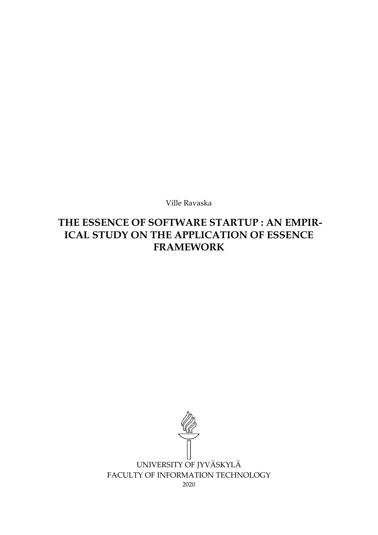Ville Ravaska

# THE ESSENCE OF SOFTWARE STARTUP : AN EMPIR-ICAL STUDY ON THE APPLICATION OF ESSENCE FRAMEWORK

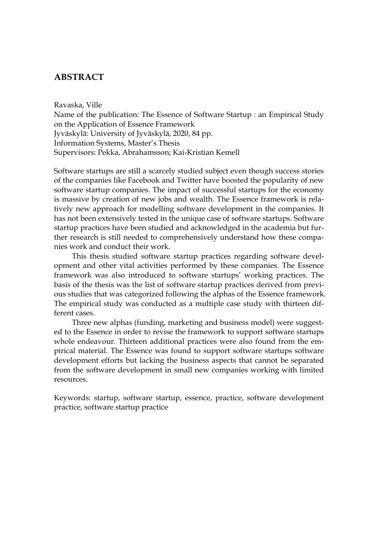## ABSTRACT

#### Ravaska, Ville

Name of the publication: The Essence of Software Startup : an Empirical Study on the Application of Essence Framework Jyväskylä: University of Jyväskylä, 2020, 84 pp. Information Systems, Master's Thesis Supervisors: Pekka, Abrahamsson; Kai-Kristian Kemell

Software startups are still a scarcely studied subject even though success stories of the companies like Facebook and Twitter have boosted the popularity of new software startup companies. The impact of successful startups for the economy is massive by creation of new jobs and wealth. The Essence framework is relatively new approach for modelling software development in the companies. It has not been extensively tested in the unique case of software startups. Software startup practices have been studied and acknowledged in the academia but further research is still needed to comprehensively understand how these companies work and conduct their work.

This thesis studied software startup practices regarding software development and other vital activities performed by these companies. The Essence framework was also introduced to software startups' working practices. The basis of the thesis was the list of software startup practices derived from previous studies that was categorized following the alphas of the Essence framework. The empirical study was conducted as a multiple case study with thirteen different cases.

Three new alphas (funding, marketing and business model) were suggested to the Essence in order to revise the framework to support software startups whole endeavour. Thirteen additional practices were also found from the empirical material. The Essence was found to support software startups software development efforts but lacking the business aspects that cannot be separated from the software development in small new companies working with limited resources.

Keywords: startup, software startup, essence, practice, software development practice, software startup practice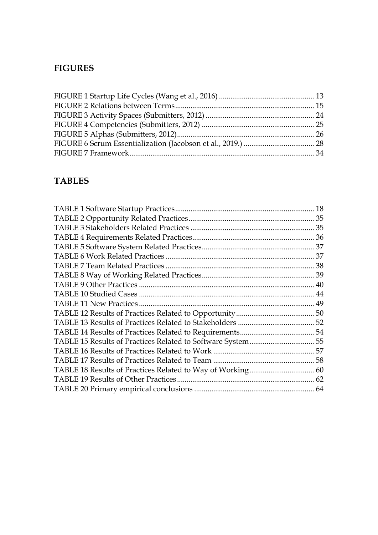# FIGURES

# TABLES

| 18 |
|----|
|    |
|    |
|    |
|    |
|    |
|    |
|    |
|    |
|    |
|    |
|    |
|    |
|    |
|    |
|    |
|    |
|    |
|    |
|    |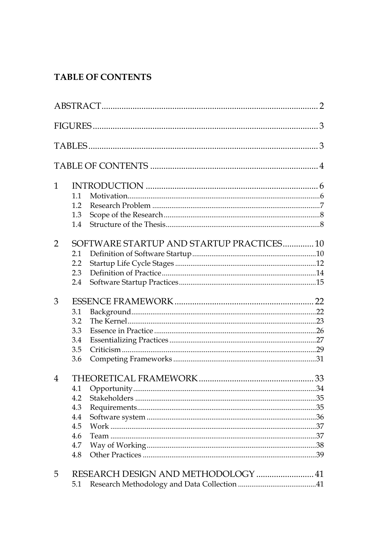# **TABLE OF CONTENTS**

| 1              |     |                                          |  |
|----------------|-----|------------------------------------------|--|
|                | 11  |                                          |  |
|                | 1.2 |                                          |  |
|                | 1.3 |                                          |  |
|                | 1.4 |                                          |  |
| $\overline{2}$ |     | SOFTWARE STARTUP AND STARTUP PRACTICES10 |  |
|                | 2.1 |                                          |  |
|                | 2.2 |                                          |  |
|                | 2.3 |                                          |  |
|                | 2.4 |                                          |  |
| 3              |     |                                          |  |
|                | 3.1 |                                          |  |
|                | 3.2 |                                          |  |
|                | 3.3 |                                          |  |
|                | 3.4 |                                          |  |
|                | 3.5 |                                          |  |
|                | 3.6 |                                          |  |
| 4              |     |                                          |  |
|                | 4.1 |                                          |  |
|                | 4.2 |                                          |  |
|                | 4.3 |                                          |  |
|                | 4.4 |                                          |  |
|                | 4.5 |                                          |  |
|                | 4.6 |                                          |  |
|                | 4.7 |                                          |  |
|                | 4.8 |                                          |  |
| 5              |     |                                          |  |
|                | 5.1 |                                          |  |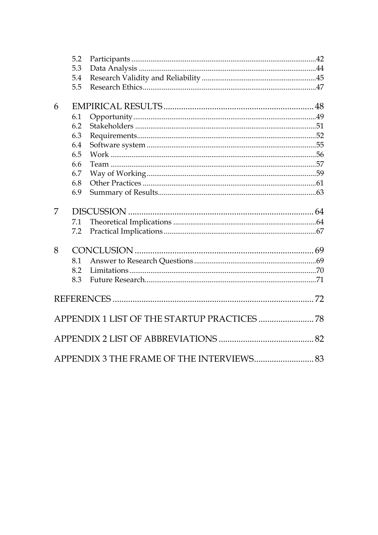|   | 5.2 |                                           |  |
|---|-----|-------------------------------------------|--|
|   | 5.3 |                                           |  |
|   | 5.4 |                                           |  |
|   | 5.5 |                                           |  |
| 6 |     |                                           |  |
|   | 6.1 |                                           |  |
|   | 6.2 |                                           |  |
|   | 6.3 |                                           |  |
|   | 6.4 |                                           |  |
|   | 6.5 |                                           |  |
|   | 6.6 |                                           |  |
|   | 6.7 |                                           |  |
|   | 6.8 |                                           |  |
|   | 6.9 |                                           |  |
|   |     |                                           |  |
| 7 |     |                                           |  |
|   | 7.1 |                                           |  |
|   | 7.2 |                                           |  |
| 8 |     |                                           |  |
|   | 8.1 |                                           |  |
|   | 8.2 |                                           |  |
|   | 8.3 |                                           |  |
|   |     |                                           |  |
|   |     |                                           |  |
|   |     |                                           |  |
|   |     |                                           |  |
|   |     |                                           |  |
|   |     | APPENDIX 3 THE FRAME OF THE INTERVIEWS 83 |  |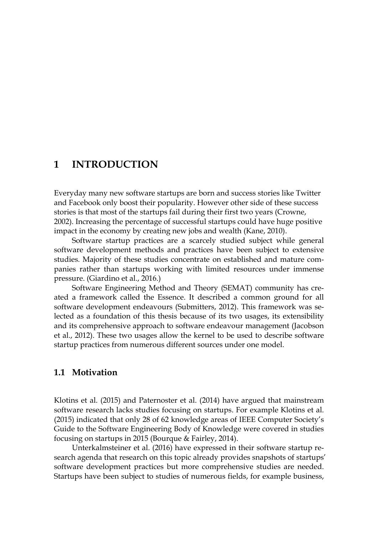# 1 INTRODUCTION

Everyday many new software startups are born and success stories like Twitter and Facebook only boost their popularity. However other side of these success stories is that most of the startups fail during their first two years (Crowne, 2002). Increasing the percentage of successful startups could have huge positive impact in the economy by creating new jobs and wealth (Kane, 2010).

Software startup practices are a scarcely studied subject while general software development methods and practices have been subject to extensive studies. Majority of these studies concentrate on established and mature companies rather than startups working with limited resources under immense pressure. (Giardino et al., 2016.)

Software Engineering Method and Theory (SEMAT) community has created a framework called the Essence. It described a common ground for all software development endeavours (Submitters, 2012). This framework was selected as a foundation of this thesis because of its two usages, its extensibility and its comprehensive approach to software endeavour management (Jacobson et al., 2012). These two usages allow the kernel to be used to describe software startup practices from numerous different sources under one model.

### 1.1 Motivation

Klotins et al. (2015) and Paternoster et al. (2014) have argued that mainstream software research lacks studies focusing on startups. For example Klotins et al. (2015) indicated that only 28 of 62 knowledge areas of IEEE Computer Society's Guide to the Software Engineering Body of Knowledge were covered in studies focusing on startups in 2015 (Bourque & Fairley, 2014).

Unterkalmsteiner et al. (2016) have expressed in their software startup research agenda that research on this topic already provides snapshots of startups' software development practices but more comprehensive studies are needed. Startups have been subject to studies of numerous fields, for example business,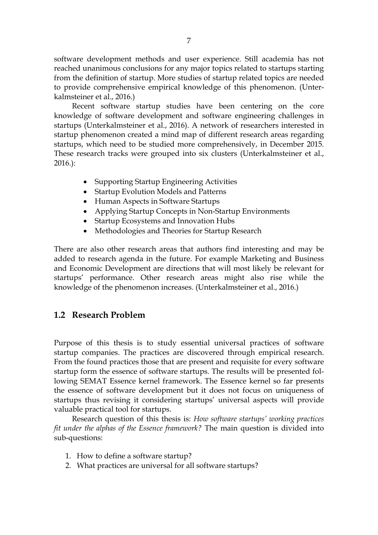software development methods and user experience. Still academia has not reached unanimous conclusions for any major topics related to startups starting from the definition of startup. More studies of startup related topics are needed to provide comprehensive empirical knowledge of this phenomenon. (Unterkalmsteiner et al., 2016.)

Recent software startup studies have been centering on the core knowledge of software development and software engineering challenges in startups (Unterkalmsteiner et al., 2016). A network of researchers interested in startup phenomenon created a mind map of different research areas regarding startups, which need to be studied more comprehensively, in December 2015. These research tracks were grouped into six clusters (Unterkalmsteiner et al., 2016.):

- Supporting Startup Engineering Activities
- Startup Evolution Models and Patterns
- Human Aspects in Software Startups
- Applying Startup Concepts in Non-Startup Environments
- Startup Ecosystems and Innovation Hubs
- Methodologies and Theories for Startup Research

There are also other research areas that authors find interesting and may be added to research agenda in the future. For example Marketing and Business and Economic Development are directions that will most likely be relevant for startups' performance. Other research areas might also rise while the knowledge of the phenomenon increases. (Unterkalmsteiner et al., 2016.)

## 1.2 Research Problem

Purpose of this thesis is to study essential universal practices of software startup companies. The practices are discovered through empirical research. From the found practices those that are present and requisite for every software startup form the essence of software startups. The results will be presented following SEMAT Essence kernel framework. The Essence kernel so far presents the essence of software development but it does not focus on uniqueness of startups thus revising it considering startups' universal aspects will provide valuable practical tool for startups.

Research question of this thesis is: *How software startups' working practices fit under the alphas of the Essence framework?* The main question is divided into sub-questions:

- 1. How to define a software startup?
- 2. What practices are universal for all software startups?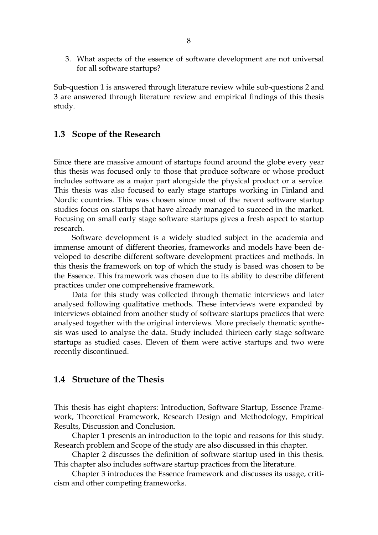3. What aspects of the essence of software development are not universal for all software startups?

Sub-question 1 is answered through literature review while sub-questions 2 and 3 are answered through literature review and empirical findings of this thesis study.

#### 1.3 Scope of the Research

Since there are massive amount of startups found around the globe every year this thesis was focused only to those that produce software or whose product includes software as a major part alongside the physical product or a service. This thesis was also focused to early stage startups working in Finland and Nordic countries. This was chosen since most of the recent software startup studies focus on startups that have already managed to succeed in the market. Focusing on small early stage software startups gives a fresh aspect to startup research.

Software development is a widely studied subject in the academia and immense amount of different theories, frameworks and models have been developed to describe different software development practices and methods. In this thesis the framework on top of which the study is based was chosen to be the Essence. This framework was chosen due to its ability to describe different practices under one comprehensive framework.

Data for this study was collected through thematic interviews and later analysed following qualitative methods. These interviews were expanded by interviews obtained from another study of software startups practices that were analysed together with the original interviews. More precisely thematic synthesis was used to analyse the data. Study included thirteen early stage software startups as studied cases. Eleven of them were active startups and two were recently discontinued.

#### 1.4 Structure of the Thesis

This thesis has eight chapters: Introduction, Software Startup, Essence Framework, Theoretical Framework, Research Design and Methodology, Empirical Results, Discussion and Conclusion.

Chapter 1 presents an introduction to the topic and reasons for this study. Research problem and Scope of the study are also discussed in this chapter.

Chapter 2 discusses the definition of software startup used in this thesis. This chapter also includes software startup practices from the literature.

Chapter 3 introduces the Essence framework and discusses its usage, criticism and other competing frameworks.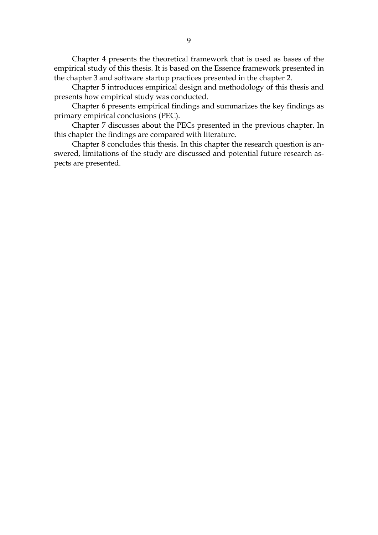Chapter 4 presents the theoretical framework that is used as bases of the empirical study of this thesis. It is based on the Essence framework presented in the chapter 3 and software startup practices presented in the chapter 2.

Chapter 5 introduces empirical design and methodology of this thesis and presents how empirical study was conducted.

Chapter 6 presents empirical findings and summarizes the key findings as primary empirical conclusions (PEC).

Chapter 7 discusses about the PECs presented in the previous chapter. In this chapter the findings are compared with literature.

Chapter 8 concludes this thesis. In this chapter the research question is answered, limitations of the study are discussed and potential future research aspects are presented.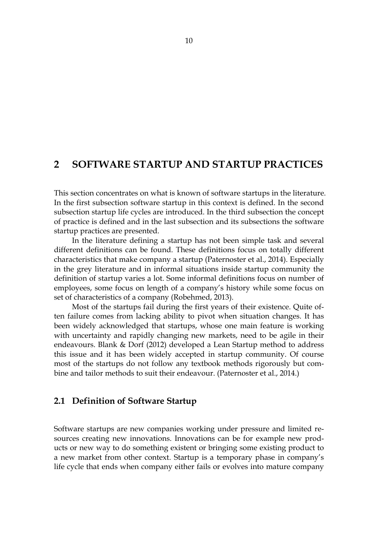# 2 SOFTWARE STARTUP AND STARTUP PRACTICES

This section concentrates on what is known of software startups in the literature. In the first subsection software startup in this context is defined. In the second subsection startup life cycles are introduced. In the third subsection the concept of practice is defined and in the last subsection and its subsections the software startup practices are presented.

In the literature defining a startup has not been simple task and several different definitions can be found. These definitions focus on totally different characteristics that make company a startup (Paternoster et al., 2014). Especially in the grey literature and in informal situations inside startup community the definition of startup varies a lot. Some informal definitions focus on number of employees, some focus on length of a company's history while some focus on set of characteristics of a company (Robehmed, 2013).

Most of the startups fail during the first years of their existence. Quite often failure comes from lacking ability to pivot when situation changes. It has been widely acknowledged that startups, whose one main feature is working with uncertainty and rapidly changing new markets, need to be agile in their endeavours. Blank & Dorf (2012) developed a Lean Startup method to address this issue and it has been widely accepted in startup community. Of course most of the startups do not follow any textbook methods rigorously but combine and tailor methods to suit their endeavour. (Paternoster et al., 2014.)

#### 2.1 Definition of Software Startup

Software startups are new companies working under pressure and limited resources creating new innovations. Innovations can be for example new products or new way to do something existent or bringing some existing product to a new market from other context. Startup is a temporary phase in company's life cycle that ends when company either fails or evolves into mature company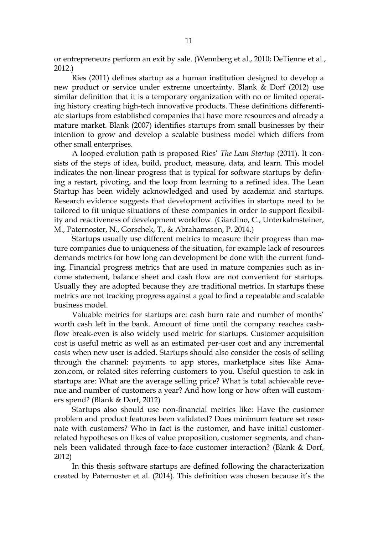or entrepreneurs perform an exit by sale. (Wennberg et al., 2010; DeTienne et al., 2012.)

Ries (2011) defines startup as a human institution designed to develop a new product or service under extreme uncertainty. Blank & Dorf (2012) use similar definition that it is a temporary organization with no or limited operating history creating high-tech innovative products. These definitions differentiate startups from established companies that have more resources and already a mature market. Blank (2007) identifies startups from small businesses by their intention to grow and develop a scalable business model which differs from other small enterprises.

A looped evolution path is proposed Ries' *The Lean Startup* (2011). It consists of the steps of idea, build, product, measure, data, and learn. This model indicates the non-linear progress that is typical for software startups by defining a restart, pivoting, and the loop from learning to a refined idea. The Lean Startup has been widely acknowledged and used by academia and startups. Research evidence suggests that development activities in startups need to be tailored to fit unique situations of these companies in order to support flexibility and reactiveness of development workflow. (Giardino, C., Unterkalmsteiner, M., Paternoster, N., Gorschek, T., & Abrahamsson, P. 2014.)

Startups usually use different metrics to measure their progress than mature companies due to uniqueness of the situation, for example lack of resources demands metrics for how long can development be done with the current funding. Financial progress metrics that are used in mature companies such as income statement, balance sheet and cash flow are not convenient for startups. Usually they are adopted because they are traditional metrics. In startups these metrics are not tracking progress against a goal to find a repeatable and scalable business model.

Valuable metrics for startups are: cash burn rate and number of months' worth cash left in the bank. Amount of time until the company reaches cashflow break-even is also widely used metric for startups. Customer acquisition cost is useful metric as well as an estimated per-user cost and any incremental costs when new user is added. Startups should also consider the costs of selling through the channel: payments to app stores, marketplace sites like Amazon.com, or related sites referring customers to you. Useful question to ask in startups are: What are the average selling price? What is total achievable revenue and number of customers a year? And how long or how often will customers spend? (Blank & Dorf, 2012)

Startups also should use non-financial metrics like: Have the customer problem and product features been validated? Does minimum feature set resonate with customers? Who in fact is the customer, and have initial customerrelated hypotheses on likes of value proposition, customer segments, and channels been validated through face-to-face customer interaction? (Blank & Dorf, 2012)

In this thesis software startups are defined following the characterization created by Paternoster et al. (2014). This definition was chosen because it's the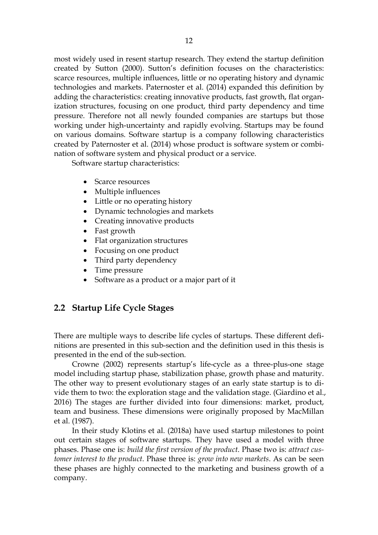most widely used in resent startup research. They extend the startup definition created by Sutton (2000). Sutton's definition focuses on the characteristics: scarce resources, multiple influences, little or no operating history and dynamic technologies and markets. Paternoster et al. (2014) expanded this definition by adding the characteristics: creating innovative products, fast growth, flat organization structures, focusing on one product, third party dependency and time pressure. Therefore not all newly founded companies are startups but those working under high-uncertainty and rapidly evolving. Startups may be found on various domains. Software startup is a company following characteristics created by Paternoster et al. (2014) whose product is software system or combination of software system and physical product or a service.

Software startup characteristics:

- Scarce resources
- Multiple influences
- Little or no operating history
- Dynamic technologies and markets
- Creating innovative products
- Fast growth
- Flat organization structures
- Focusing on one product
- Third party dependency
- Time pressure
- Software as a product or a major part of it

## 2.2 Startup Life Cycle Stages

There are multiple ways to describe life cycles of startups. These different definitions are presented in this sub-section and the definition used in this thesis is presented in the end of the sub-section.

Crowne (2002) represents startup's life-cycle as a three-plus-one stage model including startup phase, stabilization phase, growth phase and maturity. The other way to present evolutionary stages of an early state startup is to divide them to two: the exploration stage and the validation stage. (Giardino et al., 2016) The stages are further divided into four dimensions: market, product, team and business. These dimensions were originally proposed by MacMillan et al. (1987).

In their study Klotins et al. (2018a) have used startup milestones to point out certain stages of software startups. They have used a model with three phases. Phase one is: *build the first version of the product*. Phase two is: *attract customer interest to the product*. Phase three is: *grow into new markets*. As can be seen these phases are highly connected to the marketing and business growth of a company.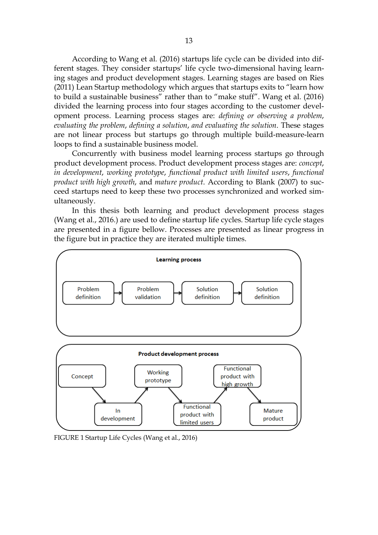According to Wang et al. (2016) startups life cycle can be divided into different stages. They consider startups' life cycle two-dimensional having learning stages and product development stages. Learning stages are based on Ries (2011) Lean Startup methodology which argues that startups exits to "learn how to build a sustainable business" rather than to "make stuff". Wang et al. (2016) divided the learning process into four stages according to the customer development process. Learning process stages are: *defining or observing a problem*, *evaluating the problem*, *defining a solution*, *and evaluating the solution*. These stages are not linear process but startups go through multiple build-measure-learn loops to find a sustainable business model.

Concurrently with business model learning process startups go through product development process. Product development process stages are: *concept*, *in development*, *working prototype*, *functional product with limited users*, *functional product with high growth*, and *mature product*. According to Blank (2007) to succeed startups need to keep these two processes synchronized and worked simultaneously.

In this thesis both learning and product development process stages (Wang et al., 2016.) are used to define startup life cycles. Startup life cycle stages are presented in a figure bellow. Processes are presented as linear progress in the figure but in practice they are iterated multiple times.



FIGURE 1 Startup Life Cycles (Wang et al., 2016)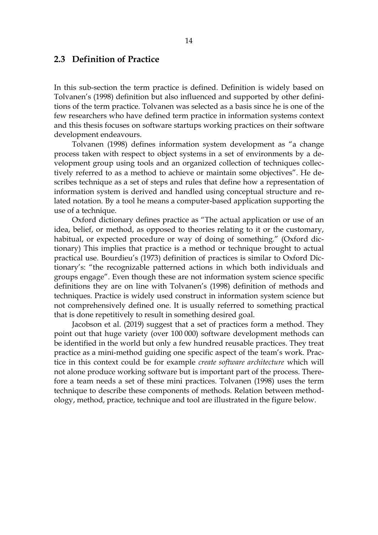#### 2.3 Definition of Practice

In this sub-section the term practice is defined. Definition is widely based on Tolvanen's (1998) definition but also influenced and supported by other definitions of the term practice. Tolvanen was selected as a basis since he is one of the few researchers who have defined term practice in information systems context and this thesis focuses on software startups working practices on their software development endeavours.

Tolvanen (1998) defines information system development as "a change process taken with respect to object systems in a set of environments by a development group using tools and an organized collection of techniques collectively referred to as a method to achieve or maintain some objectives". He describes technique as a set of steps and rules that define how a representation of information system is derived and handled using conceptual structure and related notation. By a tool he means a computer-based application supporting the use of a technique.

Oxford dictionary defines practice as "The actual application or use of an idea, belief, or method, as opposed to theories relating to it or the customary, habitual, or expected procedure or way of doing of something." (Oxford dictionary) This implies that practice is a method or technique brought to actual practical use. Bourdieu's (1973) definition of practices is similar to Oxford Dictionary's: "the recognizable patterned actions in which both individuals and groups engage". Even though these are not information system science specific definitions they are on line with Tolvanen's (1998) definition of methods and techniques. Practice is widely used construct in information system science but not comprehensively defined one. It is usually referred to something practical that is done repetitively to result in something desired goal.

Jacobson et al. (2019) suggest that a set of practices form a method. They point out that huge variety (over 100 000) software development methods can be identified in the world but only a few hundred reusable practices. They treat practice as a mini-method guiding one specific aspect of the team's work. Practice in this context could be for example *create software architecture* which will not alone produce working software but is important part of the process. Therefore a team needs a set of these mini practices. Tolvanen (1998) uses the term technique to describe these components of methods. Relation between methodology, method, practice, technique and tool are illustrated in the figure below.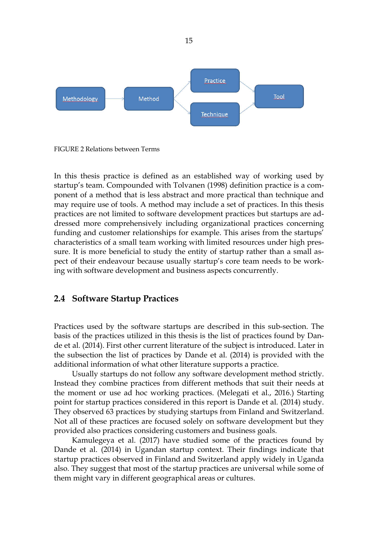

FIGURE 2 Relations between Terms

In this thesis practice is defined as an established way of working used by startup's team. Compounded with Tolvanen (1998) definition practice is a component of a method that is less abstract and more practical than technique and may require use of tools. A method may include a set of practices. In this thesis practices are not limited to software development practices but startups are addressed more comprehensively including organizational practices concerning funding and customer relationships for example. This arises from the startups' characteristics of a small team working with limited resources under high pressure. It is more beneficial to study the entity of startup rather than a small aspect of their endeavour because usually startup's core team needs to be working with software development and business aspects concurrently.

#### 2.4 Software Startup Practices

Practices used by the software startups are described in this sub-section. The basis of the practices utilized in this thesis is the list of practices found by Dande et al. (2014). First other current literature of the subject is introduced. Later in the subsection the list of practices by Dande et al. (2014) is provided with the additional information of what other literature supports a practice.

Usually startups do not follow any software development method strictly. Instead they combine practices from different methods that suit their needs at the moment or use ad hoc working practices. (Melegati et al., 2016.) Starting point for startup practices considered in this report is Dande et al. (2014) study. They observed 63 practices by studying startups from Finland and Switzerland. Not all of these practices are focused solely on software development but they provided also practices considering customers and business goals.

Kamulegeya et al. (2017) have studied some of the practices found by Dande et al. (2014) in Ugandan startup context. Their findings indicate that startup practices observed in Finland and Switzerland apply widely in Uganda also. They suggest that most of the startup practices are universal while some of them might vary in different geographical areas or cultures.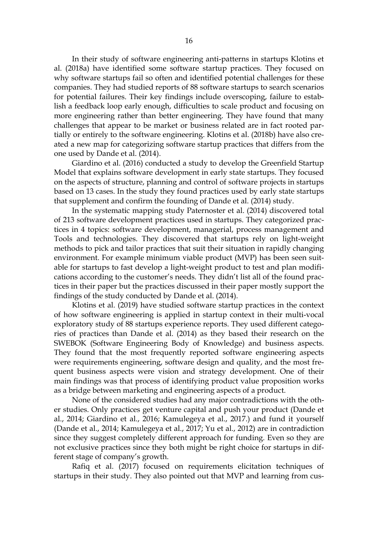In their study of software engineering anti-patterns in startups Klotins et al. (2018a) have identified some software startup practices. They focused on why software startups fail so often and identified potential challenges for these companies. They had studied reports of 88 software startups to search scenarios for potential failures. Their key findings include overscoping, failure to establish a feedback loop early enough, difficulties to scale product and focusing on more engineering rather than better engineering. They have found that many challenges that appear to be market or business related are in fact rooted partially or entirely to the software engineering. Klotins et al. (2018b) have also created a new map for categorizing software startup practices that differs from the one used by Dande et al. (2014).

Giardino et al. (2016) conducted a study to develop the Greenfield Startup Model that explains software development in early state startups. They focused on the aspects of structure, planning and control of software projects in startups based on 13 cases. In the study they found practices used by early state startups that supplement and confirm the founding of Dande et al. (2014) study.

In the systematic mapping study Paternoster et al. (2014) discovered total of 213 software development practices used in startups. They categorized practices in 4 topics: software development, managerial, process management and Tools and technologies. They discovered that startups rely on light-weight methods to pick and tailor practices that suit their situation in rapidly changing environment. For example minimum viable product (MVP) has been seen suitable for startups to fast develop a light-weight product to test and plan modifications according to the customer's needs. They didn't list all of the found practices in their paper but the practices discussed in their paper mostly support the findings of the study conducted by Dande et al. (2014).

Klotins et al. (2019) have studied software startup practices in the context of how software engineering is applied in startup context in their multi-vocal exploratory study of 88 startups experience reports. They used different categories of practices than Dande et al. (2014) as they based their research on the SWEBOK (Software Engineering Body of Knowledge) and business aspects. They found that the most frequently reported software engineering aspects were requirements engineering, software design and quality, and the most frequent business aspects were vision and strategy development. One of their main findings was that process of identifying product value proposition works as a bridge between marketing and engineering aspects of a product.

None of the considered studies had any major contradictions with the other studies. Only practices get venture capital and push your product (Dande et al., 2014; Giardino et al., 2016; Kamulegeya et al., 2017.) and fund it yourself (Dande et al., 2014; Kamulegeya et al., 2017; Yu et al., 2012) are in contradiction since they suggest completely different approach for funding. Even so they are not exclusive practices since they both might be right choice for startups in different stage of company's growth.

Rafiq et al. (2017) focused on requirements elicitation techniques of startups in their study. They also pointed out that MVP and learning from cus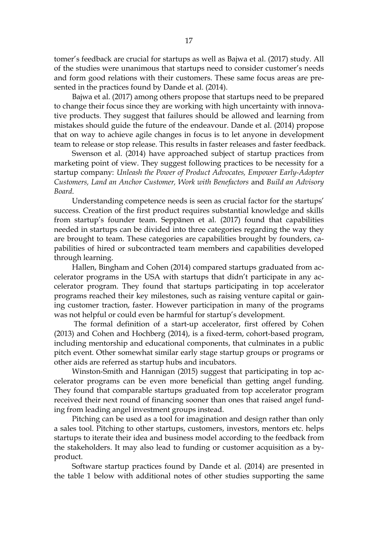tomer's feedback are crucial for startups as well as Bajwa et al. (2017) study. All of the studies were unanimous that startups need to consider customer's needs and form good relations with their customers. These same focus areas are presented in the practices found by Dande et al. (2014).

Bajwa et al. (2017) among others propose that startups need to be prepared to change their focus since they are working with high uncertainty with innovative products. They suggest that failures should be allowed and learning from mistakes should guide the future of the endeavour. Dande et al. (2014) propose that on way to achieve agile changes in focus is to let anyone in development team to release or stop release. This results in faster releases and faster feedback.

Swenson et al. (2014) have approached subject of startup practices from marketing point of view. They suggest following practices to be necessity for a startup company: *Unleash the Power of Product Advocates, Empower Early-Adopter Customers, Land an Anchor Customer, Work with Benefactors* and *Build an Advisory Board*.

Understanding competence needs is seen as crucial factor for the startups' success. Creation of the first product requires substantial knowledge and skills from startup's founder team. Seppänen et al. (2017) found that capabilities needed in startups can be divided into three categories regarding the way they are brought to team. These categories are capabilities brought by founders, capabilities of hired or subcontracted team members and capabilities developed through learning.

Hallen, Bingham and Cohen (2014) compared startups graduated from accelerator programs in the USA with startups that didn't participate in any accelerator program. They found that startups participating in top accelerator programs reached their key milestones, such as raising venture capital or gaining customer traction, faster. However participation in many of the programs was not helpful or could even be harmful for startup's development.

The formal definition of a start-up accelerator, first offered by Cohen (2013) and Cohen and Hochberg (2014), is a fixed-term, cohort-based program, including mentorship and educational components, that culminates in a public pitch event. Other somewhat similar early stage startup groups or programs or other aids are referred as startup hubs and incubators.

Winston-Smith and Hannigan (2015) suggest that participating in top accelerator programs can be even more beneficial than getting angel funding. They found that comparable startups graduated from top accelerator program received their next round of financing sooner than ones that raised angel funding from leading angel investment groups instead.

Pitching can be used as a tool for imagination and design rather than only a sales tool. Pitching to other startups, customers, investors, mentors etc. helps startups to iterate their idea and business model according to the feedback from the stakeholders. It may also lead to funding or customer acquisition as a byproduct.

Software startup practices found by Dande et al. (2014) are presented in the table 1 below with additional notes of other studies supporting the same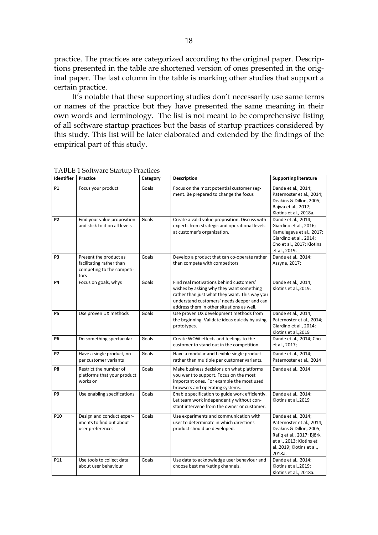practice. The practices are categorized according to the original paper. Descriptions presented in the table are shortened version of ones presented in the original paper. The last column in the table is marking other studies that support a certain practice.

It's notable that these supporting studies don't necessarily use same terms or names of the practice but they have presented the same meaning in their own words and terminology. The list is not meant to be comprehensive listing of all software startup practices but the basis of startup practices considered by this study. This list will be later elaborated and extended by the findings of the empirical part of this study.

| Identifier | TribLE I Software Startup I factices<br>Practice                                        | Category | <b>Description</b>                                                                                                                                                                                                              | <b>Supporting literature</b>                                                                                                                                                 |
|------------|-----------------------------------------------------------------------------------------|----------|---------------------------------------------------------------------------------------------------------------------------------------------------------------------------------------------------------------------------------|------------------------------------------------------------------------------------------------------------------------------------------------------------------------------|
| <b>P1</b>  | Focus your product                                                                      | Goals    | Focus on the most potential customer seg-<br>ment. Be prepared to change the focus                                                                                                                                              | Dande et al., 2014;<br>Paternoster et al., 2014;<br>Deakins & Dillon, 2005;<br>Bajwa et al., 2017;<br>Klotins et al., 2018a.                                                 |
| P2         | Find your value proposition<br>and stick to it on all levels                            | Goals    | Create a valid value proposition. Discuss with<br>experts from strategic and operational levels<br>at customer's organization.                                                                                                  | Dande et al., 2014;<br>Giardino et al., 2016;<br>Kamulegeya et al., 2017;<br>Giardino et al., 2014;<br>Cho et al., 2017; Klotins<br>et al., 2019.                            |
| P3         | Present the product as<br>facilitating rather than<br>competing to the competi-<br>tors | Goals    | Develop a product that can co-operate rather<br>than compete with competitors                                                                                                                                                   | Dande et al., 2014;<br>Assyne, 2017;                                                                                                                                         |
| <b>P4</b>  | Focus on goals, whys                                                                    | Goals    | Find real motivations behind customers'<br>wishes by asking why they want something<br>rather than just what they want. This way you<br>understand customers' needs deeper and can<br>address them in other situations as well. | Dande et al., 2014;<br>Klotins et al., 2019.                                                                                                                                 |
| <b>P5</b>  | Use proven UX methods                                                                   | Goals    | Use proven UX development methods from<br>the beginning. Validate ideas quickly by using<br>prototypes.                                                                                                                         | Dande et al., 2014;<br>Paternoster et al., 2014;<br>Giardino et al., 2014;<br>Klotins et al., 2019                                                                           |
| <b>P6</b>  | Do something spectacular                                                                | Goals    | Create WOW effects and feelings to the<br>customer to stand out in the competition.                                                                                                                                             | Dande et al., 2014; Cho<br>et al., 2017;                                                                                                                                     |
| <b>P7</b>  | Have a single product, no<br>per customer variants                                      | Goals    | Have a modular and flexible single product<br>rather than multiple per customer variants.                                                                                                                                       | Dande et al., 2014;<br>Paternoster et al., 2014                                                                                                                              |
| P8         | Restrict the number of<br>platforms that your product<br>works on                       | Goals    | Make business decisions on what platforms<br>you want to support. Focus on the most<br>important ones. For example the most used<br>browsers and operating systems.                                                             | Dande et al., 2014                                                                                                                                                           |
| P9         | Use enabling specifications                                                             | Goals    | Enable specification to guide work efficiently.<br>Let team work independently without con-<br>stant intervene from the owner or customer.                                                                                      | Dande et al., 2014;<br>Klotins et al., 2019                                                                                                                                  |
| P10        | Design and conduct exper-<br>iments to find out about<br>user preferences               | Goals    | Use experiments and communication with<br>user to determinate in which directions<br>product should be developed.                                                                                                               | Dande et al., 2014;<br>Paternoster et al., 2014;<br>Deakins & Dillon, 2005;<br>Rafiq et al., 2017; Björk<br>et al., 2013; Klotins et<br>al., 2019; Klotins et al.,<br>2018a. |
| P11        | Use tools to collect data<br>about user behaviour                                       | Goals    | Use data to acknowledge user behaviour and<br>choose best marketing channels.                                                                                                                                                   | Dande et al., 2014;<br>Klotins et al., 2019;<br>Klotins et al., 2018a.                                                                                                       |

TABLE 1 Software Startup Practices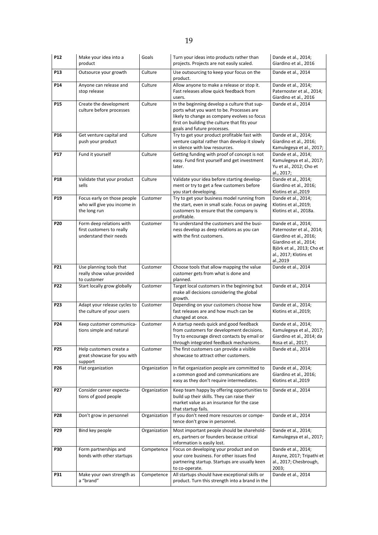| P <sub>12</sub> | Make your idea into a<br>product                                                | Goals        | Turn your ideas into products rather than<br>projects. Projects are not easily scaled.                                                                                                                                  | Dande et al., 2014;<br>Giardino et al., 2016                                                                                                                            |
|-----------------|---------------------------------------------------------------------------------|--------------|-------------------------------------------------------------------------------------------------------------------------------------------------------------------------------------------------------------------------|-------------------------------------------------------------------------------------------------------------------------------------------------------------------------|
| P <sub>13</sub> | Outsource your growth                                                           | Culture      | Use outsourcing to keep your focus on the<br>product.                                                                                                                                                                   | Dande et al., 2014                                                                                                                                                      |
| P14             | Anyone can release and<br>stop release                                          | Culture      | Allow anyone to make a release or stop it.<br>Fast releases allow quick feedback from<br>users.                                                                                                                         | Dande et al., 2014;<br>Paternoster et al., 2014;<br>Giardino et al., 2016                                                                                               |
| P <sub>15</sub> | Create the development<br>culture before processes                              | Culture      | In the beginning develop a culture that sup-<br>ports what you want to be. Processes are<br>likely to change as company evolves so focus<br>first on building the culture that fits your<br>goals and future processes. | Dande et al., 2014                                                                                                                                                      |
| P16             | Get venture capital and<br>push your product                                    | Culture      | Try to get your product profitable fast with<br>venture capital rather than develop it slowly<br>in silence with low resources.                                                                                         | Dande et al., 2014;<br>Giardino et al., 2016;<br>Kamulegeya et al., 2017;                                                                                               |
| P17             | Fund it yourself                                                                | Culture      | Getting funding with proof of concept is not<br>easy. Fund first yourself and get investment<br>later.                                                                                                                  | Dande et al., 2014;<br>Kamulegeya et al., 2017;<br>Yu et al., 2012; Cho et<br>al., 2017;                                                                                |
| P18             | Validate that your product<br>sells                                             | Culture      | Validate your idea before starting develop-<br>ment or try to get a few customers before<br>you start developing.                                                                                                       | Dande et al., 2014;<br>Giardino et al., 2016;<br>Klotins et al., 2019                                                                                                   |
| P <sub>19</sub> | Focus early on those people<br>who will give you income in<br>the long run      | Customer     | Try to get your business model running from<br>the start, even in small scale. Focus on paying<br>customers to ensure that the company is<br>profitable.                                                                | Dande et al., 2014;<br>Klotins et al., 2019;<br>Klotins et al., 2018a.                                                                                                  |
| P <sub>20</sub> | Form deep relations with<br>first customers to really<br>understand their needs | Customer     | To understand the customers and the busi-<br>ness develop as deep relations as you can<br>with the first customers.                                                                                                     | Dande et al., 2014;<br>Paternoster et al., 2014;<br>Giardino et al., 2016;<br>Giardino et al., 2014;<br>Björk et al., 2013; Cho et<br>al., 2017; Klotins et<br>al.,2019 |
| P21             | Use planning tools that<br>really show value provided<br>to customer            | Customer     | Choose tools that allow mapping the value<br>customer gets from what is done and<br>planned.                                                                                                                            | Dande et al., 2014                                                                                                                                                      |
| P22             | Start locally grow globally                                                     | Customer     | Target local customers in the beginning but<br>make all decisions considering the global<br>growth.                                                                                                                     | Dande et al., 2014                                                                                                                                                      |
| P23             | Adapt your release cycles to<br>the culture of your users                       | Customer     | Depending on your customers choose how<br>fast releases are and how much can be<br>changed at once.                                                                                                                     | Dande et al., 2014;<br>Klotins et al., 2019;                                                                                                                            |
| P24             | Keep customer communica-<br>tions simple and natural                            | Customer     | A startup needs quick and good feedback<br>from customers for development decisions.<br>Try to encourage direct contacts by email or<br>through integrated feedback mechanisms.                                         | Dande et al., 2014;<br>Kamulegeya et al., 2017;<br>Giardino et al., 2014; da<br>Rosa et al., 2017;                                                                      |
| P25             | Help customers create a<br>great showcase for you with<br>support               | Customer     | The first customers can provide a visible<br>showcase to attract other customers.                                                                                                                                       | Dande et al., 2014                                                                                                                                                      |
| P26             | Flat organization                                                               | Organization | In flat organization people are committed to<br>a common good and communications are<br>easy as they don't require intermediates.                                                                                       | Dande et al., 2014;<br>Giardino et al., 2016;<br>Klotins et al., 2019                                                                                                   |
| P27             | Consider career expecta-<br>tions of good people                                | Organization | Keep team happy by offering opportunities to<br>build up their skills. They can raise their<br>market value as an insurance for the case<br>that startup fails.                                                         | Dande et al., 2014                                                                                                                                                      |
| P28             | Don't grow in personnel                                                         | Organization | If you don't need more resources or compe-<br>tence don't grow in personnel.                                                                                                                                            | Dande et al., 2014                                                                                                                                                      |
| P29             | Bind key people                                                                 | Organization | Most important people should be sharehold-<br>ers, partners or founders because critical<br>information is easily lost.                                                                                                 | Dande et al., 2014;<br>Kamulegeya et al., 2017;                                                                                                                         |
| <b>P30</b>      | Form partnerships and<br>bonds with other startups                              | Competence   | Focus on developing your product and on<br>your core business. For other issues find<br>partnering startup. Startups are usually keen<br>to co-operate.                                                                 | Dande et al., 2014;<br>Assyne, 2017; Tripathi et<br>al., 2017; Chesbrough,<br>2003;                                                                                     |
| P31             | Make your own strength as<br>a "brand"                                          | Competence   | All startups should have exceptional skills or<br>product. Turn this strength into a brand in the                                                                                                                       | Dande et al., 2014                                                                                                                                                      |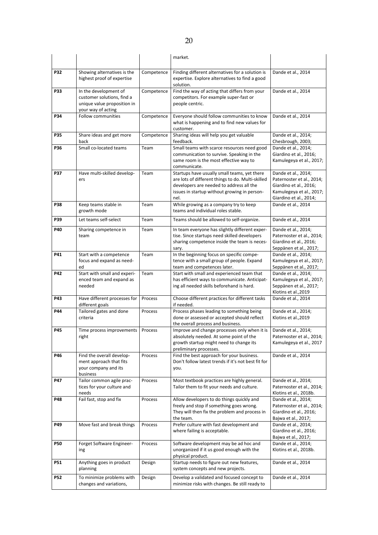|     |                                                                                                          |            | market.                                                                                                                                                                                               |                                                                                                                                  |
|-----|----------------------------------------------------------------------------------------------------------|------------|-------------------------------------------------------------------------------------------------------------------------------------------------------------------------------------------------------|----------------------------------------------------------------------------------------------------------------------------------|
| P32 | Showing alternatives is the<br>highest proof of expertise                                                | Competence | Finding different alternatives for a solution is<br>expertise. Explore alternatives to find a good<br>solution.                                                                                       | Dande et al., 2014                                                                                                               |
| P33 | In the development of<br>customer solutions, find a<br>unique value proposition in<br>your way of acting | Competence | Find the way of acting that differs from your<br>competitors. For example super-fast or<br>people centric.                                                                                            | Dande et al., 2014                                                                                                               |
| P34 | <b>Follow communities</b>                                                                                | Competence | Everyone should follow communities to know<br>what is happening and to find new values for<br>customer.                                                                                               | Dande et al., 2014                                                                                                               |
| P35 | Share ideas and get more<br>back                                                                         | Competence | Sharing ideas will help you get valuable<br>feedback.                                                                                                                                                 | Dande et al., 2014;<br>Chesbrough, 2003;                                                                                         |
| P36 | Small co-located teams                                                                                   | Team       | Small teams with scarce resources need good<br>communication to survive. Speaking in the<br>same room is the most effective way to<br>communicate.                                                    | Dande et al., 2014;<br>Giardino et al., 2016;<br>Kamulegeya et al., 2017;                                                        |
| P37 | Have multi-skilled develop-<br>ers                                                                       | Team       | Startups have usually small teams, yet there<br>are lots of different things to do. Multi-skilled<br>developers are needed to address all the<br>issues in startup without growing in person-<br>nel. | Dande et al., 2014;<br>Paternoster et al., 2014;<br>Giardino et al., 2016;<br>Kamulegeya et al., 2017;<br>Giardino et al., 2014; |
| P38 | Keep teams stable in<br>growth mode                                                                      | Team       | While growing as a company try to keep<br>teams and individual roles stable.                                                                                                                          | Dande et al., 2014                                                                                                               |
| P39 | Let teams self-select                                                                                    | Team       | Teams should be allowed to self-organize.                                                                                                                                                             | Dande et al., 2014                                                                                                               |
| P40 | Sharing competence in<br>team                                                                            | Team       | In team everyone has slightly different exper-<br>tise. Since startups need skilled developers<br>sharing competence inside the team is neces-<br>sary.                                               | Dande et al., 2014;<br>Paternoster et al., 2014;<br>Giardino et al., 2016;<br>Seppänen et al., 2017;                             |
| P41 | Start with a competence<br>focus and expand as need-<br>ed                                               | Team       | In the beginning focus on specific compe-<br>tence with a small group of people. Expand<br>team and competences later.                                                                                | Dande et al., 2014;<br>Kamulegeya et al., 2017;<br>Seppänen et al., 2017;                                                        |
| P42 | Start with small and experi-<br>enced team and expand as<br>needed                                       | Team       | Start with small and experienced team that<br>has efficient ways to communicate. Anticipat-<br>ing all needed skills beforehand is hard.                                                              | Dande et al., 2014;<br>Kamulegeya et al., 2017;<br>Seppänen et al., 2017;<br>Klotins et al., 2019                                |
| P43 | Have different processes for<br>different goals                                                          | Process    | Choose different practices for different tasks<br>if needed.                                                                                                                                          | Dande et al., 2014                                                                                                               |
| P44 | Tailored gates and done<br>criteria                                                                      | Process    | Process phases leading to something being<br>done or assessed or accepted should reflect<br>the overall process and business.                                                                         | Dande et al., 2014;<br>Klotins et al., 2019                                                                                      |
| P45 |                                                                                                          |            |                                                                                                                                                                                                       |                                                                                                                                  |
|     | Time process improvements<br>right                                                                       | Process    | Improve and change processes only when it is<br>absolutely needed. At some point of the<br>growth startup might need to change its<br>preliminary processes.                                          | Dande et al., 2014;<br>Paternoster et al., 2014;<br>Kamulegeya et al., 2017                                                      |
| P46 | Find the overall develop-<br>ment approach that fits<br>your company and its<br>business                 | Process    | Find the best approach for your business.<br>Don't follow latest trends if it's not best fit for<br>you.                                                                                              | Dande et al., 2014                                                                                                               |
| P47 | Tailor common agile prac-<br>tices for your culture and<br>needs                                         | Process    | Most textbook practices are highly general.<br>Tailor them to fit your needs and culture.                                                                                                             | Dande et al., 2014;<br>Paternoster et al., 2014;<br>Klotins et al., 2018b.                                                       |
| P48 | Fail fast, stop and fix                                                                                  | Process    | Allow developers to do things quickly and<br>freely and stop if something goes wrong.<br>They will then fix the problem and process in<br>the team.                                                   | Dande et al., 2014;<br>Paternoster et al., 2014;<br>Giardino et al., 2016;<br>Bajwa et al., 2017;                                |
| P49 | Move fast and break things                                                                               | Process    | Prefer culture with fast development and<br>where failing is acceptable.                                                                                                                              | Dande et al., 2014;<br>Giardino et al., 2016;<br>Bajwa et al., 2017;                                                             |
| P50 | Forget Software Engineer-<br>ing                                                                         | Process    | Software development may be ad hoc and<br>unorganized if it us good enough with the<br>physical product.                                                                                              | Dande et al., 2014;<br>Klotins et al., 2018b.                                                                                    |
| P51 | Anything goes in product<br>planning                                                                     | Design     | Startup needs to figure out new features,<br>system concepts and new projects.                                                                                                                        | Dande et al., 2014                                                                                                               |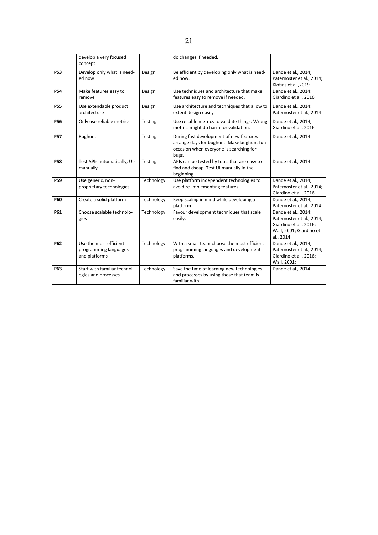|            | develop a very focused<br>concept                                |            | do changes if needed.                                                                                                                     |                                                                                                                     |
|------------|------------------------------------------------------------------|------------|-------------------------------------------------------------------------------------------------------------------------------------------|---------------------------------------------------------------------------------------------------------------------|
| <b>P53</b> | Develop only what is need-<br>ed now                             | Design     | Be efficient by developing only what is need-<br>ed now.                                                                                  | Dande et al., 2014;<br>Paternoster et al., 2014;<br>Klotins et al., 2019                                            |
| <b>P54</b> | Make features easy to<br>remove                                  | Design     | Use techniques and architecture that make<br>features easy to remove if needed.                                                           | Dande et al., 2014;<br>Giardino et al., 2016                                                                        |
| <b>P55</b> | Use extendable product<br>architecture                           | Design     | Use architecture and techniques that allow to<br>extent design easily.                                                                    | Dande et al., 2014;<br>Paternoster et al., 2014                                                                     |
| <b>P56</b> | Only use reliable metrics                                        | Testing    | Use reliable metrics to validate things. Wrong<br>metrics might do harm for validation.                                                   | Dande et al., 2014;<br>Giardino et al., 2016                                                                        |
| <b>P57</b> | <b>Bughunt</b>                                                   | Testing    | During fast development of new features<br>arrange days for bughunt. Make bughunt fun<br>occasion when everyone is searching for<br>bugs. | Dande et al., 2014                                                                                                  |
| <b>P58</b> | Test APIs automatically, UIs<br>manually                         | Testing    | APIs can be tested by tools that are easy to<br>find and cheap. Test UI manually in the<br>beginning.                                     | Dande et al., 2014                                                                                                  |
| <b>P59</b> | Use generic, non-<br>proprietary technologies                    | Technology | Use platform independent technologies to<br>avoid re-implementing features.                                                               | Dande et al., 2014;<br>Paternoster et al., 2014;<br>Giardino et al., 2016                                           |
| <b>P60</b> | Create a solid platform                                          | Technology | Keep scaling in mind while developing a<br>platform.                                                                                      | Dande et al., 2014;<br>Paternoster et al., 2014                                                                     |
| <b>P61</b> | Choose scalable technolo-<br>gies                                | Technology | Favour development techniques that scale<br>easily.                                                                                       | Dande et al., 2014;<br>Paternoster et al., 2014;<br>Giardino et al., 2016;<br>Wall, 2001; Giardino et<br>al., 2014; |
| P62        | Use the most efficient<br>programming languages<br>and platforms | Technology | With a small team choose the most efficient<br>programming languages and development<br>platforms.                                        | Dande et al., 2014;<br>Paternoster et al., 2014;<br>Giardino et al., 2016;<br>Wall, 2001;                           |
| <b>P63</b> | Start with familiar technol-<br>ogies and processes              | Technology | Save the time of learning new technologies<br>and processes by using those that team is<br>familiar with.                                 | Dande et al., 2014                                                                                                  |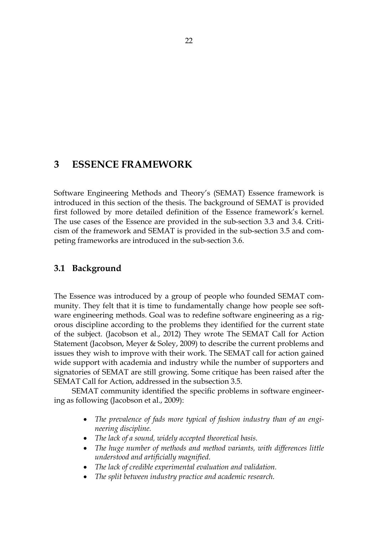# 3 ESSENCE FRAMEWORK

Software Engineering Methods and Theory's (SEMAT) Essence framework is introduced in this section of the thesis. The background of SEMAT is provided first followed by more detailed definition of the Essence framework's kernel. The use cases of the Essence are provided in the sub-section 3.3 and 3.4. Criticism of the framework and SEMAT is provided in the sub-section 3.5 and competing frameworks are introduced in the sub-section 3.6.

# 3.1 Background

The Essence was introduced by a group of people who founded SEMAT community. They felt that it is time to fundamentally change how people see software engineering methods. Goal was to redefine software engineering as a rigorous discipline according to the problems they identified for the current state of the subject. (Jacobson et al., 2012) They wrote The SEMAT Call for Action Statement (Jacobson, Meyer & Soley, 2009) to describe the current problems and issues they wish to improve with their work. The SEMAT call for action gained wide support with academia and industry while the number of supporters and signatories of SEMAT are still growing. Some critique has been raised after the SEMAT Call for Action, addressed in the subsection 3.5.

SEMAT community identified the specific problems in software engineering as following (Jacobson et al., 2009):

- *The prevalence of fads more typical of fashion industry than of an engineering discipline.*
- *The lack of a sound, widely accepted theoretical basis.*
- *The huge number of methods and method variants, with differences little understood and artificially magnified.*
- *The lack of credible experimental evaluation and validation.*
- *The split between industry practice and academic research.*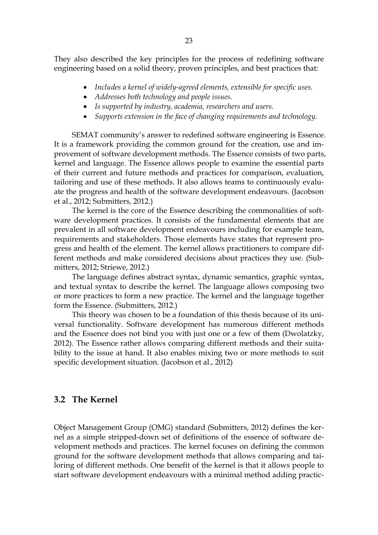They also described the key principles for the process of redefining software engineering based on a solid theory, proven principles, and best practices that:

- *Includes a kernel of widely-agreed elements, extensible for specific uses.*
- *Addresses both technology and people issues.*
- *Is supported by industry, academia, researchers and users.*
- *Supports extension in the face of changing requirements and technology.*

SEMAT community's answer to redefined software engineering is Essence. It is a framework providing the common ground for the creation, use and improvement of software development methods. The Essence consists of two parts, kernel and language. The Essence allows people to examine the essential parts of their current and future methods and practices for comparison, evaluation, tailoring and use of these methods. It also allows teams to continuously evaluate the progress and health of the software development endeavours. (Jacobson et al., 2012; Submitters, 2012.)

The kernel is the core of the Essence describing the commonalities of software development practices. It consists of the fundamental elements that are prevalent in all software development endeavours including for example team, requirements and stakeholders. Those elements have states that represent progress and health of the element. The kernel allows practitioners to compare different methods and make considered decisions about practices they use. (Submitters, 2012; Striewe, 2012.)

The language defines abstract syntax, dynamic semantics, graphic syntax, and textual syntax to describe the kernel. The language allows composing two or more practices to form a new practice. The kernel and the language together form the Essence. (Submitters, 2012.)

This theory was chosen to be a foundation of this thesis because of its universal functionality. Software development has numerous different methods and the Essence does not bind you with just one or a few of them (Dwolatzky, 2012). The Essence rather allows comparing different methods and their suitability to the issue at hand. It also enables mixing two or more methods to suit specific development situation. (Jacobson et al., 2012)

### 3.2 The Kernel

Object Management Group (OMG) standard (Submitters, 2012) defines the kernel as a simple stripped-down set of definitions of the essence of software development methods and practices. The kernel focuses on defining the common ground for the software development methods that allows comparing and tailoring of different methods. One benefit of the kernel is that it allows people to start software development endeavours with a minimal method adding practic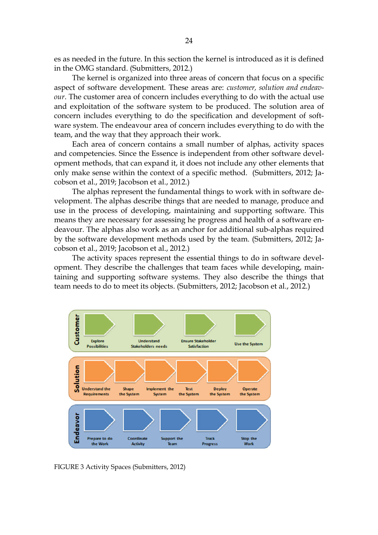es as needed in the future. In this section the kernel is introduced as it is defined in the OMG standard. (Submitters, 2012.)

The kernel is organized into three areas of concern that focus on a specific aspect of software development. These areas are: *customer, solution and endeavour*. The customer area of concern includes everything to do with the actual use and exploitation of the software system to be produced. The solution area of concern includes everything to do the specification and development of software system. The endeavour area of concern includes everything to do with the team, and the way that they approach their work.

Each area of concern contains a small number of alphas, activity spaces and competencies. Since the Essence is independent from other software development methods, that can expand it, it does not include any other elements that only make sense within the context of a specific method. (Submitters, 2012; Jacobson et al., 2019; Jacobson et al., 2012.)

The alphas represent the fundamental things to work with in software development. The alphas describe things that are needed to manage, produce and use in the process of developing, maintaining and supporting software. This means they are necessary for assessing he progress and health of a software endeavour. The alphas also work as an anchor for additional sub-alphas required by the software development methods used by the team. (Submitters, 2012; Jacobson et al., 2019; Jacobson et al., 2012.)

The activity spaces represent the essential things to do in software development. They describe the challenges that team faces while developing, maintaining and supporting software systems. They also describe the things that team needs to do to meet its objects. (Submitters, 2012; Jacobson et al., 2012.)



FIGURE 3 Activity Spaces (Submitters, 2012)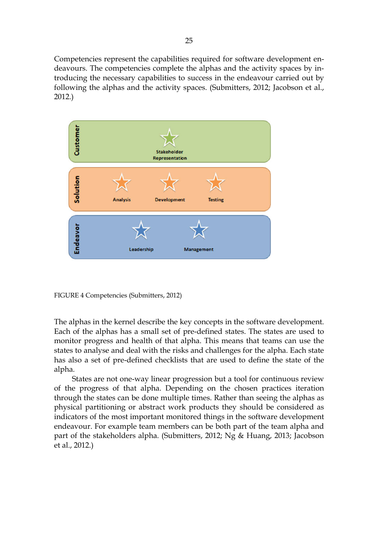Competencies represent the capabilities required for software development endeavours. The competencies complete the alphas and the activity spaces by introducing the necessary capabilities to success in the endeavour carried out by following the alphas and the activity spaces. (Submitters, 2012; Jacobson et al., 2012.)



FIGURE 4 Competencies (Submitters, 2012)

The alphas in the kernel describe the key concepts in the software development. Each of the alphas has a small set of pre-defined states. The states are used to monitor progress and health of that alpha. This means that teams can use the states to analyse and deal with the risks and challenges for the alpha. Each state has also a set of pre-defined checklists that are used to define the state of the alpha.

States are not one-way linear progression but a tool for continuous review of the progress of that alpha. Depending on the chosen practices iteration through the states can be done multiple times. Rather than seeing the alphas as physical partitioning or abstract work products they should be considered as indicators of the most important monitored things in the software development endeavour. For example team members can be both part of the team alpha and part of the stakeholders alpha. (Submitters, 2012; Ng & Huang, 2013; Jacobson et al., 2012.)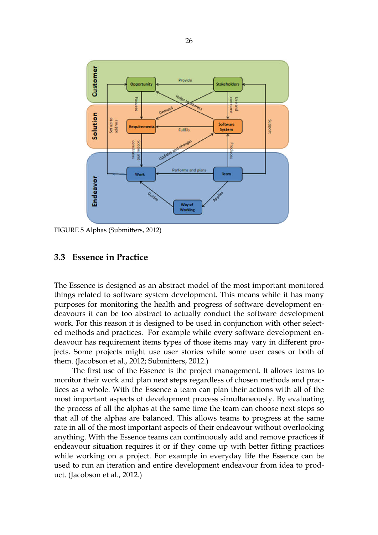

FIGURE 5 Alphas (Submitters, 2012)

#### 3.3 Essence in Practice

The Essence is designed as an abstract model of the most important monitored things related to software system development. This means while it has many purposes for monitoring the health and progress of software development endeavours it can be too abstract to actually conduct the software development work. For this reason it is designed to be used in conjunction with other selected methods and practices. For example while every software development endeavour has requirement items types of those items may vary in different projects. Some projects might use user stories while some user cases or both of them. (Jacobson et al., 2012; Submitters, 2012.)

The first use of the Essence is the project management. It allows teams to monitor their work and plan next steps regardless of chosen methods and practices as a whole. With the Essence a team can plan their actions with all of the most important aspects of development process simultaneously. By evaluating the process of all the alphas at the same time the team can choose next steps so that all of the alphas are balanced. This allows teams to progress at the same rate in all of the most important aspects of their endeavour without overlooking anything. With the Essence teams can continuously add and remove practices if endeavour situation requires it or if they come up with better fitting practices while working on a project. For example in everyday life the Essence can be used to run an iteration and entire development endeavour from idea to product. (Jacobson et al., 2012.)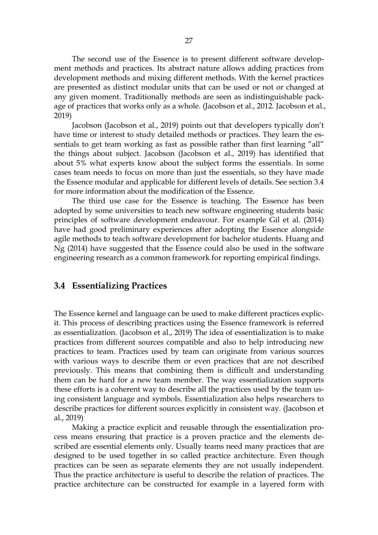The second use of the Essence is to present different software development methods and practices. Its abstract nature allows adding practices from development methods and mixing different methods. With the kernel practices are presented as distinct modular units that can be used or not or changed at any given moment. Traditionally methods are seen as indistinguishable package of practices that works only as a whole. (Jacobson et al., 2012. Jacobson et al., 2019)

Jacobson (Jacobson et al., 2019) points out that developers typically don't have time or interest to study detailed methods or practices. They learn the essentials to get team working as fast as possible rather than first learning "all" the things about subject. Jacobson (Jacobson et al., 2019) has identified that about 5% what experts know about the subject forms the essentials. In some cases team needs to focus on more than just the essentials, so they have made the Essence modular and applicable for different levels of details. See section 3.4 for more information about the modification of the Essence.

The third use case for the Essence is teaching. The Essence has been adopted by some universities to teach new software engineering students basic principles of software development endeavour. For example Gil et al. (2014) have had good preliminary experiences after adopting the Essence alongside agile methods to teach software development for bachelor students. Huang and Ng (2014) have suggested that the Essence could also be used in the software engineering research as a common framework for reporting empirical findings.

#### 3.4 Essentializing Practices

The Essence kernel and language can be used to make different practices explicit. This process of describing practices using the Essence framework is referred as essentialization. (Jacobson et al., 2019) The idea of essentialization is to make practices from different sources compatible and also to help introducing new practices to team. Practices used by team can originate from various sources with various ways to describe them or even practices that are not described previously. This means that combining them is difficult and understanding them can be hard for a new team member. The way essentialization supports these efforts is a coherent way to describe all the practices used by the team using consistent language and symbols. Essentialization also helps researchers to describe practices for different sources explicitly in consistent way. (Jacobson et al., 2019)

Making a practice explicit and reusable through the essentialization process means ensuring that practice is a proven practice and the elements described are essential elements only. Usually teams need many practices that are designed to be used together in so called practice architecture. Even though practices can be seen as separate elements they are not usually independent. Thus the practice architecture is useful to describe the relation of practices. The practice architecture can be constructed for example in a layered form with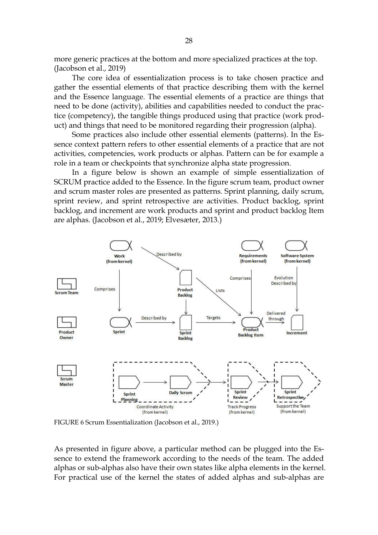more generic practices at the bottom and more specialized practices at the top. (Jacobson et al., 2019)

The core idea of essentialization process is to take chosen practice and gather the essential elements of that practice describing them with the kernel and the Essence language. The essential elements of a practice are things that need to be done (activity), abilities and capabilities needed to conduct the practice (competency), the tangible things produced using that practice (work product) and things that need to be monitored regarding their progression (alpha).

Some practices also include other essential elements (patterns). In the Essence context pattern refers to other essential elements of a practice that are not activities, competencies, work products or alphas. Pattern can be for example a role in a team or checkpoints that synchronize alpha state progression.

In a figure below is shown an example of simple essentialization of SCRUM practice added to the Essence. In the figure scrum team, product owner and scrum master roles are presented as patterns. Sprint planning, daily scrum, sprint review, and sprint retrospective are activities. Product backlog, sprint backlog, and increment are work products and sprint and product backlog Item are alphas. (Jacobson et al., 2019; Elvesæter, 2013.)



FIGURE 6 Scrum Essentialization (Jacobson et al., 2019.)

As presented in figure above, a particular method can be plugged into the Essence to extend the framework according to the needs of the team. The added alphas or sub-alphas also have their own states like alpha elements in the kernel. For practical use of the kernel the states of added alphas and sub-alphas are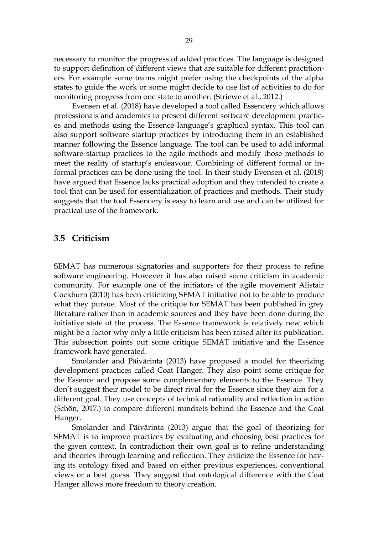necessary to monitor the progress of added practices. The language is designed to support definition of different views that are suitable for different practitioners. For example some teams might prefer using the checkpoints of the alpha states to guide the work or some might decide to use list of activities to do for monitoring progress from one state to another. (Striewe et al., 2012.)

Evensen et al. (2018) have developed a tool called Essencery which allows professionals and academics to present different software development practices and methods using the Essence language's graphical syntax. This tool can also support software startup practices by introducing them in an established manner following the Essence language. The tool can be used to add informal software startup practices to the agile methods and modify those methods to meet the reality of startup's endeavour. Combining of different formal or informal practices can be done using the tool. In their study Evensen et al. (2018) have argued that Essence lacks practical adoption and they intended to create a tool that can be used for essentialization of practices and methods. Their study suggests that the tool Essencery is easy to learn and use and can be utilized for practical use of the framework.

#### 3.5 Criticism

SEMAT has numerous signatories and supporters for their process to refine software engineering. However it has also raised some criticism in academic community. For example one of the initiators of the agile movement Alistair Cockburn (2010) has been criticizing SEMAT initiative not to be able to produce what they pursue. Most of the critique for SEMAT has been published in grey literature rather than in academic sources and they have been done during the initiative state of the process. The Essence framework is relatively new which might be a factor why only a little criticism has been raised after its publication. This subsection points out some critique SEMAT initiative and the Essence framework have generated.

Smolander and Päivärinta (2013) have proposed a model for theorizing development practices called Coat Hanger. They also point some critique for the Essence and propose some complementary elements to the Essence. They don't suggest their model to be direct rival for the Essence since they aim for a different goal. They use concepts of technical rationality and reflection in action (Schön, 2017.) to compare different mindsets behind the Essence and the Coat Hanger.

Smolander and Päivärinta (2013) argue that the goal of theorizing for SEMAT is to improve practices by evaluating and choosing best practices for the given context. In contradiction their own goal is to refine understanding and theories through learning and reflection. They criticize the Essence for having its ontology fixed and based on either previous experiences, conventional views or a best guess. They suggest that ontological difference with the Coat Hanger allows more freedom to theory creation.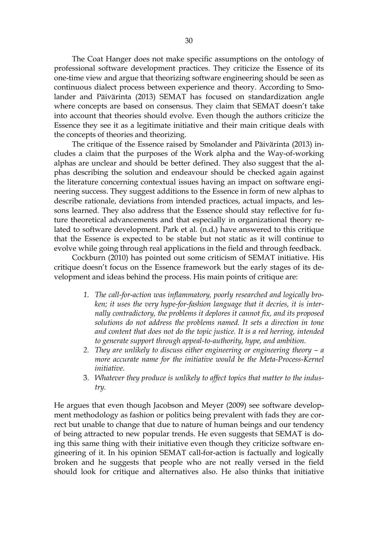The Coat Hanger does not make specific assumptions on the ontology of professional software development practices. They criticize the Essence of its one-time view and argue that theorizing software engineering should be seen as continuous dialect process between experience and theory. According to Smolander and Päivärinta (2013) SEMAT has focused on standardization angle where concepts are based on consensus. They claim that SEMAT doesn't take into account that theories should evolve. Even though the authors criticize the Essence they see it as a legitimate initiative and their main critique deals with the concepts of theories and theorizing.

The critique of the Essence raised by Smolander and Päivärinta (2013) includes a claim that the purposes of the Work alpha and the Way-of-working alphas are unclear and should be better defined. They also suggest that the alphas describing the solution and endeavour should be checked again against the literature concerning contextual issues having an impact on software engineering success. They suggest additions to the Essence in form of new alphas to describe rationale, deviations from intended practices, actual impacts, and lessons learned. They also address that the Essence should stay reflective for future theoretical advancements and that especially in organizational theory related to software development. Park et al. (n.d.) have answered to this critique that the Essence is expected to be stable but not static as it will continue to evolve while going through real applications in the field and through feedback.

Cockburn (2010) has pointed out some criticism of SEMAT initiative. His critique doesn't focus on the Essence framework but the early stages of its development and ideas behind the process. His main points of critique are:

- *1. The call-for-action was inflammatory, poorly researched and logically broken; it uses the very hype-for-fashion language that it decries, it is internally contradictory, the problems it deplores it cannot fix, and its proposed solutions do not address the problems named. It sets a direction in tone and content that does not do the topic justice. It is a red herring, intended to generate support through appeal-to-authority, hype, and ambition.*
- *2. They are unlikely to discuss either engineering or engineering theory – a more accurate name for the initiative would be the Meta-Process-Kernel initiative.*
- 3. *Whatever they produce is unlikely to affect topics that matter to the industry.*

He argues that even though Jacobson and Meyer (2009) see software development methodology as fashion or politics being prevalent with fads they are correct but unable to change that due to nature of human beings and our tendency of being attracted to new popular trends. He even suggests that SEMAT is doing this same thing with their initiative even though they criticize software engineering of it. In his opinion SEMAT call-for-action is factually and logically broken and he suggests that people who are not really versed in the field should look for critique and alternatives also. He also thinks that initiative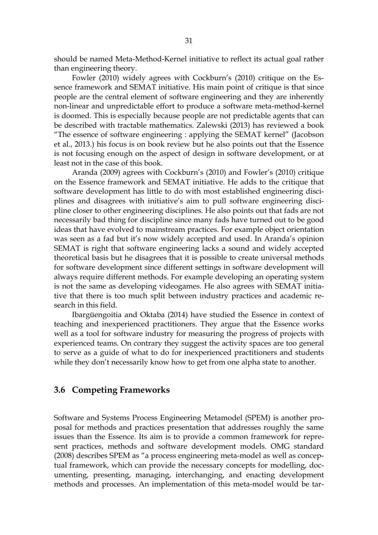should be named Meta-Method-Kernel initiative to reflect its actual goal rather than engineering theory.

Fowler (2010) widely agrees with Cockburn's (2010) critique on the Essence framework and SEMAT initiative. His main point of critique is that since people are the central element of software engineering and they are inherently non-linear and unpredictable effort to produce a software meta-method-kernel is doomed. This is especially because people are not predictable agents that can be described with tractable mathematics. Zalewski (2013) has reviewed a book "The essence of software engineering : applying the SEMAT kernel" (Jacobson et al., 2013.) his focus is on book review but he also points out that the Essence is not focusing enough on the aspect of design in software development, or at least not in the case of this book.

Aranda (2009) agrees with Cockburn's (2010) and Fowler's (2010) critique on the Essence framework and SEMAT initiative. He adds to the critique that software development has little to do with most established engineering disciplines and disagrees with initiative's aim to pull software engineering discipline closer to other engineering disciplines. He also points out that fads are not necessarily bad thing for discipline since many fads have turned out to be good ideas that have evolved to mainstream practices. For example object orientation was seen as a fad but it's now widely accepted and used. In Aranda's opinion SEMAT is right that software engineering lacks a sound and widely accepted theoretical basis but he disagrees that it is possible to create universal methods for software development since different settings in software development will always require different methods. For example developing an operating system is not the same as developing videogames. He also agrees with SEMAT initiative that there is too much split between industry practices and academic research in this field.

Ibargüengoitia and Oktaba (2014) have studied the Essence in context of teaching and inexperienced practitioners. They argue that the Essence works well as a tool for software industry for measuring the progress of projects with experienced teams. On contrary they suggest the activity spaces are too general to serve as a guide of what to do for inexperienced practitioners and students while they don't necessarily know how to get from one alpha state to another.

#### 3.6 Competing Frameworks

Software and Systems Process Engineering Metamodel (SPEM) is another proposal for methods and practices presentation that addresses roughly the same issues than the Essence. Its aim is to provide a common framework for represent practices, methods and software development models. OMG standard (2008) describes SPEM as "a process engineering meta-model as well as conceptual framework, which can provide the necessary concepts for modelling, documenting, presenting, managing, interchanging, and enacting development methods and processes. An implementation of this meta-model would be tar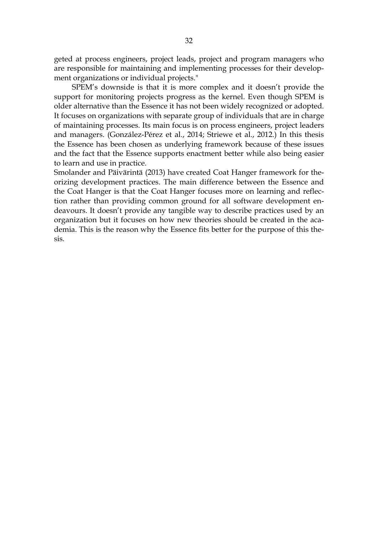geted at process engineers, project leads, project and program managers who are responsible for maintaining and implementing processes for their development organizations or individual projects."

SPEM's downside is that it is more complex and it doesn't provide the support for monitoring projects progress as the kernel. Even though SPEM is older alternative than the Essence it has not been widely recognized or adopted. It focuses on organizations with separate group of individuals that are in charge of maintaining processes. Its main focus is on process engineers, project leaders and managers. (González-Pérez et al., 2014; Striewe et al., 2012.) In this thesis the Essence has been chosen as underlying framework because of these issues and the fact that the Essence supports enactment better while also being easier to learn and use in practice.

Smolander and Päivärintä (2013) have created Coat Hanger framework for theorizing development practices. The main difference between the Essence and the Coat Hanger is that the Coat Hanger focuses more on learning and reflection rather than providing common ground for all software development endeavours. It doesn't provide any tangible way to describe practices used by an organization but it focuses on how new theories should be created in the academia. This is the reason why the Essence fits better for the purpose of this thesis.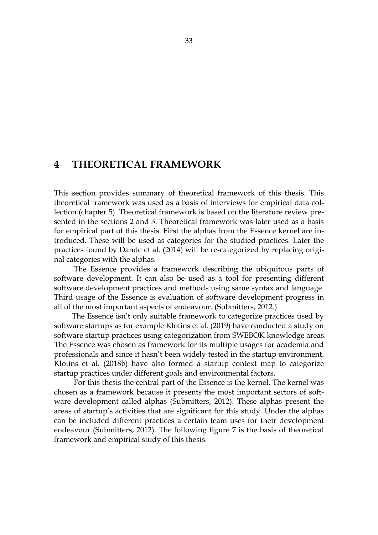# 4 THEORETICAL FRAMEWORK

This section provides summary of theoretical framework of this thesis. This theoretical framework was used as a basis of interviews for empirical data collection (chapter 5). Theoretical framework is based on the literature review presented in the sections 2 and 3. Theoretical framework was later used as a basis for empirical part of this thesis. First the alphas from the Essence kernel are introduced. These will be used as categories for the studied practices. Later the practices found by Dande et al. (2014) will be re-categorized by replacing original categories with the alphas.

The Essence provides a framework describing the ubiquitous parts of software development. It can also be used as a tool for presenting different software development practices and methods using same syntax and language. Third usage of the Essence is evaluation of software development progress in all of the most important aspects of endeavour. (Submitters, 2012.)

The Essence isn't only suitable framework to categorize practices used by software startups as for example Klotins et al. (2019) have conducted a study on software startup practices using categorization from SWEBOK knowledge areas. The Essence was chosen as framework for its multiple usages for academia and professionals and since it hasn't been widely tested in the startup environment. Klotins et al. (2018b) have also formed a startup context map to categorize startup practices under different goals and environmental factors.

For this thesis the central part of the Essence is the kernel. The kernel was chosen as a framework because it presents the most important sectors of software development called alphas (Submitters, 2012). These alphas present the areas of startup's activities that are significant for this study. Under the alphas can be included different practices a certain team uses for their development endeavour (Submitters, 2012). The following figure 7 is the basis of theoretical framework and empirical study of this thesis.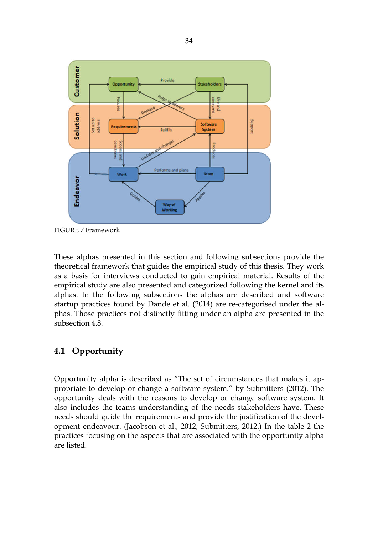

FIGURE 7 Framework

These alphas presented in this section and following subsections provide the theoretical framework that guides the empirical study of this thesis. They work as a basis for interviews conducted to gain empirical material. Results of the empirical study are also presented and categorized following the kernel and its alphas. In the following subsections the alphas are described and software startup practices found by Dande et al. (2014) are re-categorised under the alphas. Those practices not distinctly fitting under an alpha are presented in the subsection 4.8.

# 4.1 Opportunity

Opportunity alpha is described as "The set of circumstances that makes it appropriate to develop or change a software system." by Submitters (2012). The opportunity deals with the reasons to develop or change software system. It also includes the teams understanding of the needs stakeholders have. These needs should guide the requirements and provide the justification of the development endeavour. (Jacobson et al., 2012; Submitters, 2012.) In the table 2 the practices focusing on the aspects that are associated with the opportunity alpha are listed.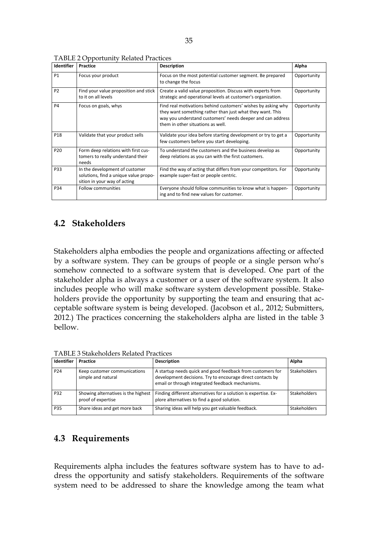| <b>Identifier</b> | Practice                                                                                                | <b>Description</b>                                                                                                                                                                                                           | Alpha       |
|-------------------|---------------------------------------------------------------------------------------------------------|------------------------------------------------------------------------------------------------------------------------------------------------------------------------------------------------------------------------------|-------------|
| <b>P1</b>         | Focus your product                                                                                      | Focus on the most potential customer segment. Be prepared<br>to change the focus                                                                                                                                             | Opportunity |
| P <sub>2</sub>    | Find your value proposition and stick<br>to it on all levels                                            | Create a valid value proposition. Discuss with experts from<br>strategic and operational levels at customer's organization.                                                                                                  | Opportunity |
| P <sub>4</sub>    | Focus on goals, whys                                                                                    | Find real motivations behind customers' wishes by asking why<br>they want something rather than just what they want. This<br>way you understand customers' needs deeper and can address<br>them in other situations as well. | Opportunity |
| P18               | Validate that your product sells                                                                        | Validate your idea before starting development or try to get a<br>few customers before you start developing.                                                                                                                 | Opportunity |
| P <sub>20</sub>   | Form deep relations with first cus-<br>tomers to really understand their<br>needs                       | To understand the customers and the business develop as<br>deep relations as you can with the first customers.                                                                                                               | Opportunity |
| P33               | In the development of customer<br>solutions, find a unique value propo-<br>sition in your way of acting | Find the way of acting that differs from your competitors. For<br>example super-fast or people centric.                                                                                                                      | Opportunity |
| P34               | <b>Follow communities</b>                                                                               | Everyone should follow communities to know what is happen-<br>ing and to find new values for customer.                                                                                                                       | Opportunity |

## 4.2 Stakeholders

Stakeholders alpha embodies the people and organizations affecting or affected by a software system. They can be groups of people or a single person who's somehow connected to a software system that is developed. One part of the stakeholder alpha is always a customer or a user of the software system. It also includes people who will make software system development possible. Stakeholders provide the opportunity by supporting the team and ensuring that acceptable software system is being developed. (Jacobson et al., 2012; Submitters, 2012.) The practices concerning the stakeholders alpha are listed in the table 3 bellow.

| Identifier      | Practice                                                  | <b>Description</b>                                                                                                                                                           | Alpha        |
|-----------------|-----------------------------------------------------------|------------------------------------------------------------------------------------------------------------------------------------------------------------------------------|--------------|
| P <sub>24</sub> | Keep customer communications<br>simple and natural        | A startup needs quick and good feedback from customers for<br>development decisions. Try to encourage direct contacts by<br>email or through integrated feedback mechanisms. | Stakeholders |
| P32             | Showing alternatives is the highest<br>proof of expertise | Finding different alternatives for a solution is expertise. Ex-<br>plore alternatives to find a good solution.                                                               | Stakeholders |
| P35             | Share ideas and get more back                             | Sharing ideas will help you get valuable feedback.                                                                                                                           | Stakeholders |

TABLE 3 Stakeholders Related Practices

## 4.3 Requirements

Requirements alpha includes the features software system has to have to address the opportunity and satisfy stakeholders. Requirements of the software system need to be addressed to share the knowledge among the team what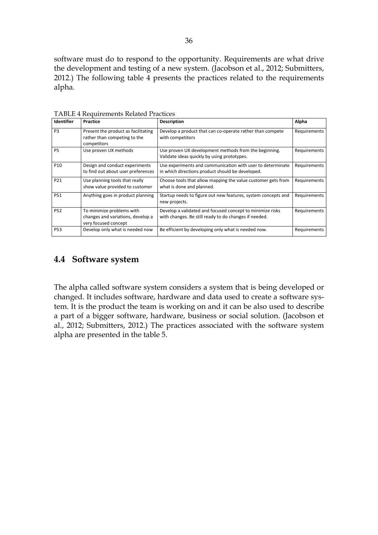software must do to respond to the opportunity. Requirements are what drive the development and testing of a new system. (Jacobson et al., 2012; Submitters, 2012.) The following table 4 presents the practices related to the requirements alpha.

| Identifier      | Practice                                                                               | <b>Description</b>                                                                                                 | Alpha        |
|-----------------|----------------------------------------------------------------------------------------|--------------------------------------------------------------------------------------------------------------------|--------------|
| P <sub>3</sub>  | Present the product as facilitating<br>rather than competing to the<br>competitors     | Develop a product that can co-operate rather than compete<br>with competitors                                      | Requirements |
| <b>P5</b>       | Use proven UX methods                                                                  | Use proven UX development methods from the beginning.<br>Validate ideas quickly by using prototypes.               | Requirements |
| P <sub>10</sub> | Design and conduct experiments<br>to find out about user preferences                   | Use experiments and communication with user to determinate<br>in which directions product should be developed.     | Requirements |
| P21             | Use planning tools that really<br>show value provided to customer                      | Choose tools that allow mapping the value customer gets from<br>what is done and planned.                          | Requirements |
| <b>P51</b>      | Anything goes in product planning                                                      | Startup needs to figure out new features, system concepts and<br>new projects.                                     | Requirements |
| <b>P52</b>      | To minimize problems with<br>changes and variations, develop a<br>very focused concept | Develop a validated and focused concept to minimize risks<br>with changes. Be still ready to do changes if needed. | Requirements |
| <b>P53</b>      | Develop only what is needed now                                                        | Be efficient by developing only what is needed now.                                                                | Requirements |

TABLE 4 Requirements Related Practices

## 4.4 Software system

The alpha called software system considers a system that is being developed or changed. It includes software, hardware and data used to create a software system. It is the product the team is working on and it can be also used to describe a part of a bigger software, hardware, business or social solution. (Jacobson et al., 2012; Submitters, 2012.) The practices associated with the software system alpha are presented in the table 5.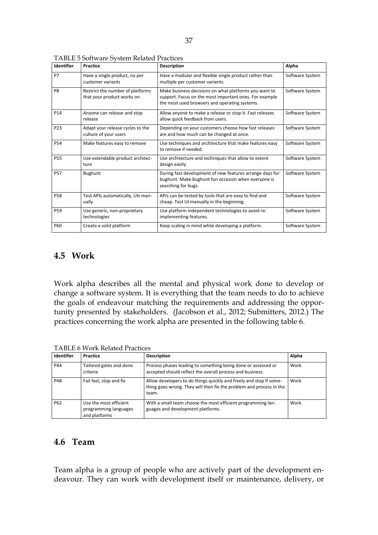|                 |                                                                |                                                                                                                                                                  | Alpha           |
|-----------------|----------------------------------------------------------------|------------------------------------------------------------------------------------------------------------------------------------------------------------------|-----------------|
| <b>P7</b>       | Have a single product, no per<br>customer variants             | Have a modular and flexible single product rather than<br>multiple per customer variants.                                                                        | Software System |
| P <sub>8</sub>  | Restrict the number of platforms<br>that your product works on | Make business decisions on what platforms you want to<br>support. Focus on the most important ones. For example<br>the most used browsers and operating systems. | Software System |
| P <sub>14</sub> | Anyone can release and stop<br>release                         | Allow anyone to make a release or stop it. Fast releases<br>allow quick feedback from users.                                                                     | Software System |
| P <sub>23</sub> | Adapt your release cycles to the<br>culture of your users      | Depending on your customers choose how fast releases<br>are and how much can be changed at once.                                                                 | Software System |
| <b>P54</b>      | Make features easy to remove                                   | Use techniques and architecture that make features easy<br>to remove if needed.                                                                                  | Software System |
| <b>P55</b>      | Use extendable product architec-<br>ture                       | Use architecture and techniques that allow to extent<br>design easily.                                                                                           | Software System |
| <b>P57</b>      | Bughunt                                                        | During fast development of new features arrange days for<br>bughunt. Make bughunt fun occasion when everyone is<br>searching for bugs.                           | Software System |
| <b>P58</b>      | Test APIs automatically, UIs man-<br>ually                     | APIs can be tested by tools that are easy to find and<br>cheap. Test UI manually in the beginning.                                                               | Software System |
| <b>P59</b>      | Use generic, non-proprietary<br>technologies                   | Use platform independent technologies to avoid re-<br>implementing features.                                                                                     | Software System |
| <b>P60</b>      | Create a solid platform                                        | Keep scaling in mind while developing a platform.                                                                                                                | Software System |

TABLE 5 Software System Related Practices

#### 4.5 Work

Work alpha describes all the mental and physical work done to develop or change a software system. It is everything that the team needs to do to achieve the goals of endeavour matching the requirements and addressing the opportunity presented by stakeholders. (Jacobson et al., 2012; Submitters, 2012.) The practices concerning the work alpha are presented in the following table 6.

TABLE 6 Work Related Practices

| Identifier | Practice                                                         | <b>Description</b>                                                                                                                                 | Alpha |
|------------|------------------------------------------------------------------|----------------------------------------------------------------------------------------------------------------------------------------------------|-------|
| P44        | Tailored gates and done<br>criteria                              | Process phases leading to something being done or assessed or<br>accepted should reflect the overall process and business.                         | Work  |
| <b>P48</b> | Fail fast, stop and fix                                          | Allow developers to do things quickly and freely and stop if some-<br>thing goes wrong. They will then fix the problem and process in the<br>team. | Work  |
| P62        | Use the most efficient<br>programming languages<br>and platforms | With a small team choose the most efficient programming lan-<br>guages and development platforms.                                                  | Work  |

## 4.6 Team

Team alpha is a group of people who are actively part of the development endeavour. They can work with development itself or maintenance, delivery, or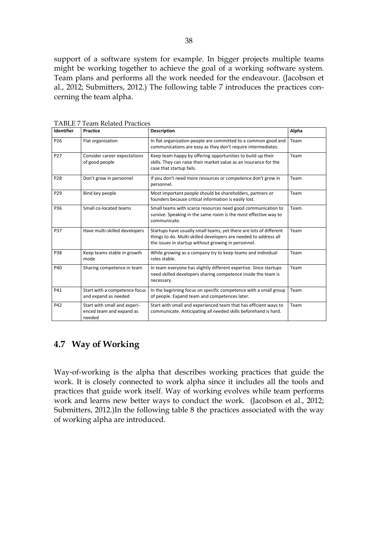support of a software system for example. In bigger projects multiple teams might be working together to achieve the goal of a working software system. Team plans and performs all the work needed for the endeavour. (Jacobson et al., 2012; Submitters, 2012.) The following table 7 introduces the practices concerning the team alpha.

| Identifier      | Practice                                                           | <b>Description</b>                                                                                                                                                                            | Alpha |
|-----------------|--------------------------------------------------------------------|-----------------------------------------------------------------------------------------------------------------------------------------------------------------------------------------------|-------|
| P <sub>26</sub> | Flat organization                                                  | In flat organization people are committed to a common good and<br>communications are easy as they don't require intermediates.                                                                | Team  |
| P <sub>27</sub> | Consider career expectations<br>of good people                     | Keep team happy by offering opportunities to build up their<br>skills. They can raise their market value as an insurance for the<br>case that startup fails.                                  | Team  |
| P <sub>28</sub> | Don't grow in personnel                                            | If you don't need more resources or competence don't grow in<br>personnel.                                                                                                                    | Team  |
| P <sub>29</sub> | Bind key people                                                    | Most important people should be shareholders, partners or<br>founders because critical information is easily lost.                                                                            | Team  |
| P36             | Small co-located teams                                             | Small teams with scarce resources need good communication to<br>survive. Speaking in the same room is the most effective way to<br>communicate.                                               | Team  |
| P37             | Have multi-skilled developers                                      | Startups have usually small teams, yet there are lots of different<br>things to do. Multi-skilled developers are needed to address all<br>the issues in startup without growing in personnel. | Team  |
| P38             | Keep teams stable in growth<br>mode                                | While growing as a company try to keep teams and individual<br>roles stable.                                                                                                                  | Team  |
| P40             | Sharing competence in team                                         | In team everyone has slightly different expertise. Since startups<br>need skilled developers sharing competence inside the team is<br>necessary.                                              | Team  |
| P41             | Start with a competence focus<br>and expand as needed              | In the beginning focus on specific competence with a small group<br>of people. Expand team and competences later.                                                                             | Team  |
| P42             | Start with small and experi-<br>enced team and expand as<br>needed | Start with small and experienced team that has efficient ways to<br>communicate. Anticipating all needed skills beforehand is hard.                                                           | Team  |

TABLE 7 Team Related Practices

# 4.7 Way of Working

Way-of-working is the alpha that describes working practices that guide the work. It is closely connected to work alpha since it includes all the tools and practices that guide work itself. Way of working evolves while team performs work and learns new better ways to conduct the work. (Jacobson et al., 2012; Submitters, 2012.)In the following table 8 the practices associated with the way of working alpha are introduced.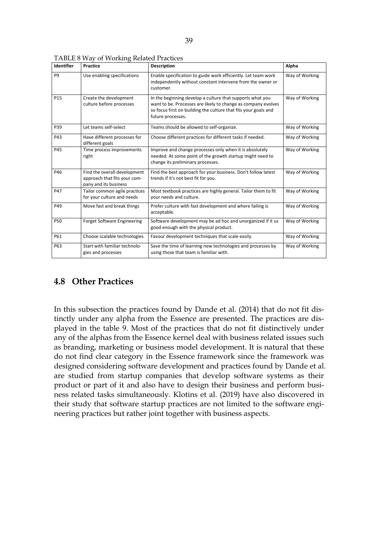| <b>Identifier</b> | <b>Practice</b>                                                                       | <b>Description</b>                                                                                                                                                                                                 | Alpha          |
|-------------------|---------------------------------------------------------------------------------------|--------------------------------------------------------------------------------------------------------------------------------------------------------------------------------------------------------------------|----------------|
| P <sub>9</sub>    | Use enabling specifications                                                           | Enable specification to guide work efficiently. Let team work<br>independently without constant intervene from the owner or<br>customer.                                                                           | Way of Working |
| P <sub>15</sub>   | Create the development<br>culture before processes                                    | In the beginning develop a culture that supports what you<br>want to be. Processes are likely to change as company evolves<br>so focus first on building the culture that fits your goals and<br>future processes. | Way of Working |
| P39               | Let teams self-select                                                                 | Teams should be allowed to self-organize.                                                                                                                                                                          | Way of Working |
| P43               | Have different processes for<br>different goals                                       | Choose different practices for different tasks if needed.                                                                                                                                                          | Way of Working |
| P45               | Time process improvements<br>right                                                    | Improve and change processes only when it is absolutely<br>needed. At some point of the growth startup might need to<br>change its preliminary processes.                                                          | Way of Working |
| P46               | Find the overall development<br>approach that fits your com-<br>pany and its business | Find the best approach for your business. Don't follow latest<br>trends if it's not best fit for you.                                                                                                              | Way of Working |
| P47               | Tailor common agile practices<br>for your culture and needs                           | Most textbook practices are highly general. Tailor them to fit<br>your needs and culture.                                                                                                                          | Way of Working |
| P49               | Move fast and break things                                                            | Prefer culture with fast development and where failing is<br>acceptable.                                                                                                                                           | Way of Working |
| P50               | <b>Forget Software Engineering</b>                                                    | Software development may be ad hoc and unorganized if it us<br>good enough with the physical product.                                                                                                              | Way of Working |
| P61               | Choose scalable technologies                                                          | Favour development techniques that scale easily.                                                                                                                                                                   | Way of Working |
| P63               | Start with familiar technolo-<br>gies and processes                                   | Save the time of learning new technologies and processes by<br>using those that team is familiar with.                                                                                                             | Way of Working |

TABLE 8 Way of Working Related Practices

### 4.8 Other Practices

In this subsection the practices found by Dande et al. (2014) that do not fit distinctly under any alpha from the Essence are presented. The practices are displayed in the table 9. Most of the practices that do not fit distinctively under any of the alphas from the Essence kernel deal with business related issues such as branding, marketing or business model development. It is natural that these do not find clear category in the Essence framework since the framework was designed considering software development and practices found by Dande et al. are studied from startup companies that develop software systems as their product or part of it and also have to design their business and perform business related tasks simultaneously. Klotins et al. (2019) have also discovered in their study that software startup practices are not limited to the software engineering practices but rather joint together with business aspects.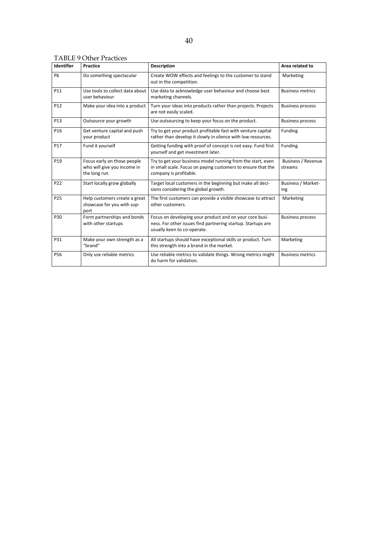| Identifier      | Practice                                                                   | <b>Description</b>                                                                                                                                     | Area related to                      |
|-----------------|----------------------------------------------------------------------------|--------------------------------------------------------------------------------------------------------------------------------------------------------|--------------------------------------|
| <b>P6</b>       | Do something spectacular                                                   | Create WOW effects and feelings to the customer to stand<br>out in the competition.                                                                    | Marketing                            |
| P11             | Use tools to collect data about<br>user behaviour                          | Use data to acknowledge user behaviour and choose best<br>marketing channels.                                                                          | <b>Business metrics</b>              |
| P <sub>12</sub> | Make your idea into a product                                              | Turn your ideas into products rather than projects. Projects<br>are not easily scaled.                                                                 | <b>Business process</b>              |
| P <sub>13</sub> | Outsource your growth                                                      | Use outsourcing to keep your focus on the product.                                                                                                     | <b>Business process</b>              |
| P <sub>16</sub> | Get venture capital and push<br>your product                               | Try to get your product profitable fast with venture capital<br>rather than develop it slowly in silence with low resources.                           | Funding                              |
| P <sub>17</sub> | Fund it yourself                                                           | Getting funding with proof of concept is not easy. Fund first<br>yourself and get investment later.                                                    | Funding                              |
| P <sub>19</sub> | Focus early on those people<br>who will give you income in<br>the long run | Try to get your business model running from the start, even<br>in small scale. Focus on paying customers to ensure that the<br>company is profitable.  | <b>Business / Revenue</b><br>streams |
| P <sub>22</sub> | Start locally grow globally                                                | Target local customers in the beginning but make all deci-<br>sions considering the global growth.                                                     | <b>Business / Market-</b><br>ing     |
| P25             | Help customers create a great<br>showcase for you with sup-<br>port        | The first customers can provide a visible showcase to attract<br>other customers.                                                                      | Marketing                            |
| P30             | Form partnerships and bonds<br>with other startups                         | Focus on developing your product and on your core busi-<br>ness. For other issues find partnering startup. Startups are<br>usually keen to co-operate. | <b>Business process</b>              |
| P31             | Make your own strength as a<br>"brand"                                     | All startups should have exceptional skills or product. Turn<br>this strength into a brand in the market.                                              | Marketing                            |
| P56             | Only use reliable metrics                                                  | Use reliable metrics to validate things. Wrong metrics might<br>do harm for validation.                                                                | <b>Business metrics</b>              |

TABLE 9 Other Practices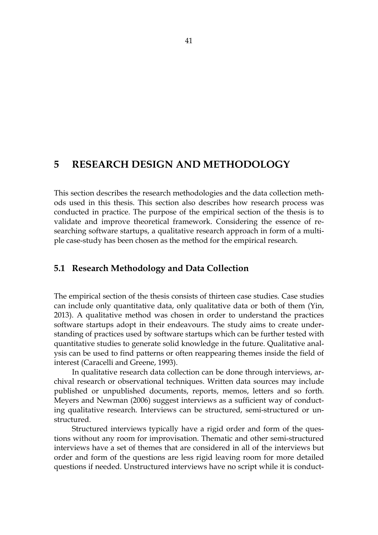# 5 RESEARCH DESIGN AND METHODOLOGY

This section describes the research methodologies and the data collection methods used in this thesis. This section also describes how research process was conducted in practice. The purpose of the empirical section of the thesis is to validate and improve theoretical framework. Considering the essence of researching software startups, a qualitative research approach in form of a multiple case-study has been chosen as the method for the empirical research.

### 5.1 Research Methodology and Data Collection

The empirical section of the thesis consists of thirteen case studies. Case studies can include only quantitative data, only qualitative data or both of them (Yin, 2013). A qualitative method was chosen in order to understand the practices software startups adopt in their endeavours. The study aims to create understanding of practices used by software startups which can be further tested with quantitative studies to generate solid knowledge in the future. Qualitative analysis can be used to find patterns or often reappearing themes inside the field of interest (Caracelli and Greene, 1993).

In qualitative research data collection can be done through interviews, archival research or observational techniques. Written data sources may include published or unpublished documents, reports, memos, letters and so forth. Meyers and Newman (2006) suggest interviews as a sufficient way of conducting qualitative research. Interviews can be structured, semi-structured or unstructured.

Structured interviews typically have a rigid order and form of the questions without any room for improvisation. Thematic and other semi-structured interviews have a set of themes that are considered in all of the interviews but order and form of the questions are less rigid leaving room for more detailed questions if needed. Unstructured interviews have no script while it is conduct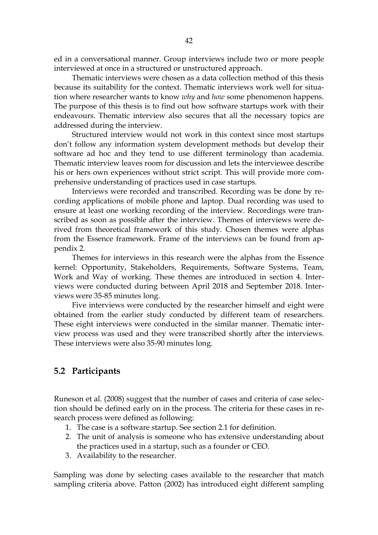ed in a conversational manner. Group interviews include two or more people interviewed at once in a structured or unstructured approach.

Thematic interviews were chosen as a data collection method of this thesis because its suitability for the context. Thematic interviews work well for situation where researcher wants to know *why* and *how* some phenomenon happens. The purpose of this thesis is to find out how software startups work with their endeavours. Thematic interview also secures that all the necessary topics are addressed during the interview.

Structured interview would not work in this context since most startups don't follow any information system development methods but develop their software ad hoc and they tend to use different terminology than academia. Thematic interview leaves room for discussion and lets the interviewee describe his or hers own experiences without strict script. This will provide more comprehensive understanding of practices used in case startups.

Interviews were recorded and transcribed. Recording was be done by recording applications of mobile phone and laptop. Dual recording was used to ensure at least one working recording of the interview. Recordings were transcribed as soon as possible after the interview. Themes of interviews were derived from theoretical framework of this study. Chosen themes were alphas from the Essence framework. Frame of the interviews can be found from appendix 2.

Themes for interviews in this research were the alphas from the Essence kernel: Opportunity, Stakeholders, Requirements, Software Systems, Team, Work and Way of working. These themes are introduced in section 4. Interviews were conducted during between April 2018 and September 2018. Interviews were 35-85 minutes long.

Five interviews were conducted by the researcher himself and eight were obtained from the earlier study conducted by different team of researchers. These eight interviews were conducted in the similar manner. Thematic interview process was used and they were transcribed shortly after the interviews. These interviews were also 35-90 minutes long.

# 5.2 Participants

Runeson et al. (2008) suggest that the number of cases and criteria of case selection should be defined early on in the process. The criteria for these cases in research process were defined as following:

- 1. The case is a software startup. See section 2.1 for definition.
- 2. The unit of analysis is someone who has extensive understanding about the practices used in a startup, such as a founder or CEO.
- 3. Availability to the researcher.

Sampling was done by selecting cases available to the researcher that match sampling criteria above. Patton (2002) has introduced eight different sampling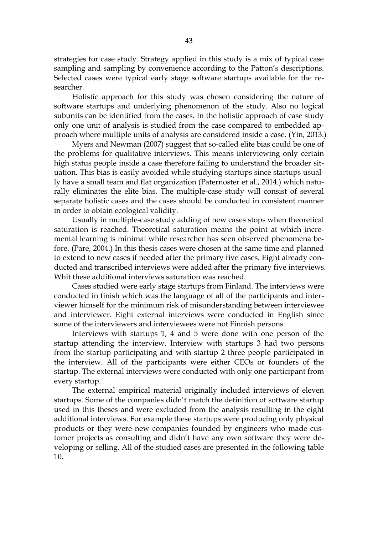strategies for case study. Strategy applied in this study is a mix of typical case sampling and sampling by convenience according to the Patton's descriptions. Selected cases were typical early stage software startups available for the researcher.

Holistic approach for this study was chosen considering the nature of software startups and underlying phenomenon of the study. Also no logical subunits can be identified from the cases. In the holistic approach of case study only one unit of analysis is studied from the case compared to embedded approach where multiple units of analysis are considered inside a case. (Yin, 2013.)

Myers and Newman (2007) suggest that so-called elite bias could be one of the problems for qualitative interviews. This means interviewing only certain high status people inside a case therefore failing to understand the broader situation. This bias is easily avoided while studying startups since startups usually have a small team and flat organization (Paternoster et al., 2014.) which naturally eliminates the elite bias. The multiple-case study will consist of several separate holistic cases and the cases should be conducted in consistent manner in order to obtain ecological validity.

Usually in multiple-case study adding of new cases stops when theoretical saturation is reached. Theoretical saturation means the point at which incremental learning is minimal while researcher has seen observed phenomena before. (Pare, 2004.) In this thesis cases were chosen at the same time and planned to extend to new cases if needed after the primary five cases. Eight already conducted and transcribed interviews were added after the primary five interviews. Whit these additional interviews saturation was reached.

Cases studied were early stage startups from Finland. The interviews were conducted in finish which was the language of all of the participants and interviewer himself for the minimum risk of misunderstanding between interviewee and interviewer. Eight external interviews were conducted in English since some of the interviewers and interviewees were not Finnish persons.

Interviews with startups 1, 4 and 5 were done with one person of the startup attending the interview. Interview with startups 3 had two persons from the startup participating and with startup 2 three people participated in the interview. All of the participants were either CEOs or founders of the startup. The external interviews were conducted with only one participant from every startup.

The external empirical material originally included interviews of eleven startups. Some of the companies didn't match the definition of software startup used in this theses and were excluded from the analysis resulting in the eight additional interviews. For example these startups were producing only physical products or they were new companies founded by engineers who made customer projects as consulting and didn't have any own software they were developing or selling. All of the studied cases are presented in the following table 10.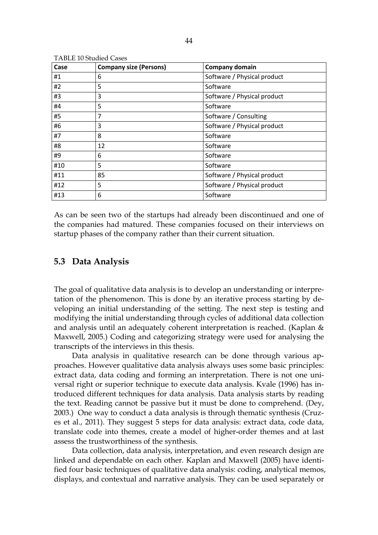| Case | <b>Company size (Persons)</b> | <b>Company domain</b>       |
|------|-------------------------------|-----------------------------|
| #1   | 6                             | Software / Physical product |
| #2   | 5                             | Software                    |
| #3   | 3                             | Software / Physical product |
| #4   | 5                             | Software                    |
| #5   | 7                             | Software / Consulting       |
| #6   | 3                             | Software / Physical product |
| #7   | 8                             | Software                    |
| #8   | 12                            | Software                    |
| #9   | 6                             | Software                    |
| #10  | 5                             | Software                    |
| #11  | 85                            | Software / Physical product |
| #12  | 5                             | Software / Physical product |
| #13  | 6                             | Software                    |

TABLE 10 Studied Cases

As can be seen two of the startups had already been discontinued and one of the companies had matured. These companies focused on their interviews on startup phases of the company rather than their current situation.

#### 5.3 Data Analysis

The goal of qualitative data analysis is to develop an understanding or interpretation of the phenomenon. This is done by an iterative process starting by developing an initial understanding of the setting. The next step is testing and modifying the initial understanding through cycles of additional data collection and analysis until an adequately coherent interpretation is reached. (Kaplan & Maxwell, 2005.) Coding and categorizing strategy were used for analysing the transcripts of the interviews in this thesis.

Data analysis in qualitative research can be done through various approaches. However qualitative data analysis always uses some basic principles: extract data, data coding and forming an interpretation. There is not one universal right or superior technique to execute data analysis. Kvale (1996) has introduced different techniques for data analysis. Data analysis starts by reading the text. Reading cannot be passive but it must be done to comprehend. (Dey, 2003.) One way to conduct a data analysis is through thematic synthesis (Cruzes et al., 2011). They suggest 5 steps for data analysis: extract data, code data, translate code into themes, create a model of higher-order themes and at last assess the trustworthiness of the synthesis.

Data collection, data analysis, interpretation, and even research design are linked and dependable on each other. Kaplan and Maxwell (2005) have identified four basic techniques of qualitative data analysis: coding, analytical memos, displays, and contextual and narrative analysis. They can be used separately or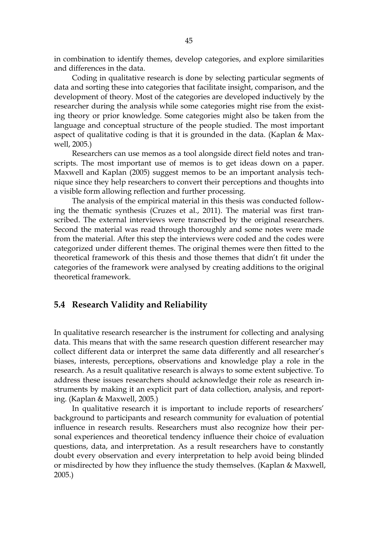in combination to identify themes, develop categories, and explore similarities and differences in the data.

Coding in qualitative research is done by selecting particular segments of data and sorting these into categories that facilitate insight, comparison, and the development of theory. Most of the categories are developed inductively by the researcher during the analysis while some categories might rise from the existing theory or prior knowledge. Some categories might also be taken from the language and conceptual structure of the people studied. The most important aspect of qualitative coding is that it is grounded in the data. (Kaplan & Maxwell, 2005.)

Researchers can use memos as a tool alongside direct field notes and transcripts. The most important use of memos is to get ideas down on a paper. Maxwell and Kaplan (2005) suggest memos to be an important analysis technique since they help researchers to convert their perceptions and thoughts into a visible form allowing reflection and further processing.

The analysis of the empirical material in this thesis was conducted following the thematic synthesis (Cruzes et al., 2011). The material was first transcribed. The external interviews were transcribed by the original researchers. Second the material was read through thoroughly and some notes were made from the material. After this step the interviews were coded and the codes were categorized under different themes. The original themes were then fitted to the theoretical framework of this thesis and those themes that didn't fit under the categories of the framework were analysed by creating additions to the original theoretical framework.

#### 5.4 Research Validity and Reliability

In qualitative research researcher is the instrument for collecting and analysing data. This means that with the same research question different researcher may collect different data or interpret the same data differently and all researcher's biases, interests, perceptions, observations and knowledge play a role in the research. As a result qualitative research is always to some extent subjective. To address these issues researchers should acknowledge their role as research instruments by making it an explicit part of data collection, analysis, and reporting. (Kaplan & Maxwell, 2005.)

In qualitative research it is important to include reports of researchers' background to participants and research community for evaluation of potential influence in research results. Researchers must also recognize how their personal experiences and theoretical tendency influence their choice of evaluation questions, data, and interpretation. As a result researchers have to constantly doubt every observation and every interpretation to help avoid being blinded or misdirected by how they influence the study themselves. (Kaplan & Maxwell, 2005.)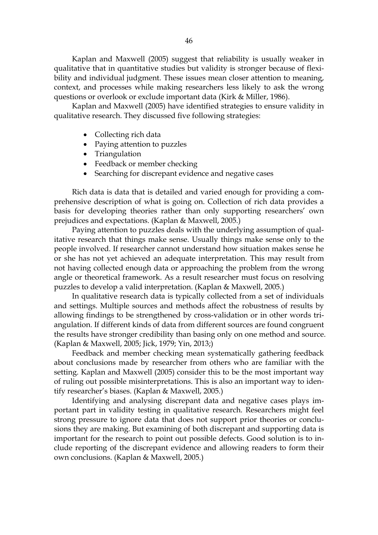Kaplan and Maxwell (2005) suggest that reliability is usually weaker in qualitative that in quantitative studies but validity is stronger because of flexibility and individual judgment. These issues mean closer attention to meaning, context, and processes while making researchers less likely to ask the wrong questions or overlook or exclude important data (Kirk & Miller, 1986).

Kaplan and Maxwell (2005) have identified strategies to ensure validity in qualitative research. They discussed five following strategies:

- Collecting rich data
- Paying attention to puzzles
- Triangulation
- Feedback or member checking
- Searching for discrepant evidence and negative cases

Rich data is data that is detailed and varied enough for providing a comprehensive description of what is going on. Collection of rich data provides a basis for developing theories rather than only supporting researchers' own prejudices and expectations. (Kaplan & Maxwell, 2005.)

Paying attention to puzzles deals with the underlying assumption of qualitative research that things make sense. Usually things make sense only to the people involved. If researcher cannot understand how situation makes sense he or she has not yet achieved an adequate interpretation. This may result from not having collected enough data or approaching the problem from the wrong angle or theoretical framework. As a result researcher must focus on resolving puzzles to develop a valid interpretation. (Kaplan & Maxwell, 2005.)

In qualitative research data is typically collected from a set of individuals and settings. Multiple sources and methods affect the robustness of results by allowing findings to be strengthened by cross-validation or in other words triangulation. If different kinds of data from different sources are found congruent the results have stronger credibility than basing only on one method and source. (Kaplan & Maxwell, 2005; Jick, 1979; Yin, 2013;)

Feedback and member checking mean systematically gathering feedback about conclusions made by researcher from others who are familiar with the setting. Kaplan and Maxwell (2005) consider this to be the most important way of ruling out possible misinterpretations. This is also an important way to identify researcher's biases. (Kaplan & Maxwell, 2005.)

Identifying and analysing discrepant data and negative cases plays important part in validity testing in qualitative research. Researchers might feel strong pressure to ignore data that does not support prior theories or conclusions they are making. But examining of both discrepant and supporting data is important for the research to point out possible defects. Good solution is to include reporting of the discrepant evidence and allowing readers to form their own conclusions. (Kaplan & Maxwell, 2005.)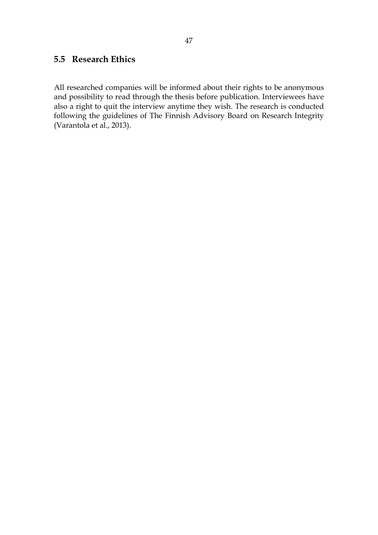## 5.5 Research Ethics

All researched companies will be informed about their rights to be anonymous and possibility to read through the thesis before publication. Interviewees have also a right to quit the interview anytime they wish. The research is conducted following the guidelines of The Finnish Advisory Board on Research Integrity (Varantola et al., 2013).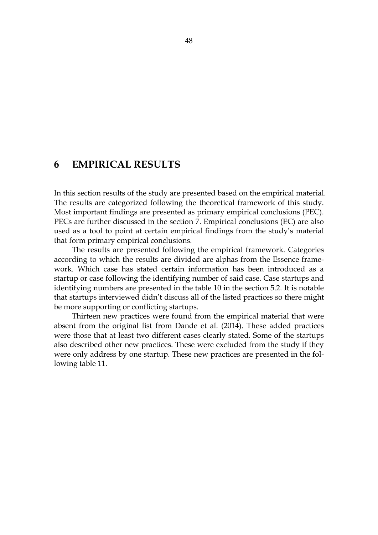# 6 EMPIRICAL RESULTS

In this section results of the study are presented based on the empirical material. The results are categorized following the theoretical framework of this study. Most important findings are presented as primary empirical conclusions (PEC). PECs are further discussed in the section 7. Empirical conclusions (EC) are also used as a tool to point at certain empirical findings from the study's material that form primary empirical conclusions.

The results are presented following the empirical framework. Categories according to which the results are divided are alphas from the Essence framework. Which case has stated certain information has been introduced as a startup or case following the identifying number of said case. Case startups and identifying numbers are presented in the table 10 in the section 5.2. It is notable that startups interviewed didn't discuss all of the listed practices so there might be more supporting or conflicting startups.

Thirteen new practices were found from the empirical material that were absent from the original list from Dande et al. (2014). These added practices were those that at least two different cases clearly stated. Some of the startups also described other new practices. These were excluded from the study if they were only address by one startup. These new practices are presented in the following table 11.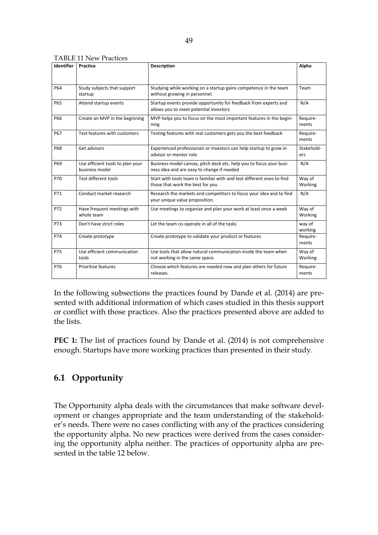|  | <b>TABLE 11 New Practices</b> |
|--|-------------------------------|
|--|-------------------------------|

| Identifier | Practice                                           | <b>Description</b>                                                                                                | Alpha             |
|------------|----------------------------------------------------|-------------------------------------------------------------------------------------------------------------------|-------------------|
|            |                                                    |                                                                                                                   |                   |
| P64        | Study subjects that support<br>startup             | Studying while working on a startup gains competence in the team<br>without growing in personnel.                 | Team              |
| P65        | Attend startup events                              | Startup events provide opportunity for feedback from experts and<br>allows you to meet potential investors        | N/A               |
| <b>P66</b> | Create an MVP in the beginning                     | MVP helps you to focus on the most important features in the begin-<br>ning                                       | Require-<br>ments |
| <b>P67</b> | Test features with customers                       | Testing features with real customers gets you the best feedback                                                   | Require-<br>ments |
| <b>P68</b> | Get advisors                                       | Experienced professionals or investors can help startup to grow in<br>advisor or mentor role                      | Stakehold-<br>ers |
| P69        | Use efficient tools to plan your<br>business model | Business model canvas, pitch deck etc. help you to focus your busi-<br>ness idea and are easy to change if needed | N/A               |
| P70        | Test different tools                               | Start with tools team is familiar with and test different ones to find<br>those that work the best for you        | Way of<br>Working |
| P71        | Conduct market research                            | Research the markets and competitors to focus your idea and to find<br>your unique value proposition.             | N/A               |
| P72        | Have frequent meetings with<br>whole team          | Use meetings to organize and plan your work at least once a week                                                  | Way of<br>Working |
| P73        | Don't have strict roles                            | Let the team co-operate in all of the tasks                                                                       | way of<br>working |
| P74        | Create prototype                                   | Create prototype to validate your product or features                                                             | Require-<br>ments |
| P75        | Use efficient communication<br>tools               | Use tools that allow natural communication inside the team when<br>not working in the same space.                 | Way of<br>Working |
| P76        | Prioritize features                                | Choose which features are needed now and plan others for future<br>releases.                                      | Require-<br>ments |

In the following subsections the practices found by Dande et al. (2014) are presented with additional information of which cases studied in this thesis support or conflict with those practices. Also the practices presented above are added to the lists.

PEC 1: The list of practices found by Dande et al. (2014) is not comprehensive enough. Startups have more working practices than presented in their study.

# 6.1 Opportunity

The Opportunity alpha deals with the circumstances that make software development or changes appropriate and the team understanding of the stakeholder's needs. There were no cases conflicting with any of the practices considering the opportunity alpha. No new practices were derived from the cases considering the opportunity alpha neither. The practices of opportunity alpha are presented in the table 12 below.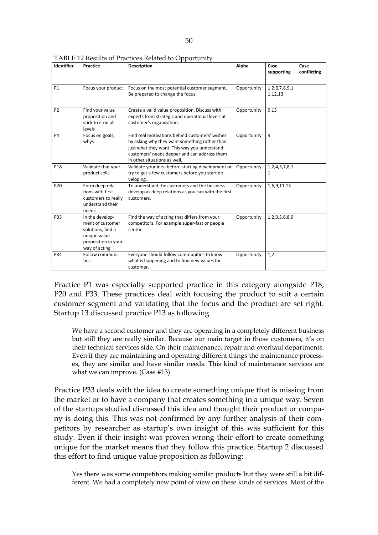| Identifier      | <b>Practice</b>                                                                                                  | <b>Description</b>                                                                                                                                                                                                              | Alpha       | Case<br>supporting             | Case<br>conflicting |
|-----------------|------------------------------------------------------------------------------------------------------------------|---------------------------------------------------------------------------------------------------------------------------------------------------------------------------------------------------------------------------------|-------------|--------------------------------|---------------------|
| <b>P1</b>       | Focus your product                                                                                               | Focus on the most potential customer segment.<br>Be prepared to change the focus                                                                                                                                                | Opportunity | 1, 2, 6, 7, 8, 9, 1<br>1,12,13 |                     |
| P <sub>2</sub>  | Find your value<br>proposition and<br>stick to it on all<br>levels                                               | Create a valid value proposition. Discuss with<br>experts from strategic and operational levels at<br>customer's organization.                                                                                                  | Opportunity | 9,13                           |                     |
| <b>P4</b>       | Focus on goals,<br>whys                                                                                          | Find real motivations behind customers' wishes<br>by asking why they want something rather than<br>just what they want. This way you understand<br>customers' needs deeper and can address them<br>in other situations as well. | Opportunity | 9                              |                     |
| P18             | Validate that your<br>product sells                                                                              | Validate your idea before starting development or<br>try to get a few customers before you start de-<br>veloping.                                                                                                               | Opportunity | 1, 2, 4, 5, 7, 8, 1<br>1       |                     |
| P <sub>20</sub> | Form deep rela-<br>tions with first<br>customers to really<br>understand their<br>needs                          | To understand the customers and the business<br>develop as deep relations as you can with the first<br>customers.                                                                                                               | Opportunity | 1,6,9,11,13                    |                     |
| P33             | In the develop-<br>ment of customer<br>solutions, find a<br>unique value<br>proposition in your<br>way of acting | Find the way of acting that differs from your<br>competitors. For example super-fast or people<br>centric.                                                                                                                      | Opportunity | 1,2,3,5,6,8,9                  |                     |
| P34             | Follow communi-<br>ties                                                                                          | Everyone should follow communities to know<br>what is happening and to find new values for<br>customer.                                                                                                                         | Opportunity | 1,2                            |                     |

TABLE 12 Results of Practices Related to Opportunity

Practice P1 was especially supported practice in this category alongside P18, P20 and P33. These practices deal with focusing the product to suit a certain customer segment and validating that the focus and the product are set right. Startup 13 discussed practice P13 as following.

We have a second customer and they are operating in a completely different business but still they are really similar. Because our main target in those customers, it's on their technical services side. On their maintenance, repair and overhaul departments. Even if they are maintaining and operating different things the maintenance processes, they are similar and have similar needs. This kind of maintenance services are what we can improve. (Case #13)

Practice P33 deals with the idea to create something unique that is missing from the market or to have a company that creates something in a unique way. Seven of the startups studied discussed this idea and thought their product or company is doing this. This was not confirmed by any further analysis of their competitors by researcher as startup's own insight of this was sufficient for this study. Even if their insight was proven wrong their effort to create something unique for the market means that they follow this practice. Startup 2 discussed this effort to find unique value proposition as following:

Yes there was some competitors making similar products but they were still a bit different. We had a completely new point of view on these kinds of services. Most of the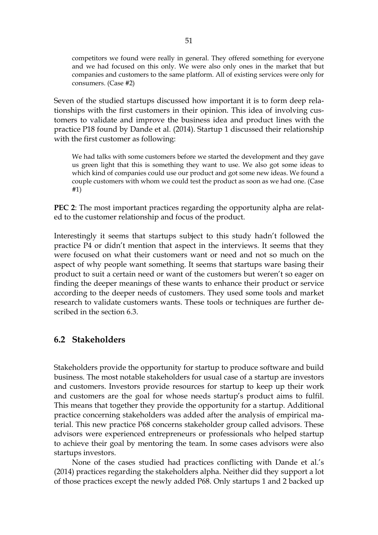competitors we found were really in general. They offered something for everyone and we had focused on this only. We were also only ones in the market that but companies and customers to the same platform. All of existing services were only for consumers. (Case #2)

Seven of the studied startups discussed how important it is to form deep relationships with the first customers in their opinion. This idea of involving customers to validate and improve the business idea and product lines with the practice P18 found by Dande et al. (2014). Startup 1 discussed their relationship with the first customer as following:

We had talks with some customers before we started the development and they gave us green light that this is something they want to use. We also got some ideas to which kind of companies could use our product and got some new ideas. We found a couple customers with whom we could test the product as soon as we had one. (Case #1)

PEC 2: The most important practices regarding the opportunity alpha are related to the customer relationship and focus of the product.

Interestingly it seems that startups subject to this study hadn't followed the practice P4 or didn't mention that aspect in the interviews. It seems that they were focused on what their customers want or need and not so much on the aspect of why people want something. It seems that startups ware basing their product to suit a certain need or want of the customers but weren't so eager on finding the deeper meanings of these wants to enhance their product or service according to the deeper needs of customers. They used some tools and market research to validate customers wants. These tools or techniques are further described in the section 6.3.

### 6.2 Stakeholders

Stakeholders provide the opportunity for startup to produce software and build business. The most notable stakeholders for usual case of a startup are investors and customers. Investors provide resources for startup to keep up their work and customers are the goal for whose needs startup's product aims to fulfil. This means that together they provide the opportunity for a startup. Additional practice concerning stakeholders was added after the analysis of empirical material. This new practice P68 concerns stakeholder group called advisors. These advisors were experienced entrepreneurs or professionals who helped startup to achieve their goal by mentoring the team. In some cases advisors were also startups investors.

None of the cases studied had practices conflicting with Dande et al.'s (2014) practices regarding the stakeholders alpha. Neither did they support a lot of those practices except the newly added P68. Only startups 1 and 2 backed up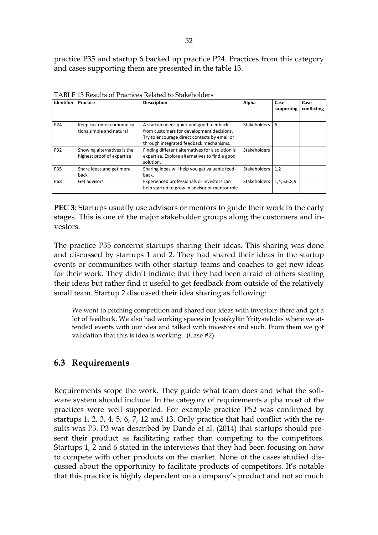practice P35 and startup 6 backed up practice P24. Practices from this category and cases supporting them are presented in the table 13.

| Identifier | Practice                                                  | <b>Description</b>                                                                                                                                                              | Alpha               | Case<br>supporting | Case<br>conflicting |
|------------|-----------------------------------------------------------|---------------------------------------------------------------------------------------------------------------------------------------------------------------------------------|---------------------|--------------------|---------------------|
| P24        | Keep customer communica-<br>tions simple and natural      | A startup needs quick and good feedback<br>from customers for development decisions.<br>Try to encourage direct contacts by email or<br>through integrated feedback mechanisms. | Stakeholders        | 6                  |                     |
| P32        | Showing alternatives is the<br>highest proof of expertise | Finding different alternatives for a solution is<br>expertise. Explore alternatives to find a good<br>solution.                                                                 | <b>Stakeholders</b> |                    |                     |
| P35        | Share ideas and get more<br>back                          | Sharing ideas will help you get valuable feed-<br>back.                                                                                                                         | <b>Stakeholders</b> | 1.2                |                     |
| <b>P68</b> | Get advisors                                              | Experienced professionals or investors can<br>help startup to grow in advisor or mentor role                                                                                    | Stakeholders        | 1,4,5,6,8,9        |                     |

TABLE 13 Results of Practices Related to Stakeholders

PEC 3: Startups usually use advisors or mentors to guide their work in the early stages. This is one of the major stakeholder groups along the customers and investors.

The practice P35 concerns startups sharing their ideas. This sharing was done and discussed by startups 1 and 2. They had shared their ideas in the startup events or communities with other startup teams and coaches to get new ideas for their work. They didn't indicate that they had been afraid of others stealing their ideas but rather find it useful to get feedback from outside of the relatively small team. Startup 2 discussed their idea sharing as following:

We went to pitching competition and shared our ideas with investors there and got a lot of feedback. We also had working spaces in Jyväskylän Yritystehdas where we attended events with our idea and talked with investors and such. From them we got validation that this is idea is working. (Case #2)

### 6.3 Requirements

Requirements scope the work. They guide what team does and what the software system should include. In the category of requirements alpha most of the practices were well supported. For example practice P52 was confirmed by startups 1, 2, 3, 4, 5, 6, 7, 12 and 13. Only practice that had conflict with the results was P3. P3 was described by Dande et al. (2014) that startups should present their product as facilitating rather than competing to the competitors. Startups 1, 2 and 6 stated in the interviews that they had been focusing on how to compete with other products on the market. None of the cases studied discussed about the opportunity to facilitate products of competitors. It's notable that this practice is highly dependent on a company's product and not so much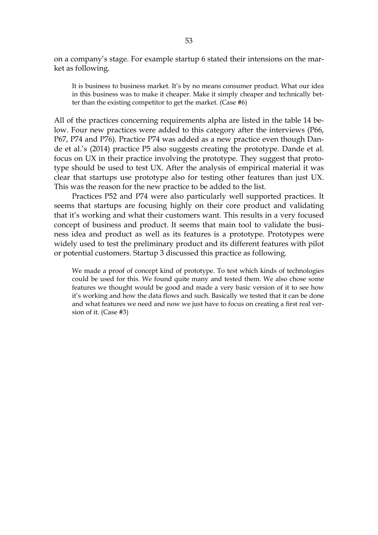on a company's stage. For example startup 6 stated their intensions on the market as following.

It is business to business market. It's by no means consumer product. What our idea in this business was to make it cheaper. Make it simply cheaper and technically better than the existing competitor to get the market. (Case #6)

All of the practices concerning requirements alpha are listed in the table 14 below. Four new practices were added to this category after the interviews (P66, P67, P74 and P76). Practice P74 was added as a new practice even though Dande et al.'s (2014) practice P5 also suggests creating the prototype. Dande et al. focus on UX in their practice involving the prototype. They suggest that prototype should be used to test UX. After the analysis of empirical material it was clear that startups use prototype also for testing other features than just UX. This was the reason for the new practice to be added to the list.

Practices P52 and P74 were also particularly well supported practices. It seems that startups are focusing highly on their core product and validating that it's working and what their customers want. This results in a very focused concept of business and product. It seems that main tool to validate the business idea and product as well as its features is a prototype. Prototypes were widely used to test the preliminary product and its different features with pilot or potential customers. Startup 3 discussed this practice as following.

We made a proof of concept kind of prototype. To test which kinds of technologies could be used for this. We found quite many and tested them. We also chose some features we thought would be good and made a very basic version of it to see how it's working and how the data flows and such. Basically we tested that it can be done and what features we need and now we just have to focus on creating a first real version of it. (Case #3)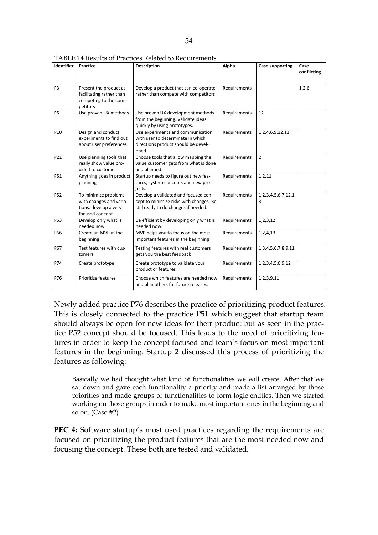| Identifier      | Practice                                                                                    | <b>Description</b>                                                                                                      | Alpha        | <b>Case supporting</b>          | Case<br>conflicting |
|-----------------|---------------------------------------------------------------------------------------------|-------------------------------------------------------------------------------------------------------------------------|--------------|---------------------------------|---------------------|
| P <sub>3</sub>  | Present the product as<br>facilitating rather than<br>competing to the com-<br>petitors     | Develop a product that can co-operate<br>rather than compete with competitors                                           | Requirements |                                 | 1,2,6               |
| P <sub>5</sub>  | Use proven UX methods                                                                       | Use proven UX development methods<br>from the beginning. Validate ideas<br>quickly by using prototypes.                 | Requirements | 12                              |                     |
| P <sub>10</sub> | Design and conduct<br>experiments to find out<br>about user preferences                     | Use experiments and communication<br>with user to determinate in which<br>directions product should be devel-<br>oped.  | Requirements | 1,2,4,6,9,12,13                 |                     |
| P21             | Use planning tools that<br>really show value pro-<br>vided to customer                      | Choose tools that allow mapping the<br>value customer gets from what is done<br>and planned.                            | Requirements | $\overline{2}$                  |                     |
| P51             | Anything goes in product<br>planning                                                        | Startup needs to figure out new fea-<br>tures, system concepts and new pro-<br>jects.                                   | Requirements | 1, 2, 11                        |                     |
| <b>P52</b>      | To minimize problems<br>with changes and varia-<br>tions, develop a very<br>focused concept | Develop a validated and focused con-<br>cept to minimize risks with changes. Be<br>still ready to do changes if needed. | Requirements | 1, 2, 3, 4, 5, 6, 7, 12, 1<br>3 |                     |
| <b>P53</b>      | Develop only what is<br>needed now                                                          | Be efficient by developing only what is<br>needed now.                                                                  | Requirements | 1, 2, 3, 12                     |                     |
| P66             | Create an MVP in the<br>beginning                                                           | MVP helps you to focus on the most<br>important features in the beginning                                               | Requirements | 1,2,4,13                        |                     |
| <b>P67</b>      | Test features with cus-<br>tomers                                                           | Testing features with real customers<br>gets you the best feedback                                                      | Requirements | 1, 3, 4, 5, 6, 7, 8, 9, 11      |                     |
| P74             | Create prototype                                                                            | Create prototype to validate your<br>product or features                                                                | Requirements | 1, 2, 3, 4, 5, 6, 9, 12         |                     |
| P76             | Prioritize features                                                                         | Choose which features are needed now<br>and plan others for future releases.                                            | Requirements | 1,2,3,9,11                      |                     |

TABLE 14 Results of Practices Related to Requirements

Newly added practice P76 describes the practice of prioritizing product features. This is closely connected to the practice P51 which suggest that startup team should always be open for new ideas for their product but as seen in the practice P52 concept should be focused. This leads to the need of prioritizing features in order to keep the concept focused and team's focus on most important features in the beginning. Startup 2 discussed this process of prioritizing the features as following:

Basically we had thought what kind of functionalities we will create. After that we sat down and gave each functionality a priority and made a list arranged by those priorities and made groups of functionalities to form logic entities. Then we started working on those groups in order to make most important ones in the beginning and so on. (Case #2)

PEC 4: Software startup's most used practices regarding the requirements are focused on prioritizing the product features that are the most needed now and focusing the concept. These both are tested and validated.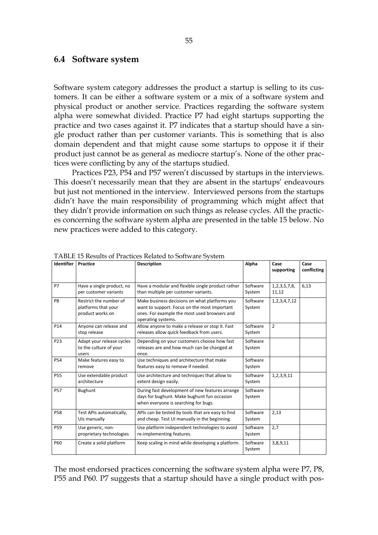#### 6.4 Software system

Software system category addresses the product a startup is selling to its customers. It can be either a software system or a mix of a software system and physical product or another service. Practices regarding the software system alpha were somewhat divided. Practice P7 had eight startups supporting the practice and two cases against it. P7 indicates that a startup should have a single product rather than per customer variants. This is something that is also domain dependent and that might cause some startups to oppose it if their product just cannot be as general as mediocre startup's. None of the other practices were conflicting by any of the startups studied.

Practices P23, P54 and P57 weren't discussed by startups in the interviews. This doesn't necessarily mean that they are absent in the startups' endeavours but just not mentioned in the interview. Interviewed persons from the startups didn't have the main responsibility of programming which might affect that they didn't provide information on such things as release cycles. All the practices concerning the software system alpha are presented in the table 15 below. No new practices were added to this category.

| <b>Identifier</b> | Practice                                                          | <b>Description</b>                                                                                                                                                  | Alpha              | Case<br>supporting         | Case<br>conflicting |
|-------------------|-------------------------------------------------------------------|---------------------------------------------------------------------------------------------------------------------------------------------------------------------|--------------------|----------------------------|---------------------|
| <b>P7</b>         | Have a single product, no<br>per customer variants                | Have a modular and flexible single product rather<br>than multiple per customer variants.                                                                           | Software<br>System | 1, 2, 3, 5, 7, 8,<br>11,12 | 6,13                |
| P <sub>8</sub>    | Restrict the number of<br>platforms that your<br>product works on | Make business decisions on what platforms you<br>want to support. Focus on the most important<br>ones. For example the most used browsers and<br>operating systems. | Software<br>System | 1, 2, 3, 4, 7, 12          |                     |
| P14               | Anyone can release and<br>stop release                            | Allow anyone to make a release or stop it. Fast<br>releases allow quick feedback from users.                                                                        | Software<br>System | $\overline{2}$             |                     |
| P23               | Adapt your release cycles<br>to the culture of your<br>users      | Depending on your customers choose how fast<br>releases are and how much can be changed at<br>once.                                                                 | Software<br>System |                            |                     |
| P54               | Make features easy to<br>remove                                   | Use techniques and architecture that make<br>features easy to remove if needed.                                                                                     | Software<br>System |                            |                     |
| <b>P55</b>        | Use extendable product<br>architecture                            | Use architecture and techniques that allow to<br>extent design easily.                                                                                              | Software<br>System | 1,2,3,9,11                 |                     |
| <b>P57</b>        | Bughunt                                                           | During fast development of new features arrange<br>days for bughunt. Make bughunt fun occasion<br>when everyone is searching for bugs.                              | Software<br>System |                            |                     |
| <b>P58</b>        | Test APIs automatically,<br>Uls manually                          | APIs can be tested by tools that are easy to find<br>and cheap. Test UI manually in the beginning.                                                                  | Software<br>System | 2,13                       |                     |
| P59               | Use generic, non-<br>proprietary technologies                     | Use platform independent technologies to avoid<br>re-implementing features.                                                                                         | Software<br>System | 2,7                        |                     |
| P60               | Create a solid platform                                           | Keep scaling in mind while developing a platform.                                                                                                                   | Software<br>System | 3,8,9,11                   |                     |

TABLE 15 Results of Practices Related to Software System

The most endorsed practices concerning the software system alpha were P7, P8, P55 and P60. P7 suggests that a startup should have a single product with pos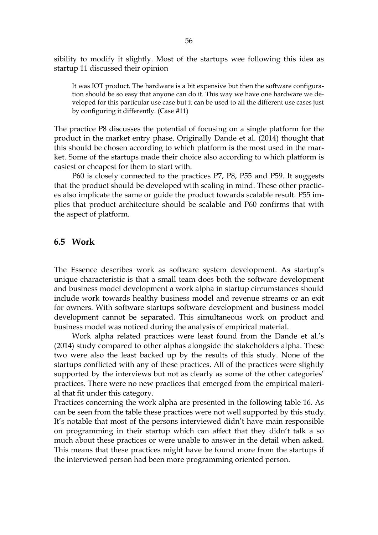sibility to modify it slightly. Most of the startups wee following this idea as startup 11 discussed their opinion

It was IOT product. The hardware is a bit expensive but then the software configuration should be so easy that anyone can do it. This way we have one hardware we developed for this particular use case but it can be used to all the different use cases just by configuring it differently. (Case #11)

The practice P8 discusses the potential of focusing on a single platform for the product in the market entry phase. Originally Dande et al. (2014) thought that this should be chosen according to which platform is the most used in the market. Some of the startups made their choice also according to which platform is easiest or cheapest for them to start with.

P60 is closely connected to the practices P7, P8, P55 and P59. It suggests that the product should be developed with scaling in mind. These other practices also implicate the same or guide the product towards scalable result. P55 implies that product architecture should be scalable and P60 confirms that with the aspect of platform.

#### 6.5 Work

The Essence describes work as software system development. As startup's unique characteristic is that a small team does both the software development and business model development a work alpha in startup circumstances should include work towards healthy business model and revenue streams or an exit for owners. With software startups software development and business model development cannot be separated. This simultaneous work on product and business model was noticed during the analysis of empirical material.

Work alpha related practices were least found from the Dande et al.'s (2014) study compared to other alphas alongside the stakeholders alpha. These two were also the least backed up by the results of this study. None of the startups conflicted with any of these practices. All of the practices were slightly supported by the interviews but not as clearly as some of the other categories' practices. There were no new practices that emerged from the empirical material that fit under this category.

Practices concerning the work alpha are presented in the following table 16. As can be seen from the table these practices were not well supported by this study. It's notable that most of the persons interviewed didn't have main responsible on programming in their startup which can affect that they didn't talk a so much about these practices or were unable to answer in the detail when asked. This means that these practices might have be found more from the startups if the interviewed person had been more programming oriented person.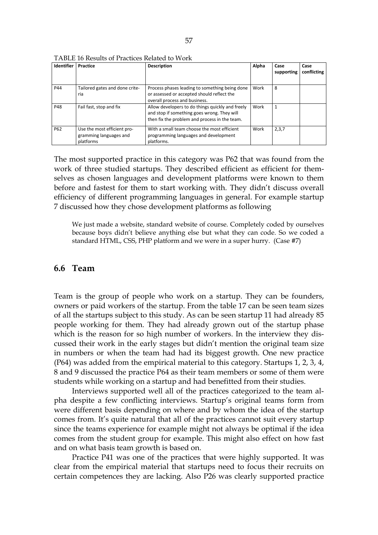| <b>Identifier</b> | Practice                                                           | <b>Description</b>                                                                                                                               | Alpha | Case<br>supporting | Case<br>conflicting |
|-------------------|--------------------------------------------------------------------|--------------------------------------------------------------------------------------------------------------------------------------------------|-------|--------------------|---------------------|
| P44               | Tailored gates and done crite-<br>ria                              | Process phases leading to something being done<br>or assessed or accepted should reflect the<br>overall process and business.                    | Work  | 8                  |                     |
| P48               | Fail fast, stop and fix                                            | Allow developers to do things quickly and freely<br>and stop if something goes wrong. They will<br>then fix the problem and process in the team. | Work  |                    |                     |
| P62               | Use the most efficient pro-<br>gramming languages and<br>platforms | With a small team choose the most efficient<br>programming languages and development<br>platforms.                                               | Work  | 2,3,7              |                     |

TABLE 16 Results of Practices Related to Work

The most supported practice in this category was P62 that was found from the work of three studied startups. They described efficient as efficient for themselves as chosen languages and development platforms were known to them before and fastest for them to start working with. They didn't discuss overall efficiency of different programming languages in general. For example startup 7 discussed how they chose development platforms as following

We just made a website, standard website of course. Completely coded by ourselves because boys didn't believe anything else but what they can code. So we coded a standard HTML, CSS, PHP platform and we were in a super hurry. (Case #7)

#### 6.6 Team

Team is the group of people who work on a startup. They can be founders, owners or paid workers of the startup. From the table 17 can be seen team sizes of all the startups subject to this study. As can be seen startup 11 had already 85 people working for them. They had already grown out of the startup phase which is the reason for so high number of workers. In the interview they discussed their work in the early stages but didn't mention the original team size in numbers or when the team had had its biggest growth. One new practice (P64) was added from the empirical material to this category. Startups 1, 2, 3, 4, 8 and 9 discussed the practice P64 as their team members or some of them were students while working on a startup and had benefitted from their studies.

Interviews supported well all of the practices categorized to the team alpha despite a few conflicting interviews. Startup's original teams form from were different basis depending on where and by whom the idea of the startup comes from. It's quite natural that all of the practices cannot suit every startup since the teams experience for example might not always be optimal if the idea comes from the student group for example. This might also effect on how fast and on what basis team growth is based on.

Practice P41 was one of the practices that were highly supported. It was clear from the empirical material that startups need to focus their recruits on certain competences they are lacking. Also P26 was clearly supported practice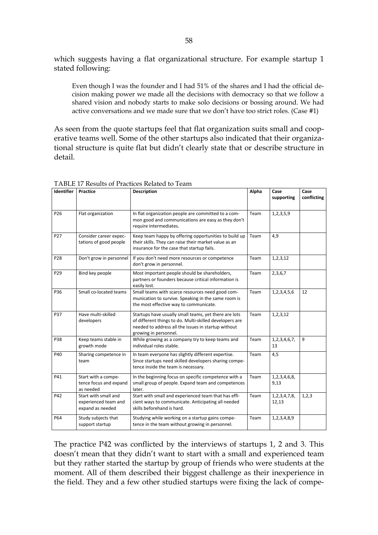which suggests having a flat organizational structure. For example startup 1 stated following:

Even though I was the founder and I had 51% of the shares and I had the official decision making power we made all the decisions with democracy so that we follow a shared vision and nobody starts to make solo decisions or bossing around. We had active conversations and we made sure that we don't have too strict roles. (Case #1)

As seen from the quote startups feel that flat organization suits small and cooperative teams well. Some of the other startups also indicated that their organizational structure is quite flat but didn't clearly state that or describe structure in detail.

| Identifier      | Practice                                                         | <b>Description</b>                                                                                                                                                                               | Alpha | Case<br>supporting         | Case<br>conflicting |
|-----------------|------------------------------------------------------------------|--------------------------------------------------------------------------------------------------------------------------------------------------------------------------------------------------|-------|----------------------------|---------------------|
| P <sub>26</sub> | Flat organization                                                | In flat organization people are committed to a com-<br>mon good and communications are easy as they don't<br>require intermediates.                                                              | Team  | 1,2,3,5,9                  |                     |
| P27             | Consider career expec-<br>tations of good people                 | Keep team happy by offering opportunities to build up<br>their skills. They can raise their market value as an<br>insurance for the case that startup fails.                                     | Team  | 4,9                        |                     |
| P28             | Don't grow in personnel                                          | If you don't need more resources or competence<br>don't grow in personnel.                                                                                                                       | Team  | 1,2,3,12                   |                     |
| P <sub>29</sub> | Bind key people                                                  | Most important people should be shareholders,<br>partners or founders because critical information is<br>easily lost.                                                                            | Team  | 2,3,6,7                    |                     |
| P36             | Small co-located teams                                           | Small teams with scarce resources need good com-<br>munication to survive. Speaking in the same room is<br>the most effective way to communicate.                                                | Team  | 1,2,3,4,5,6                | 12                  |
| <b>P37</b>      | Have multi-skilled<br>developers                                 | Startups have usually small teams, yet there are lots<br>of different things to do. Multi-skilled developers are<br>needed to address all the issues in startup without<br>growing in personnel. | Team  | 1,2,3,12                   |                     |
| P38             | Keep teams stable in<br>growth mode                              | While growing as a company try to keep teams and<br>individual roles stable.                                                                                                                     | Team  | 1,2,3,4,6,7,<br>13         | 9                   |
| P40             | Sharing competence in<br>team                                    | In team everyone has slightly different expertise.<br>Since startups need skilled developers sharing compe-<br>tence inside the team is necessary.                                               | Team  | 4,5                        |                     |
| P41             | Start with a compe-<br>tence focus and expand<br>as needed       | In the beginning focus on specific competence with a<br>small group of people. Expand team and competences<br>later.                                                                             | Team  | 1,2,3,4,6,8,<br>9,13       |                     |
| P42             | Start with small and<br>experienced team and<br>expand as needed | Start with small and experienced team that has effi-<br>cient ways to communicate. Anticipating all needed<br>skills beforehand is hard.                                                         | Team  | 1, 2, 3, 4, 7, 8,<br>12,13 | 1,2,3               |
| P64             | Study subjects that<br>support startup                           | Studying while working on a startup gains compe-<br>tence in the team without growing in personnel.                                                                                              | Team  | 1,2,3,4,8,9                |                     |

TABLE 17 Results of Practices Related to Team

The practice P42 was conflicted by the interviews of startups 1, 2 and 3. This doesn't mean that they didn't want to start with a small and experienced team but they rather started the startup by group of friends who were students at the moment. All of them described their biggest challenge as their inexperience in the field. They and a few other studied startups were fixing the lack of compe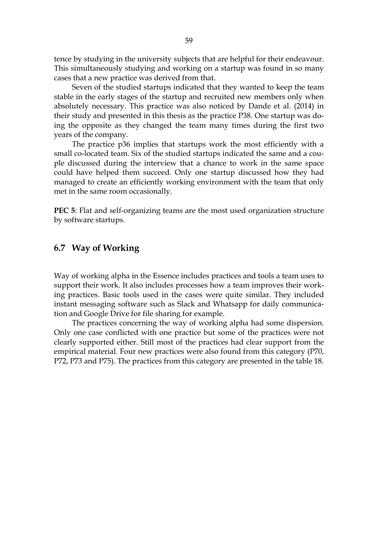tence by studying in the university subjects that are helpful for their endeavour. This simultaneously studying and working on a startup was found in so many cases that a new practice was derived from that.

Seven of the studied startups indicated that they wanted to keep the team stable in the early stages of the startup and recruited new members only when absolutely necessary. This practice was also noticed by Dande et al. (2014) in their study and presented in this thesis as the practice P38. One startup was doing the opposite as they changed the team many times during the first two years of the company.

The practice p36 implies that startups work the most efficiently with a small co-located team. Six of the studied startups indicated the same and a couple discussed during the interview that a chance to work in the same space could have helped them succeed. Only one startup discussed how they had managed to create an efficiently working environment with the team that only met in the same room occasionally.

PEC 5: Flat and self-organizing teams are the most used organization structure by software startups.

# 6.7 Way of Working

Way of working alpha in the Essence includes practices and tools a team uses to support their work. It also includes processes how a team improves their working practices. Basic tools used in the cases were quite similar. They included instant messaging software such as Slack and Whatsapp for daily communication and Google Drive for file sharing for example.

The practices concerning the way of working alpha had some dispersion. Only one case conflicted with one practice but some of the practices were not clearly supported either. Still most of the practices had clear support from the empirical material. Four new practices were also found from this category (P70, P72, P73 and P75). The practices from this category are presented in the table 18.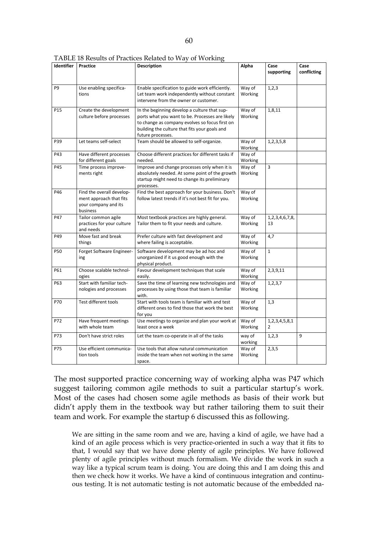| Identifier      | Practice                                                                                 | <b>Description</b>                                                                                                                                                                                                      | Alpha             | Case<br>supporting                    | Case<br>conflicting |
|-----------------|------------------------------------------------------------------------------------------|-------------------------------------------------------------------------------------------------------------------------------------------------------------------------------------------------------------------------|-------------------|---------------------------------------|---------------------|
| P <sub>9</sub>  | Use enabling specifica-<br>tions                                                         | Enable specification to guide work efficiently.<br>Let team work independently without constant<br>intervene from the owner or customer.                                                                                | Way of<br>Working | 1,2,3                                 |                     |
| P <sub>15</sub> | Create the development<br>culture before processes                                       | In the beginning develop a culture that sup-<br>ports what you want to be. Processes are likely<br>to change as company evolves so focus first on<br>building the culture that fits your goals and<br>future processes. | Way of<br>Working | 1,8,11                                |                     |
| P39             | Let teams self-select                                                                    | Team should be allowed to self-organize.                                                                                                                                                                                | Way of<br>Working | 1,2,3,5,8                             |                     |
| P43             | Have different processes<br>for different goals                                          | Choose different practices for different tasks if<br>needed.                                                                                                                                                            | Way of<br>Working |                                       |                     |
| P45             | Time process improve-<br>ments right                                                     | Improve and change processes only when it is<br>absolutely needed. At some point of the growth<br>startup might need to change its preliminary<br>processes.                                                            | Way of<br>Working | 3                                     |                     |
| P46             | Find the overall develop-<br>ment approach that fits<br>your company and its<br>business | Find the best approach for your business. Don't<br>follow latest trends if it's not best fit for you.                                                                                                                   | Way of<br>Working |                                       |                     |
| P47             | Tailor common agile<br>practices for your culture<br>and needs                           | Most textbook practices are highly general.<br>Tailor them to fit your needs and culture.                                                                                                                               | Way of<br>Working | 1,2,3,4,6,7,8,<br>13                  |                     |
| P49             | Move fast and break<br>things                                                            | Prefer culture with fast development and<br>where failing is acceptable.                                                                                                                                                | Way of<br>Working | 4,7                                   |                     |
| <b>P50</b>      | Forget Software Engineer-<br>ing                                                         | Software development may be ad hoc and<br>unorganized if it us good enough with the<br>physical product.                                                                                                                | Way of<br>Working | $\mathbf{1}$                          |                     |
| P61             | Choose scalable technol-<br>ogies                                                        | Favour development techniques that scale<br>easily.                                                                                                                                                                     | Way of<br>Working | 2,3,9,11                              |                     |
| P63             | Start with familiar tech-<br>nologies and processes                                      | Save the time of learning new technologies and<br>processes by using those that team is familiar<br>with.                                                                                                               | Way of<br>Working | 1, 2, 3, 7                            |                     |
| P70             | Test different tools                                                                     | Start with tools team is familiar with and test<br>different ones to find those that work the best<br>for you                                                                                                           | Way of<br>Working | 1,3                                   |                     |
| P72             | Have frequent meetings<br>with whole team                                                | Use meetings to organize and plan your work at<br>least once a week                                                                                                                                                     | Way of<br>Working | 1, 2, 3, 4, 5, 8, 1<br>$\overline{2}$ |                     |
| P73             | Don't have strict roles                                                                  | Let the team co-operate in all of the tasks                                                                                                                                                                             | way of<br>working | 1,2,3                                 | 9                   |
| P75             | Use efficient communica-<br>tion tools                                                   | Use tools that allow natural communication<br>inside the team when not working in the same<br>space.                                                                                                                    | Way of<br>Working | 2,3,5                                 |                     |

TABLE 18 Results of Practices Related to Way of Working

The most supported practice concerning way of working alpha was P47 which suggest tailoring common agile methods to suit a particular startup's work. Most of the cases had chosen some agile methods as basis of their work but didn't apply them in the textbook way but rather tailoring them to suit their team and work. For example the startup 6 discussed this as following.

We are sitting in the same room and we are, having a kind of agile, we have had a kind of an agile process which is very practice-oriented in such a way that it fits to that, I would say that we have done plenty of agile principles. We have followed plenty of agile principles without much formalism. We divide the work in such a way like a typical scrum team is doing. You are doing this and I am doing this and then we check how it works. We have a kind of continuous integration and continuous testing. It is not automatic testing is not automatic because of the embedded na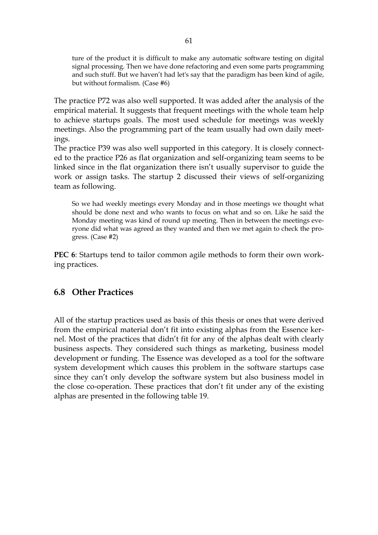ture of the product it is difficult to make any automatic software testing on digital signal processing. Then we have done refactoring and even some parts programming and such stuff. But we haven't had let's say that the paradigm has been kind of agile, but without formalism. (Case #6)

The practice P72 was also well supported. It was added after the analysis of the empirical material. It suggests that frequent meetings with the whole team help to achieve startups goals. The most used schedule for meetings was weekly meetings. Also the programming part of the team usually had own daily meetings.

The practice P39 was also well supported in this category. It is closely connected to the practice P26 as flat organization and self-organizing team seems to be linked since in the flat organization there isn't usually supervisor to guide the work or assign tasks. The startup 2 discussed their views of self-organizing team as following.

So we had weekly meetings every Monday and in those meetings we thought what should be done next and who wants to focus on what and so on. Like he said the Monday meeting was kind of round up meeting. Then in between the meetings everyone did what was agreed as they wanted and then we met again to check the progress. (Case #2)

PEC 6: Startups tend to tailor common agile methods to form their own working practices.

### 6.8 Other Practices

All of the startup practices used as basis of this thesis or ones that were derived from the empirical material don't fit into existing alphas from the Essence kernel. Most of the practices that didn't fit for any of the alphas dealt with clearly business aspects. They considered such things as marketing, business model development or funding. The Essence was developed as a tool for the software system development which causes this problem in the software startups case since they can't only develop the software system but also business model in the close co-operation. These practices that don't fit under any of the existing alphas are presented in the following table 19.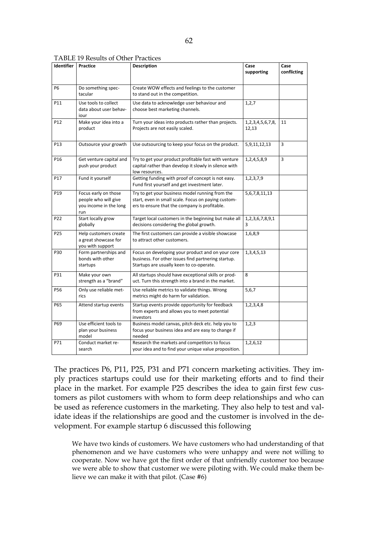| <b>TABLE 19 Results of Other Practices</b> |  |
|--------------------------------------------|--|
|--------------------------------------------|--|

| <b>Identifier</b> | <b>Practice</b>                                                               | <b>Description</b>                                                                                                                                      | Case<br>supporting               | Case<br>conflicting |
|-------------------|-------------------------------------------------------------------------------|---------------------------------------------------------------------------------------------------------------------------------------------------------|----------------------------------|---------------------|
| <b>P6</b>         | Do something spec-<br>tacular                                                 | Create WOW effects and feelings to the customer<br>to stand out in the competition.                                                                     |                                  |                     |
| P11               | Use tools to collect<br>data about user behav-<br>iour                        | Use data to acknowledge user behaviour and<br>choose best marketing channels.                                                                           | 1, 2, 7                          |                     |
| P12               | Make your idea into a<br>product                                              | Turn your ideas into products rather than projects.<br>Projects are not easily scaled.                                                                  | 1, 2, 3, 4, 5, 6, 7, 8,<br>12,13 | 11                  |
| P <sub>13</sub>   | Outsource your growth                                                         | Use outsourcing to keep your focus on the product.                                                                                                      | 5,9,11,12,13                     | 3                   |
| P16               | Get venture capital and<br>push your product                                  | Try to get your product profitable fast with venture<br>capital rather than develop it slowly in silence with<br>low resources.                         | 1,2,4,5,8,9                      | 3                   |
| P17               | Fund it yourself                                                              | Getting funding with proof of concept is not easy.<br>Fund first yourself and get investment later.                                                     | 1,2,3,7,9                        |                     |
| P19               | Focus early on those<br>people who will give<br>you income in the long<br>run | Try to get your business model running from the<br>start, even in small scale. Focus on paying custom-<br>ers to ensure that the company is profitable. | 5,6,7,8,11,13                    |                     |
| P22               | Start locally grow<br>globally                                                | Target local customers in the beginning but make all<br>decisions considering the global growth.                                                        | 1, 2, 3, 6, 7, 8, 9, 1<br>3      |                     |
| P <sub>25</sub>   | Help customers create<br>a great showcase for<br>you with support             | The first customers can provide a visible showcase<br>to attract other customers.                                                                       | 1,6,8,9                          |                     |
| P30               | Form partnerships and<br>bonds with other<br>startups                         | Focus on developing your product and on your core<br>business. For other issues find partnering startup.<br>Startups are usually keen to co-operate.    | 1, 3, 4, 5, 13                   |                     |
| P31               | Make your own<br>strength as a "brand"                                        | All startups should have exceptional skills or prod-<br>uct. Turn this strength into a brand in the market.                                             | 8                                |                     |
| P56               | Only use reliable met-<br>rics                                                | Use reliable metrics to validate things. Wrong<br>metrics might do harm for validation.                                                                 | 5,6,7                            |                     |
| P65               | Attend startup events                                                         | Startup events provide opportunity for feedback<br>from experts and allows you to meet potential<br>investors                                           | 1,2,3,4,8                        |                     |
| P69               | Use efficient tools to<br>plan your business<br>model                         | Business model canvas, pitch deck etc. help you to<br>focus your business idea and are easy to change if<br>needed                                      | 1, 2, 3                          |                     |
| P71               | Conduct market re-<br>search                                                  | Research the markets and competitors to focus<br>your idea and to find your unique value proposition.                                                   | 1,2,6,12                         |                     |

The practices P6, P11, P25, P31 and P71 concern marketing activities. They imply practices startups could use for their marketing efforts and to find their place in the market. For example P25 describes the idea to gain first few customers as pilot customers with whom to form deep relationships and who can be used as reference customers in the marketing. They also help to test and validate ideas if the relationships are good and the customer is involved in the development. For example startup 6 discussed this following

We have two kinds of customers. We have customers who had understanding of that phenomenon and we have customers who were unhappy and were not willing to cooperate. Now we have got the first order of that unfriendly customer too because we were able to show that customer we were piloting with. We could make them believe we can make it with that pilot. (Case #6)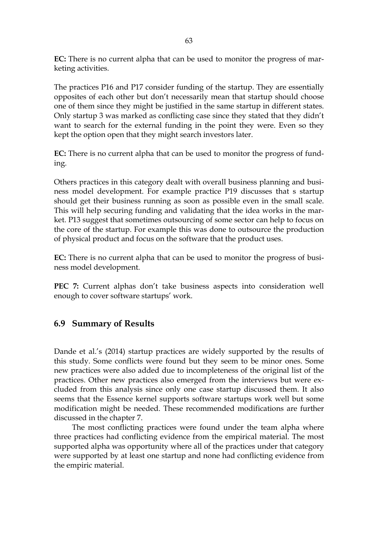EC: There is no current alpha that can be used to monitor the progress of marketing activities.

The practices P16 and P17 consider funding of the startup. They are essentially opposites of each other but don't necessarily mean that startup should choose one of them since they might be justified in the same startup in different states. Only startup 3 was marked as conflicting case since they stated that they didn't want to search for the external funding in the point they were. Even so they kept the option open that they might search investors later.

EC: There is no current alpha that can be used to monitor the progress of funding.

Others practices in this category dealt with overall business planning and business model development. For example practice P19 discusses that s startup should get their business running as soon as possible even in the small scale. This will help securing funding and validating that the idea works in the market. P13 suggest that sometimes outsourcing of some sector can help to focus on the core of the startup. For example this was done to outsource the production of physical product and focus on the software that the product uses.

EC: There is no current alpha that can be used to monitor the progress of business model development.

PEC 7: Current alphas don't take business aspects into consideration well enough to cover software startups' work.

# 6.9 Summary of Results

Dande et al.'s (2014) startup practices are widely supported by the results of this study. Some conflicts were found but they seem to be minor ones. Some new practices were also added due to incompleteness of the original list of the practices. Other new practices also emerged from the interviews but were excluded from this analysis since only one case startup discussed them. It also seems that the Essence kernel supports software startups work well but some modification might be needed. These recommended modifications are further discussed in the chapter 7.

The most conflicting practices were found under the team alpha where three practices had conflicting evidence from the empirical material. The most supported alpha was opportunity where all of the practices under that category were supported by at least one startup and none had conflicting evidence from the empiric material.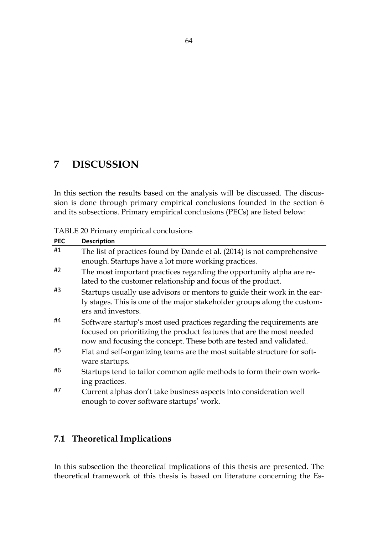# 7 DISCUSSION

In this section the results based on the analysis will be discussed. The discussion is done through primary empirical conclusions founded in the section 6 and its subsections. Primary empirical conclusions (PECs) are listed below:

TABLE 20 Primary empirical conclusions

| <b>PEC</b> | <b>Description</b>                                                                                                                                                                                                   |
|------------|----------------------------------------------------------------------------------------------------------------------------------------------------------------------------------------------------------------------|
| #1         | The list of practices found by Dande et al. (2014) is not comprehensive<br>enough. Startups have a lot more working practices.                                                                                       |
| #2         | The most important practices regarding the opportunity alpha are re-<br>lated to the customer relationship and focus of the product.                                                                                 |
| #3         | Startups usually use advisors or mentors to guide their work in the ear-<br>ly stages. This is one of the major stakeholder groups along the custom-<br>ers and investors.                                           |
| #4         | Software startup's most used practices regarding the requirements are<br>focused on prioritizing the product features that are the most needed<br>now and focusing the concept. These both are tested and validated. |
| #5         | Flat and self-organizing teams are the most suitable structure for soft-<br>ware startups.                                                                                                                           |
| #6         | Startups tend to tailor common agile methods to form their own work-<br>ing practices.                                                                                                                               |
| #7         | Current alphas don't take business aspects into consideration well<br>enough to cover software startups' work.                                                                                                       |

# 7.1 Theoretical Implications

In this subsection the theoretical implications of this thesis are presented. The theoretical framework of this thesis is based on literature concerning the Es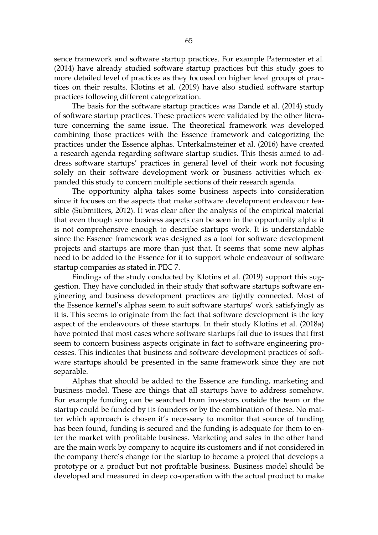sence framework and software startup practices. For example Paternoster et al. (2014) have already studied software startup practices but this study goes to more detailed level of practices as they focused on higher level groups of practices on their results. Klotins et al. (2019) have also studied software startup practices following different categorization.

The basis for the software startup practices was Dande et al. (2014) study of software startup practices. These practices were validated by the other literature concerning the same issue. The theoretical framework was developed combining those practices with the Essence framework and categorizing the practices under the Essence alphas. Unterkalmsteiner et al. (2016) have created a research agenda regarding software startup studies. This thesis aimed to address software startups' practices in general level of their work not focusing solely on their software development work or business activities which expanded this study to concern multiple sections of their research agenda.

The opportunity alpha takes some business aspects into consideration since it focuses on the aspects that make software development endeavour feasible (Submitters, 2012). It was clear after the analysis of the empirical material that even though some business aspects can be seen in the opportunity alpha it is not comprehensive enough to describe startups work. It is understandable since the Essence framework was designed as a tool for software development projects and startups are more than just that. It seems that some new alphas need to be added to the Essence for it to support whole endeavour of software startup companies as stated in PEC 7.

Findings of the study conducted by Klotins et al. (2019) support this suggestion. They have concluded in their study that software startups software engineering and business development practices are tightly connected. Most of the Essence kernel's alphas seem to suit software startups' work satisfyingly as it is. This seems to originate from the fact that software development is the key aspect of the endeavours of these startups. In their study Klotins et al. (2018a) have pointed that most cases where software startups fail due to issues that first seem to concern business aspects originate in fact to software engineering processes. This indicates that business and software development practices of software startups should be presented in the same framework since they are not separable.

Alphas that should be added to the Essence are funding, marketing and business model. These are things that all startups have to address somehow. For example funding can be searched from investors outside the team or the startup could be funded by its founders or by the combination of these. No matter which approach is chosen it's necessary to monitor that source of funding has been found, funding is secured and the funding is adequate for them to enter the market with profitable business. Marketing and sales in the other hand are the main work by company to acquire its customers and if not considered in the company there's change for the startup to become a project that develops a prototype or a product but not profitable business. Business model should be developed and measured in deep co-operation with the actual product to make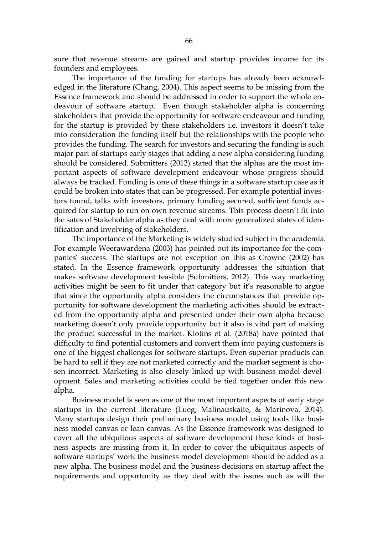sure that revenue streams are gained and startup provides income for its founders and employees.

The importance of the funding for startups has already been acknowledged in the literature (Chang, 2004). This aspect seems to be missing from the Essence framework and should be addressed in order to support the whole endeavour of software startup. Even though stakeholder alpha is concerning stakeholders that provide the opportunity for software endeavour and funding for the startup is provided by these stakeholders i.e. investors it doesn't take into consideration the funding itself but the relationships with the people who provides the funding. The search for investors and securing the funding is such major part of startups early stages that adding a new alpha considering funding should be considered. Submitters (2012) stated that the alphas are the most important aspects of software development endeavour whose progress should always be tracked. Funding is one of these things in a software startup case as it could be broken into states that can be progressed. For example potential investors found, talks with investors, primary funding secured, sufficient funds acquired for startup to run on own revenue streams. This process doesn't fit into the sates of Stakeholder alpha as they deal with more generalized states of identification and involving of stakeholders.

The importance of the Marketing is widely studied subject in the academia. For example Weerawardena (2003) has pointed out its importance for the companies' success. The startups are not exception on this as Crowne (2002) has stated. In the Essence framework opportunity addresses the situation that makes software development feasible (Submitters, 2012). This way marketing activities might be seen to fit under that category but it's reasonable to argue that since the opportunity alpha considers the circumstances that provide opportunity for software development the marketing activities should be extracted from the opportunity alpha and presented under their own alpha because marketing doesn't only provide opportunity but it also is vital part of making the product successful in the market. Klotins et al. (2018a) have pointed that difficulty to find potential customers and convert them into paying customers is one of the biggest challenges for software startups. Even superior products can be hard to sell if they are not marketed correctly and the market segment is chosen incorrect. Marketing is also closely linked up with business model development. Sales and marketing activities could be tied together under this new alpha.

Business model is seen as one of the most important aspects of early stage startups in the current literature (Lueg, Malinauskaite, & Marinova, 2014). Many startups design their preliminary business model using tools like business model canvas or lean canvas. As the Essence framework was designed to cover all the ubiquitous aspects of software development these kinds of business aspects are missing from it. In order to cover the ubiquitous aspects of software startups' work the business model development should be added as a new alpha. The business model and the business decisions on startup affect the requirements and opportunity as they deal with the issues such as will the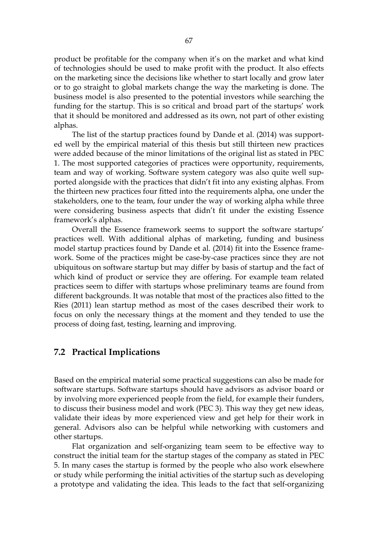product be profitable for the company when it's on the market and what kind of technologies should be used to make profit with the product. It also effects on the marketing since the decisions like whether to start locally and grow later or to go straight to global markets change the way the marketing is done. The business model is also presented to the potential investors while searching the funding for the startup. This is so critical and broad part of the startups' work that it should be monitored and addressed as its own, not part of other existing alphas.

The list of the startup practices found by Dande et al. (2014) was supported well by the empirical material of this thesis but still thirteen new practices were added because of the minor limitations of the original list as stated in PEC 1. The most supported categories of practices were opportunity, requirements, team and way of working. Software system category was also quite well supported alongside with the practices that didn't fit into any existing alphas. From the thirteen new practices four fitted into the requirements alpha, one under the stakeholders, one to the team, four under the way of working alpha while three were considering business aspects that didn't fit under the existing Essence framework's alphas.

Overall the Essence framework seems to support the software startups' practices well. With additional alphas of marketing, funding and business model startup practices found by Dande et al. (2014) fit into the Essence framework. Some of the practices might be case-by-case practices since they are not ubiquitous on software startup but may differ by basis of startup and the fact of which kind of product or service they are offering. For example team related practices seem to differ with startups whose preliminary teams are found from different backgrounds. It was notable that most of the practices also fitted to the Ries (2011) lean startup method as most of the cases described their work to focus on only the necessary things at the moment and they tended to use the process of doing fast, testing, learning and improving.

#### 7.2 Practical Implications

Based on the empirical material some practical suggestions can also be made for software startups. Software startups should have advisors as advisor board or by involving more experienced people from the field, for example their funders, to discuss their business model and work (PEC 3). This way they get new ideas, validate their ideas by more experienced view and get help for their work in general. Advisors also can be helpful while networking with customers and other startups.

Flat organization and self-organizing team seem to be effective way to construct the initial team for the startup stages of the company as stated in PEC 5. In many cases the startup is formed by the people who also work elsewhere or study while performing the initial activities of the startup such as developing a prototype and validating the idea. This leads to the fact that self-organizing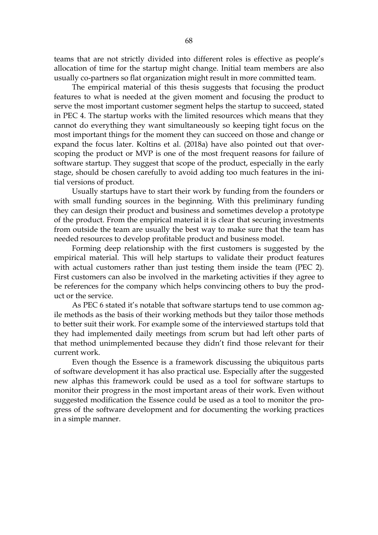teams that are not strictly divided into different roles is effective as people's allocation of time for the startup might change. Initial team members are also usually co-partners so flat organization might result in more committed team.

The empirical material of this thesis suggests that focusing the product features to what is needed at the given moment and focusing the product to serve the most important customer segment helps the startup to succeed, stated in PEC 4. The startup works with the limited resources which means that they cannot do everything they want simultaneously so keeping tight focus on the most important things for the moment they can succeed on those and change or expand the focus later. Koltins et al. (2018a) have also pointed out that overscoping the product or MVP is one of the most frequent reasons for failure of software startup. They suggest that scope of the product, especially in the early stage, should be chosen carefully to avoid adding too much features in the initial versions of product.

Usually startups have to start their work by funding from the founders or with small funding sources in the beginning. With this preliminary funding they can design their product and business and sometimes develop a prototype of the product. From the empirical material it is clear that securing investments from outside the team are usually the best way to make sure that the team has needed resources to develop profitable product and business model.

Forming deep relationship with the first customers is suggested by the empirical material. This will help startups to validate their product features with actual customers rather than just testing them inside the team (PEC 2). First customers can also be involved in the marketing activities if they agree to be references for the company which helps convincing others to buy the product or the service.

As PEC 6 stated it's notable that software startups tend to use common agile methods as the basis of their working methods but they tailor those methods to better suit their work. For example some of the interviewed startups told that they had implemented daily meetings from scrum but had left other parts of that method unimplemented because they didn't find those relevant for their current work.

Even though the Essence is a framework discussing the ubiquitous parts of software development it has also practical use. Especially after the suggested new alphas this framework could be used as a tool for software startups to monitor their progress in the most important areas of their work. Even without suggested modification the Essence could be used as a tool to monitor the progress of the software development and for documenting the working practices in a simple manner.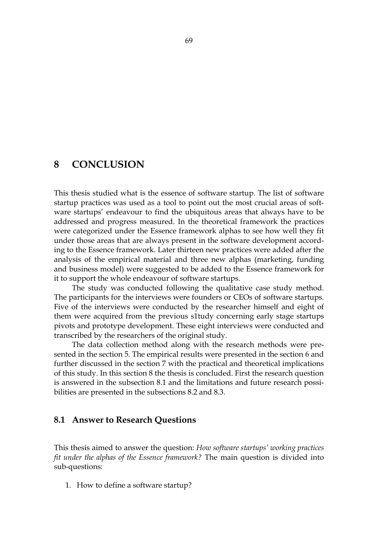# 8 CONCLUSION

This thesis studied what is the essence of software startup. The list of software startup practices was used as a tool to point out the most crucial areas of software startups' endeavour to find the ubiquitous areas that always have to be addressed and progress measured. In the theoretical framework the practices were categorized under the Essence framework alphas to see how well they fit under those areas that are always present in the software development according to the Essence framework. Later thirteen new practices were added after the analysis of the empirical material and three new alphas (marketing, funding and business model) were suggested to be added to the Essence framework for it to support the whole endeavour of software startups.

The study was conducted following the qualitative case study method. The participants for the interviews were founders or CEOs of software startups. Five of the interviews were conducted by the researcher himself and eight of them were acquired from the previous s1tudy concerning early stage startups pivots and prototype development. These eight interviews were conducted and transcribed by the researchers of the original study.

The data collection method along with the research methods were presented in the section 5. The empirical results were presented in the section 6 and further discussed in the section 7 with the practical and theoretical implications of this study. In this section 8 the thesis is concluded. First the research question is answered in the subsection 8.1 and the limitations and future research possibilities are presented in the subsections 8.2 and 8.3.

#### 8.1 Answer to Research Questions

This thesis aimed to answer the question: *How software startups' working practices fit under the alphas of the Essence framework?* The main question is divided into sub-questions:

1. How to define a software startup?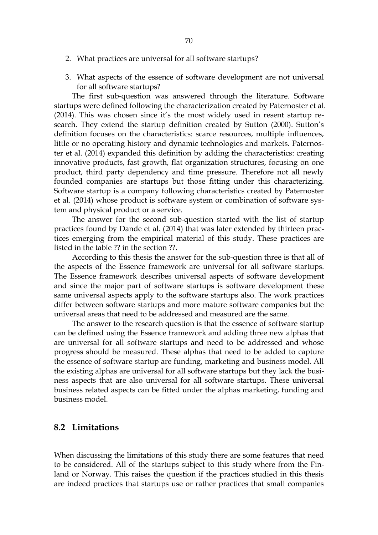- 2. What practices are universal for all software startups?
- 3. What aspects of the essence of software development are not universal for all software startups?

The first sub-question was answered through the literature. Software startups were defined following the characterization created by Paternoster et al. (2014). This was chosen since it's the most widely used in resent startup research. They extend the startup definition created by Sutton (2000). Sutton's definition focuses on the characteristics: scarce resources, multiple influences, little or no operating history and dynamic technologies and markets. Paternoster et al. (2014) expanded this definition by adding the characteristics: creating innovative products, fast growth, flat organization structures, focusing on one product, third party dependency and time pressure. Therefore not all newly founded companies are startups but those fitting under this characterizing. Software startup is a company following characteristics created by Paternoster et al. (2014) whose product is software system or combination of software system and physical product or a service.

The answer for the second sub-question started with the list of startup practices found by Dande et al. (2014) that was later extended by thirteen practices emerging from the empirical material of this study. These practices are listed in the table ?? in the section ??.

According to this thesis the answer for the sub-question three is that all of the aspects of the Essence framework are universal for all software startups. The Essence framework describes universal aspects of software development and since the major part of software startups is software development these same universal aspects apply to the software startups also. The work practices differ between software startups and more mature software companies but the universal areas that need to be addressed and measured are the same.

The answer to the research question is that the essence of software startup can be defined using the Essence framework and adding three new alphas that are universal for all software startups and need to be addressed and whose progress should be measured. These alphas that need to be added to capture the essence of software startup are funding, marketing and business model. All the existing alphas are universal for all software startups but they lack the business aspects that are also universal for all software startups. These universal business related aspects can be fitted under the alphas marketing, funding and business model.

## 8.2 Limitations

When discussing the limitations of this study there are some features that need to be considered. All of the startups subject to this study where from the Finland or Norway. This raises the question if the practices studied in this thesis are indeed practices that startups use or rather practices that small companies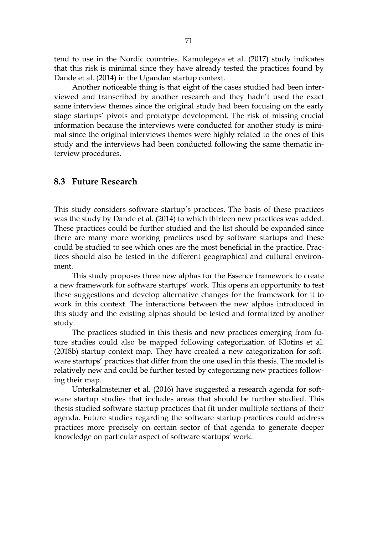tend to use in the Nordic countries. Kamulegeya et al. (2017) study indicates that this risk is minimal since they have already tested the practices found by Dande et al. (2014) in the Ugandan startup context.

Another noticeable thing is that eight of the cases studied had been interviewed and transcribed by another research and they hadn't used the exact same interview themes since the original study had been focusing on the early stage startups' pivots and prototype development. The risk of missing crucial information because the interviews were conducted for another study is minimal since the original interviews themes were highly related to the ones of this study and the interviews had been conducted following the same thematic interview procedures.

#### 8.3 Future Research

This study considers software startup's practices. The basis of these practices was the study by Dande et al. (2014) to which thirteen new practices was added. These practices could be further studied and the list should be expanded since there are many more working practices used by software startups and these could be studied to see which ones are the most beneficial in the practice. Practices should also be tested in the different geographical and cultural environment.

This study proposes three new alphas for the Essence framework to create a new framework for software startups' work. This opens an opportunity to test these suggestions and develop alternative changes for the framework for it to work in this context. The interactions between the new alphas introduced in this study and the existing alphas should be tested and formalized by another study.

The practices studied in this thesis and new practices emerging from future studies could also be mapped following categorization of Klotins et al. (2018b) startup context map. They have created a new categorization for software startups' practices that differ from the one used in this thesis. The model is relatively new and could be further tested by categorizing new practices following their map.

Unterkalmsteiner et al. (2016) have suggested a research agenda for software startup studies that includes areas that should be further studied. This thesis studied software startup practices that fit under multiple sections of their agenda. Future studies regarding the software startup practices could address practices more precisely on certain sector of that agenda to generate deeper knowledge on particular aspect of software startups' work.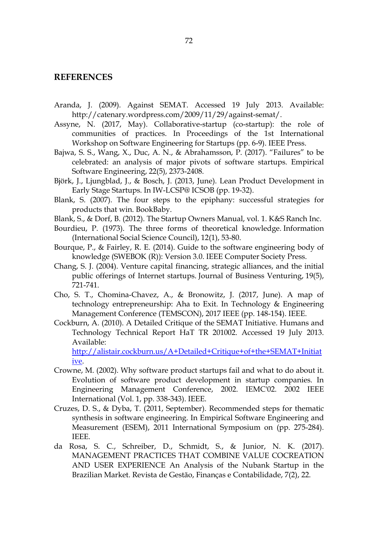#### **REFERENCES**

- Aranda, J. (2009). Against SEMAT. Accessed 19 July 2013. Available: http://catenary.wordpress.com/2009/11/29/against-semat/.
- Assyne, N. (2017, May). Collaborative-startup (co-startup): the role of communities of practices. In Proceedings of the 1st International Workshop on Software Engineering for Startups (pp. 6-9). IEEE Press.
- Bajwa, S. S., Wang, X., Duc, A. N., & Abrahamsson, P. (2017). "Failures" to be celebrated: an analysis of major pivots of software startups. Empirical Software Engineering, 22(5), 2373-2408.
- Björk, J., Ljungblad, J., & Bosch, J. (2013, June). Lean Product Development in Early Stage Startups. In IW-LCSP@ ICSOB (pp. 19-32).
- Blank, S. (2007). The four steps to the epiphany: successful strategies for products that win. BookBaby.
- Blank, S., & Dorf, B. (2012). The Startup Owners Manual, vol. 1. K&S Ranch Inc.
- Bourdieu, P. (1973). The three forms of theoretical knowledge. Information (International Social Science Council), 12(1), 53-80.
- Bourque, P., & Fairley, R. E. (2014). Guide to the software engineering body of knowledge (SWEBOK (R)): Version 3.0. IEEE Computer Society Press.
- Chang, S. J. (2004). Venture capital financing, strategic alliances, and the initial public offerings of Internet startups. Journal of Business Venturing, 19(5), 721-741.
- Cho, S. T., Chomina-Chavez, A., & Bronowitz, J. (2017, June). A map of technology entrepreneurship: Aha to Exit. In Technology & Engineering Management Conference (TEMSCON), 2017 IEEE (pp. 148-154). IEEE.
- Cockburn, A. (2010). A Detailed Critique of the SEMAT Initiative. Humans and Technology Technical Report HaT TR 201002. Accessed 19 July 2013. Available:

http://alistair.cockburn.us/A+Detailed+Critique+of+the+SEMAT+Initiat ive.

- Crowne, M. (2002). Why software product startups fail and what to do about it. Evolution of software product development in startup companies. In Engineering Management Conference, 2002. IEMC'02. 2002 IEEE International (Vol. 1, pp. 338-343). IEEE.
- Cruzes, D. S., & Dyba, T. (2011, September). Recommended steps for thematic synthesis in software engineering. In Empirical Software Engineering and Measurement (ESEM), 2011 International Symposium on (pp. 275-284). IEEE.
- da Rosa, S. C., Schreiber, D., Schmidt, S., & Junior, N. K. (2017). MANAGEMENT PRACTICES THAT COMBINE VALUE COCREATION AND USER EXPERIENCE An Analysis of the Nubank Startup in the Brazilian Market. Revista de Gestão, Finanças e Contabilidade, 7(2), 22.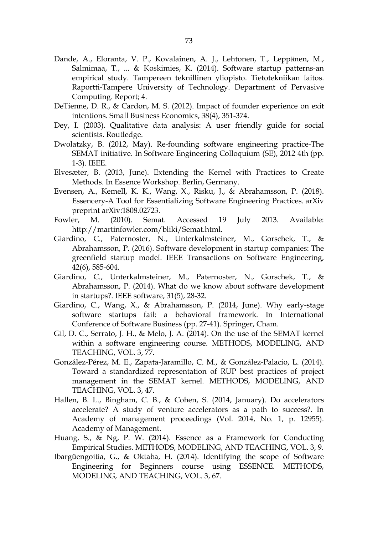- Dande, A., Eloranta, V. P., Kovalainen, A. J., Lehtonen, T., Leppänen, M., Salmimaa, T., ... & Koskimies, K. (2014). Software startup patterns-an empirical study. Tampereen teknillinen yliopisto. Tietotekniikan laitos. Raportti-Tampere University of Technology. Department of Pervasive Computing. Report; 4.
- DeTienne, D. R., & Cardon, M. S. (2012). Impact of founder experience on exit intentions. Small Business Economics, 38(4), 351-374.
- Dey, I. (2003). Qualitative data analysis: A user friendly guide for social scientists. Routledge.
- Dwolatzky, B. (2012, May). Re-founding software engineering practice-The SEMAT initiative. In Software Engineering Colloquium (SE), 2012 4th (pp. 1-3). IEEE.
- Elvesæter, B. (2013, June). Extending the Kernel with Practices to Create Methods. In Essence Workshop. Berlin, Germany.
- Evensen, A., Kemell, K. K., Wang, X., Risku, J., & Abrahamsson, P. (2018). Essencery-A Tool for Essentializing Software Engineering Practices. arXiv preprint arXiv:1808.02723.
- Fowler, M. (2010). Semat. Accessed 19 July 2013. Available: http://martinfowler.com/bliki/Semat.html.
- Giardino, C., Paternoster, N., Unterkalmsteiner, M., Gorschek, T., & Abrahamsson, P. (2016). Software development in startup companies: The greenfield startup model. IEEE Transactions on Software Engineering, 42(6), 585-604.
- Giardino, C., Unterkalmsteiner, M., Paternoster, N., Gorschek, T., & Abrahamsson, P. (2014). What do we know about software development in startups?. IEEE software, 31(5), 28-32.
- Giardino, C., Wang, X., & Abrahamsson, P. (2014, June). Why early-stage software startups fail: a behavioral framework. In International Conference of Software Business (pp. 27-41). Springer, Cham.
- Gil, D. C., Serrato, J. H., & Melo, J. A. (2014). On the use of the SEMAT kernel within a software engineering course. METHODS, MODELING, AND TEACHING, VOL. 3, 77.
- González-Pérez, M. E., Zapata-Jaramillo, C. M., & González-Palacio, L. (2014). Toward a standardized representation of RUP best practices of project management in the SEMAT kernel. METHODS, MODELING, AND TEACHING, VOL. 3, 47.
- Hallen, B. L., Bingham, C. B., & Cohen, S. (2014, January). Do accelerators accelerate? A study of venture accelerators as a path to success?. In Academy of management proceedings (Vol. 2014, No. 1, p. 12955). Academy of Management.
- Huang, S., & Ng, P. W. (2014). Essence as a Framework for Conducting Empirical Studies. METHODS, MODELING, AND TEACHING, VOL. 3, 9.
- Ibargüengoitia, G., & Oktaba, H. (2014). Identifying the scope of Software Engineering for Beginners course using ESSENCE. METHODS, MODELING, AND TEACHING, VOL. 3, 67.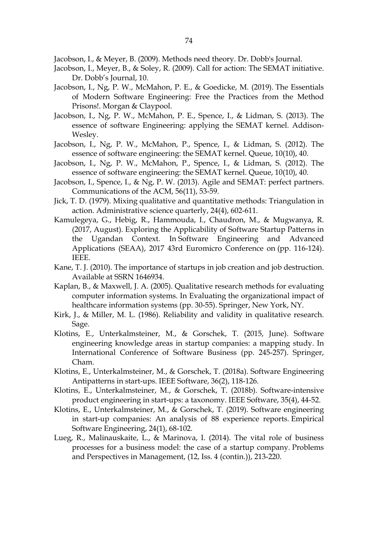Jacobson, I., & Meyer, B. (2009). Methods need theory. Dr. Dobb's Journal.

- Jacobson, I., Meyer, B., & Soley, R. (2009). Call for action: The SEMAT initiative. Dr. Dobb's Journal, 10.
- Jacobson, I., Ng, P. W., McMahon, P. E., & Goedicke, M. (2019). The Essentials of Modern Software Engineering: Free the Practices from the Method Prisons!. Morgan & Claypool.
- Jacobson, I., Ng, P. W., McMahon, P. E., Spence, I., & Lidman, S. (2013). The essence of software Engineering: applying the SEMAT kernel. Addison-Wesley.
- Jacobson, I., Ng, P. W., McMahon, P., Spence, I., & Lidman, S. (2012). The essence of software engineering: the SEMAT kernel. Queue, 10(10), 40.
- Jacobson, I., Ng, P. W., McMahon, P., Spence, I., & Lidman, S. (2012). The essence of software engineering: the SEMAT kernel. Queue, 10(10), 40.
- Jacobson, I., Spence, I., & Ng, P. W. (2013). Agile and SEMAT: perfect partners. Communications of the ACM, 56(11), 53-59.
- Jick, T. D. (1979). Mixing qualitative and quantitative methods: Triangulation in action. Administrative science quarterly, 24(4), 602-611.
- Kamulegeya, G., Hebig, R., Hammouda, I., Chaudron, M., & Mugwanya, R. (2017, August). Exploring the Applicability of Software Startup Patterns in the Ugandan Context. In Software Engineering and Advanced Applications (SEAA), 2017 43rd Euromicro Conference on (pp. 116-124). IEEE.
- Kane, T. J. (2010). The importance of startups in job creation and job destruction. Available at SSRN 1646934.
- Kaplan, B., & Maxwell, J. A. (2005). Qualitative research methods for evaluating computer information systems. In Evaluating the organizational impact of healthcare information systems (pp. 30-55). Springer, New York, NY.
- Kirk, J., & Miller, M. L. (1986). Reliability and validity in qualitative research. Sage.
- Klotins, E., Unterkalmsteiner, M., & Gorschek, T. (2015, June). Software engineering knowledge areas in startup companies: a mapping study. In International Conference of Software Business (pp. 245-257). Springer, Cham.
- Klotins, E., Unterkalmsteiner, M., & Gorschek, T. (2018a). Software Engineering Antipatterns in start-ups. IEEE Software, 36(2), 118-126.
- Klotins, E., Unterkalmsteiner, M., & Gorschek, T. (2018b). Software-intensive product engineering in start-ups: a taxonomy. IEEE Software, 35(4), 44-52.
- Klotins, E., Unterkalmsteiner, M., & Gorschek, T. (2019). Software engineering in start-up companies: An analysis of 88 experience reports. Empirical Software Engineering, 24(1), 68-102.
- Lueg, R., Malinauskaite, L., & Marinova, I. (2014). The vital role of business processes for a business model: the case of a startup company. Problems and Perspectives in Management, (12, Iss. 4 (contin.)), 213-220.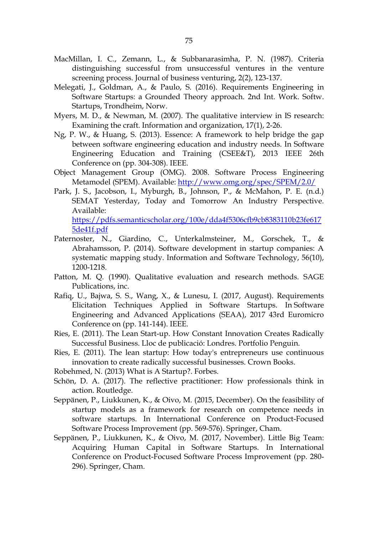- MacMillan, I. C., Zemann, L., & Subbanarasimha, P. N. (1987). Criteria distinguishing successful from unsuccessful ventures in the venture screening process. Journal of business venturing, 2(2), 123-137.
- Melegati, J., Goldman, A., & Paulo, S. (2016). Requirements Engineering in Software Startups: a Grounded Theory approach. 2nd Int. Work. Softw. Startups, Trondheim, Norw.
- Myers, M. D., & Newman, M. (2007). The qualitative interview in IS research: Examining the craft. Information and organization, 17(1), 2-26.
- Ng, P. W., & Huang, S. (2013). Essence: A framework to help bridge the gap between software engineering education and industry needs. In Software Engineering Education and Training (CSEE&T), 2013 IEEE 26th Conference on (pp. 304-308). IEEE.
- Object Management Group (OMG). 2008. Software Process Engineering Metamodel (SPEM). Available: http://www.omg.org/spec/SPEM/2.0/
- Park, J. S., Jacobson, I., Myburgh, B., Johnson, P., & McMahon, P. E. (n.d.) SEMAT Yesterday, Today and Tomorrow An Industry Perspective. Available: https://pdfs.semanticscholar.org/100e/dda4f5306cfb9cb8383110b23fe617 5de41f.pdf
- Paternoster, N., Giardino, C., Unterkalmsteiner, M., Gorschek, T., & Abrahamsson, P. (2014). Software development in startup companies: A systematic mapping study. Information and Software Technology, 56(10), 1200-1218.
- Patton, M. Q. (1990). Qualitative evaluation and research methods. SAGE Publications, inc.
- Rafiq, U., Bajwa, S. S., Wang, X., & Lunesu, I. (2017, August). Requirements Elicitation Techniques Applied in Software Startups. In Software Engineering and Advanced Applications (SEAA), 2017 43rd Euromicro Conference on (pp. 141-144). IEEE.
- Ries, E. (2011). The Lean Start-up. How Constant Innovation Creates Radically Successful Business. Lloc de publicació: Londres. Portfolio Penguin.
- Ries, E. (2011). The lean startup: How today's entrepreneurs use continuous innovation to create radically successful businesses. Crown Books.
- Robehmed, N. (2013) What is A Startup?. Forbes.
- Schön, D. A. (2017). The reflective practitioner: How professionals think in action. Routledge.
- Seppänen, P., Liukkunen, K., & Oivo, M. (2015, December). On the feasibility of startup models as a framework for research on competence needs in software startups. In International Conference on Product-Focused Software Process Improvement (pp. 569-576). Springer, Cham.
- Seppänen, P., Liukkunen, K., & Oivo, M. (2017, November). Little Big Team: Acquiring Human Capital in Software Startups. In International Conference on Product-Focused Software Process Improvement (pp. 280- 296). Springer, Cham.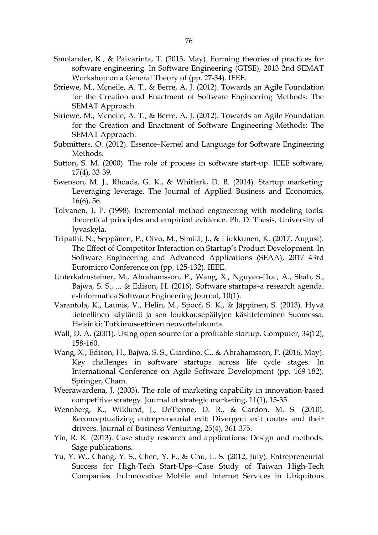- Smolander, K., & Päivärinta, T. (2013, May). Forming theories of practices for software engineering. In Software Engineering (GTSE), 2013 2nd SEMAT Workshop on a General Theory of (pp. 27-34). IEEE.
- Striewe, M., Mcneile, A. T., & Berre, A. J. (2012). Towards an Agile Foundation for the Creation and Enactment of Software Engineering Methods: The SEMAT Approach.
- Striewe, M., Mcneile, A. T., & Berre, A. J. (2012). Towards an Agile Foundation for the Creation and Enactment of Software Engineering Methods: The SEMAT Approach.
- Submitters, O. (2012). Essence–Kernel and Language for Software Engineering Methods.
- Sutton, S. M. (2000). The role of process in software start-up. IEEE software, 17(4), 33-39.
- Swenson, M. J., Rhoads, G. K., & Whitlark, D. B. (2014). Startup marketing: Leveraging leverage. The Journal of Applied Business and Economics, 16(6), 56.
- Tolvanen, J. P. (1998). Incremental method engineering with modeling tools: theoretical principles and empirical evidence. Ph. D. Thesis, University of Jyvaskyla.
- Tripathi, N., Seppänen, P., Oivo, M., Similä, J., & Liukkunen, K. (2017, August). The Effect of Competitor Interaction on Startup's Product Development. In Software Engineering and Advanced Applications (SEAA), 2017 43rd Euromicro Conference on (pp. 125-132). IEEE.
- Unterkalmsteiner, M., Abrahamsson, P., Wang, X., Nguyen-Duc, A., Shah, S., Bajwa, S. S., ... & Edison, H. (2016). Software startups–a research agenda. e-Informatica Software Engineering Journal, 10(1).
- Varantola, K., Launis, V., Helin, M., Spoof, S. K., & Jäppinen, S. (2013). Hyvä tieteellinen käytäntö ja sen loukkausepäilyjen käsitteleminen Suomessa. Helsinki: Tutkimuseettinen neuvottelukunta.
- Wall, D. A. (2001). Using open source for a profitable startup. Computer, 34(12), 158-160.
- Wang, X., Edison, H., Bajwa, S. S., Giardino, C., & Abrahamsson, P. (2016, May). Key challenges in software startups across life cycle stages. In International Conference on Agile Software Development (pp. 169-182). Springer, Cham.
- Weerawardena, J. (2003). The role of marketing capability in innovation-based competitive strategy. Journal of strategic marketing, 11(1), 15-35.
- Wennberg, K., Wiklund, J., DeTienne, D. R., & Cardon, M. S. (2010). Reconceptualizing entrepreneurial exit: Divergent exit routes and their drivers. Journal of Business Venturing, 25(4), 361-375.
- Yin, R. K. (2013). Case study research and applications: Design and methods. Sage publications.
- Yu, Y. W., Chang, Y. S., Chen, Y. F., & Chu, L. S. (2012, July). Entrepreneurial Success for High-Tech Start-Ups--Case Study of Taiwan High-Tech Companies. In Innovative Mobile and Internet Services in Ubiquitous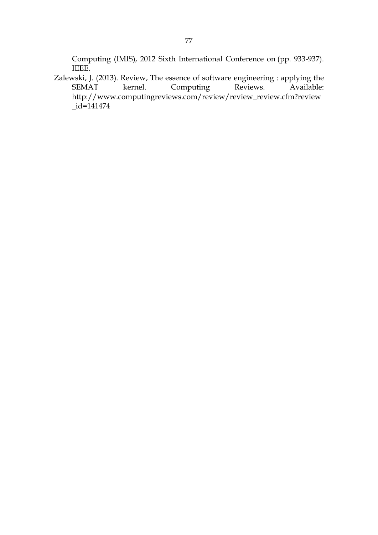Computing (IMIS), 2012 Sixth International Conference on (pp. 933-937). IEEE.

Zalewski, J. (2013). Review, The essence of software engineering : applying the SEMAT kernel. Computing Reviews. Available: http://www.computingreviews.com/review/review\_review.cfm?review \_id=141474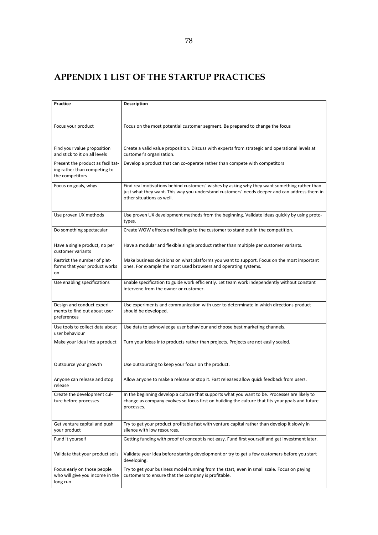## APPENDIX 1 LIST OF THE STARTUP PRACTICES

| <b>Practice</b>                                                            | <b>Description</b>                                                                                                                                                                                                        |
|----------------------------------------------------------------------------|---------------------------------------------------------------------------------------------------------------------------------------------------------------------------------------------------------------------------|
|                                                                            |                                                                                                                                                                                                                           |
| Focus your product                                                         | Focus on the most potential customer segment. Be prepared to change the focus                                                                                                                                             |
|                                                                            |                                                                                                                                                                                                                           |
| Find your value proposition<br>and stick to it on all levels               | Create a valid value proposition. Discuss with experts from strategic and operational levels at<br>customer's organization.                                                                                               |
| Present the product as facilitat-<br>ing rather than competing to          | Develop a product that can co-operate rather than compete with competitors                                                                                                                                                |
| the competitors                                                            |                                                                                                                                                                                                                           |
| Focus on goals, whys                                                       | Find real motivations behind customers' wishes by asking why they want something rather than<br>just what they want. This way you understand customers' needs deeper and can address them in<br>other situations as well. |
| Use proven UX methods                                                      | Use proven UX development methods from the beginning. Validate ideas quickly by using proto-<br>types.                                                                                                                    |
| Do something spectacular                                                   | Create WOW effects and feelings to the customer to stand out in the competition.                                                                                                                                          |
| Have a single product, no per<br>customer variants                         | Have a modular and flexible single product rather than multiple per customer variants.                                                                                                                                    |
| Restrict the number of plat-<br>forms that your product works<br>on        | Make business decisions on what platforms you want to support. Focus on the most important<br>ones. For example the most used browsers and operating systems.                                                             |
| Use enabling specifications                                                | Enable specification to guide work efficiently. Let team work independently without constant<br>intervene from the owner or customer.                                                                                     |
| Design and conduct experi-<br>ments to find out about user<br>preferences  | Use experiments and communication with user to determinate in which directions product<br>should be developed.                                                                                                            |
| Use tools to collect data about<br>user behaviour                          | Use data to acknowledge user behaviour and choose best marketing channels.                                                                                                                                                |
| Make your idea into a product                                              | Turn your ideas into products rather than projects. Projects are not easily scaled.                                                                                                                                       |
| Outsource your growth                                                      | Use outsourcing to keep your focus on the product.                                                                                                                                                                        |
| Anyone can release and stop<br>release                                     | Allow anyone to make a release or stop it. Fast releases allow quick feedback from users.                                                                                                                                 |
| Create the development cul-<br>ture before processes                       | In the beginning develop a culture that supports what you want to be. Processes are likely to<br>change as company evolves so focus first on building the culture that fits your goals and future<br>processes.           |
| Get venture capital and push<br>your product                               | Try to get your product profitable fast with venture capital rather than develop it slowly in<br>silence with low resources.                                                                                              |
| Fund it yourself                                                           | Getting funding with proof of concept is not easy. Fund first yourself and get investment later.                                                                                                                          |
| Validate that your product sells                                           | Validate your idea before starting development or try to get a few customers before you start<br>developing.                                                                                                              |
| Focus early on those people<br>who will give you income in the<br>long run | Try to get your business model running from the start, even in small scale. Focus on paying<br>customers to ensure that the company is profitable.                                                                        |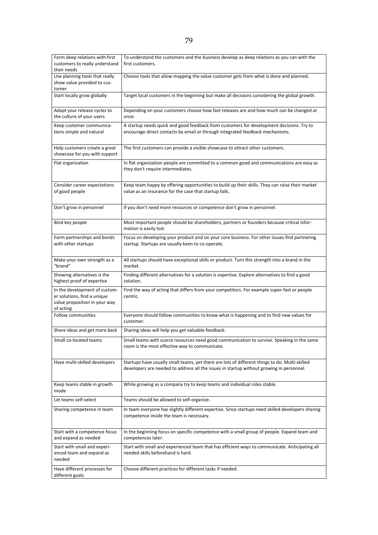| Form deep relations with first<br>customers to really understand                                           | To understand the customers and the business develop as deep relations as you can with the<br>first customers.                                                                             |
|------------------------------------------------------------------------------------------------------------|--------------------------------------------------------------------------------------------------------------------------------------------------------------------------------------------|
| their needs                                                                                                |                                                                                                                                                                                            |
| Use planning tools that really<br>show value provided to cus-<br>tomer                                     | Choose tools that allow mapping the value customer gets from what is done and planned.                                                                                                     |
| Start locally grow globally                                                                                | Target local customers in the beginning but make all decisions considering the global growth.                                                                                              |
| Adapt your release cycles to<br>the culture of your users                                                  | Depending on your customers choose how fast releases are and how much can be changed at<br>once.                                                                                           |
| Keep customer communica-<br>tions simple and natural                                                       | A startup needs quick and good feedback from customers for development decisions. Try to<br>encourage direct contacts by email or through integrated feedback mechanisms.                  |
| Help customers create a great<br>showcase for you with support                                             | The first customers can provide a visible showcase to attract other customers.                                                                                                             |
| Flat organization                                                                                          | In flat organization people are committed to a common good and communications are easy as<br>they don't require intermediates.                                                             |
| Consider career expectations<br>of good people                                                             | Keep team happy by offering opportunities to build up their skills. They can raise their market<br>value as an insurance for the case that startup fails.                                  |
| Don't grow in personnel                                                                                    | If you don't need more resources or competence don't grow in personnel.                                                                                                                    |
| Bind key people                                                                                            | Most important people should be shareholders, partners or founders because critical infor-<br>mation is easily lost.                                                                       |
| Form partnerships and bonds<br>with other startups                                                         | Focus on developing your product and on your core business. For other issues find partnering<br>startup. Startups are usually keen to co-operate.                                          |
| Make your own strength as a<br>"brand"                                                                     | All startups should have exceptional skills or product. Turn this strength into a brand in the<br>market.                                                                                  |
| Showing alternatives is the<br>highest proof of expertise                                                  | Finding different alternatives for a solution is expertise. Explore alternatives to find a good<br>solution.                                                                               |
| In the development of custom-<br>er solutions, find a unique<br>value proposition in your way<br>of acting | Find the way of acting that differs from your competitors. For example super-fast or people<br>centric.                                                                                    |
| Follow communities                                                                                         | Everyone should follow communities to know what is happening and to find new values for<br>customer.                                                                                       |
| Share ideas and get more back                                                                              | Sharing ideas will help you get valuable feedback.                                                                                                                                         |
| Small co-located teams                                                                                     | Small teams with scarce resources need good communication to survive. Speaking in the same<br>room is the most effective way to communicate.                                               |
| Have multi-skilled developers                                                                              | Startups have usually small teams, yet there are lots of different things to do. Multi-skilled<br>developers are needed to address all the issues in startup without growing in personnel. |
| Keep teams stable in growth<br>mode                                                                        | While growing as a company try to keep teams and individual roles stable.                                                                                                                  |
| Let teams self-select                                                                                      | Teams should be allowed to self-organize.                                                                                                                                                  |
| Sharing competence in team                                                                                 | In team everyone has slightly different expertise. Since startups need skilled developers sharing<br>competence inside the team is necessary.                                              |
| Start with a competence focus<br>and expand as needed                                                      | In the beginning focus on specific competence with a small group of people. Expand team and<br>competences later.                                                                          |
| Start with small and experi-<br>enced team and expand as<br>needed                                         | Start with small and experienced team that has efficient ways to communicate. Anticipating all<br>needed skills beforehand is hard.                                                        |
| Have different processes for<br>different goals                                                            | Choose different practices for different tasks if needed.                                                                                                                                  |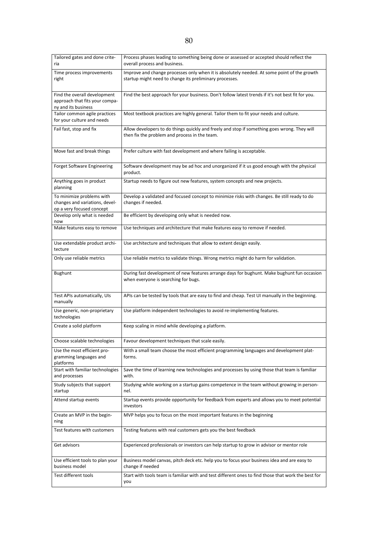| Tailored gates and done crite-<br>ria                                                    | Process phases leading to something being done or assessed or accepted should reflect the<br>overall process and business.                             |
|------------------------------------------------------------------------------------------|--------------------------------------------------------------------------------------------------------------------------------------------------------|
| Time process improvements<br>right                                                       | Improve and change processes only when it is absolutely needed. At some point of the growth<br>startup might need to change its preliminary processes. |
| Find the overall development<br>approach that fits your compa-<br>ny and its business    | Find the best approach for your business. Don't follow latest trends if it's not best fit for you.                                                     |
| Tailor common agile practices<br>for your culture and needs                              | Most textbook practices are highly general. Tailor them to fit your needs and culture.                                                                 |
| Fail fast, stop and fix                                                                  | Allow developers to do things quickly and freely and stop if something goes wrong. They will<br>then fix the problem and process in the team.          |
| Move fast and break things                                                               | Prefer culture with fast development and where failing is acceptable.                                                                                  |
| <b>Forget Software Engineering</b>                                                       | Software development may be ad hoc and unorganized if it us good enough with the physical<br>product.                                                  |
| Anything goes in product<br>planning                                                     | Startup needs to figure out new features, system concepts and new projects.                                                                            |
| To minimize problems with<br>changes and variations, devel-<br>op a very focused concept | Develop a validated and focused concept to minimize risks with changes. Be still ready to do<br>changes if needed.                                     |
| Develop only what is needed<br>now                                                       | Be efficient by developing only what is needed now.                                                                                                    |
| Make features easy to remove                                                             | Use techniques and architecture that make features easy to remove if needed.                                                                           |
| Use extendable product archi-<br>tecture                                                 | Use architecture and techniques that allow to extent design easily.                                                                                    |
| Only use reliable metrics                                                                | Use reliable metrics to validate things. Wrong metrics might do harm for validation.                                                                   |
|                                                                                          |                                                                                                                                                        |
| Bughunt                                                                                  | During fast development of new features arrange days for bughunt. Make bughunt fun occasion<br>when everyone is searching for bugs.                    |
| Test APIs automatically, UIs<br>manually                                                 | APIs can be tested by tools that are easy to find and cheap. Test UI manually in the beginning.                                                        |
| Use generic, non-proprietary<br>technologies                                             | Use platform independent technologies to avoid re-implementing features.                                                                               |
| Create a solid platform                                                                  | Keep scaling in mind while developing a platform.                                                                                                      |
| Choose scalable technologies                                                             | Favour development techniques that scale easily.                                                                                                       |
| Use the most efficient pro-<br>gramming languages and<br>platforms                       | With a small team choose the most efficient programming languages and development plat-<br>forms.                                                      |
| Start with familiar technologies<br>and processes                                        | Save the time of learning new technologies and processes by using those that team is familiar<br>with.                                                 |
| Study subjects that support<br>startup                                                   | Studying while working on a startup gains competence in the team without growing in person-<br>nel.                                                    |
| Attend startup events                                                                    | Startup events provide opportunity for feedback from experts and allows you to meet potential<br>investors                                             |
| Create an MVP in the begin-<br>ning                                                      | MVP helps you to focus on the most important features in the beginning                                                                                 |
| Test features with customers                                                             | Testing features with real customers gets you the best feedback                                                                                        |
| Get advisors                                                                             | Experienced professionals or investors can help startup to grow in advisor or mentor role                                                              |
| Use efficient tools to plan your<br>business model                                       | Business model canvas, pitch deck etc. help you to focus your business idea and are easy to<br>change if needed                                        |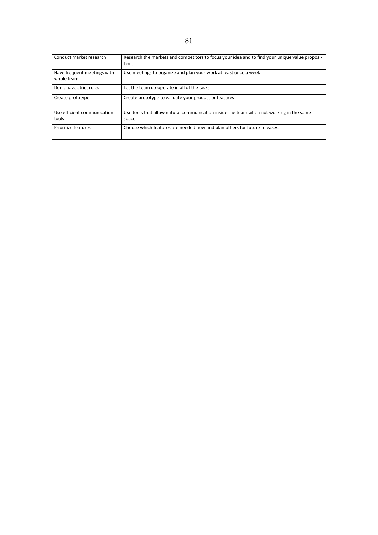| Conduct market research                   | Research the markets and competitors to focus your idea and to find your unique value proposi-<br>tion. |
|-------------------------------------------|---------------------------------------------------------------------------------------------------------|
| Have frequent meetings with<br>whole team | Use meetings to organize and plan your work at least once a week                                        |
| Don't have strict roles                   | Let the team co-operate in all of the tasks                                                             |
| Create prototype                          | Create prototype to validate your product or features                                                   |
| Use efficient communication<br>tools      | Use tools that allow natural communication inside the team when not working in the same<br>space.       |
| Prioritize features                       | Choose which features are needed now and plan others for future releases.                               |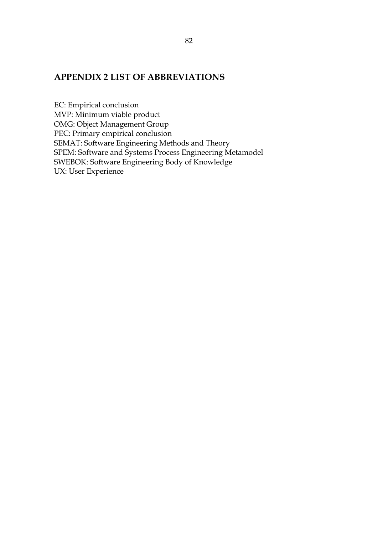## APPENDIX 2 LIST OF ABBREVIATIONS

EC: Empirical conclusion MVP: Minimum viable product OMG: Object Management Group PEC: Primary empirical conclusion SEMAT: Software Engineering Methods and Theory SPEM: Software and Systems Process Engineering Metamodel SWEBOK: Software Engineering Body of Knowledge UX: User Experience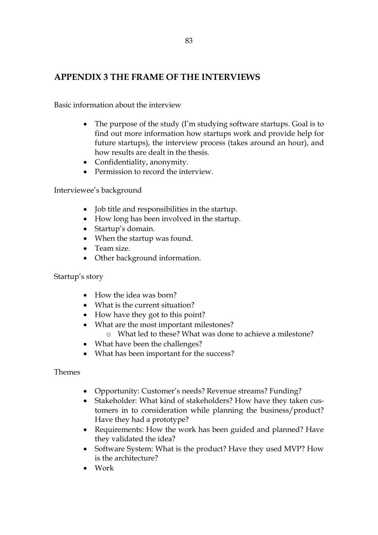## APPENDIX 3 THE FRAME OF THE INTERVIEWS

Basic information about the interview

- The purpose of the study (I'm studying software startups. Goal is to find out more information how startups work and provide help for future startups), the interview process (takes around an hour), and how results are dealt in the thesis.
- Confidentiality, anonymity.
- Permission to record the interview.

Interviewee's background

- Job title and responsibilities in the startup.
- How long has been involved in the startup.
- Startup's domain.
- When the startup was found.
- Team size.
- Other background information.

Startup's story

- How the idea was born?
- What is the current situation?
- How have they got to this point?
- What are the most important milestones?
	- o What led to these? What was done to achieve a milestone?
- What have been the challenges?
- What has been important for the success?

Themes

- Opportunity: Customer's needs? Revenue streams? Funding?
- Stakeholder: What kind of stakeholders? How have they taken customers in to consideration while planning the business/product? Have they had a prototype?
- Requirements: How the work has been guided and planned? Have they validated the idea?
- Software System: What is the product? Have they used MVP? How is the architecture?
- Work